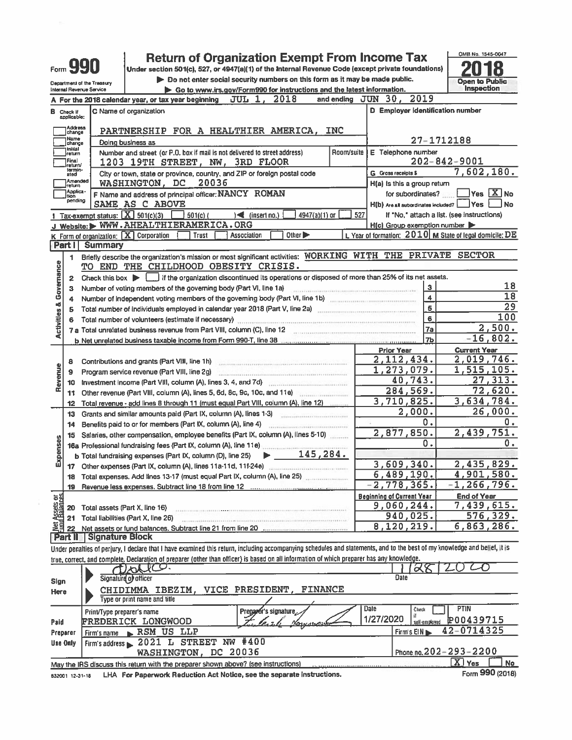|                          |                                  |                                  | <b>Return of Organization Exempt From Income Tax</b>                                                                                                                                                                                                                                                                                                                                                                                                                                                                                                                       |                      |                                                                 | OMB No. 1545-0047                                          |
|--------------------------|----------------------------------|----------------------------------|----------------------------------------------------------------------------------------------------------------------------------------------------------------------------------------------------------------------------------------------------------------------------------------------------------------------------------------------------------------------------------------------------------------------------------------------------------------------------------------------------------------------------------------------------------------------------|----------------------|-----------------------------------------------------------------|------------------------------------------------------------|
|                          | Form <b>YYU</b>                  |                                  | Under section 501(c), 527, or 4947(a)(1) of the Internal Revenue Code (except private foundations)                                                                                                                                                                                                                                                                                                                                                                                                                                                                         |                      |                                                                 |                                                            |
|                          |                                  |                                  |                                                                                                                                                                                                                                                                                                                                                                                                                                                                                                                                                                            |                      |                                                                 |                                                            |
|                          |                                  | Department of the Treasury       | Do not enter social security numbers on this form as it may be made public.                                                                                                                                                                                                                                                                                                                                                                                                                                                                                                |                      |                                                                 | <b>Open to Public</b><br><b>Inspection</b>                 |
|                          |                                  | Internal Revenue Service         | Go to www.irs.gov/Form990 for instructions and the latest information.                                                                                                                                                                                                                                                                                                                                                                                                                                                                                                     | and ending $JUN$ 30, | 2019                                                            |                                                            |
|                          |                                  |                                  | <b>JUL 1, 2018</b><br>A For the 2018 calendar year, or tax year beginning                                                                                                                                                                                                                                                                                                                                                                                                                                                                                                  |                      |                                                                 |                                                            |
|                          | <b>B</b> Check if<br>applicable: |                                  | C Name of organization                                                                                                                                                                                                                                                                                                                                                                                                                                                                                                                                                     |                      | D Employer identification number                                |                                                            |
|                          | Address                          |                                  |                                                                                                                                                                                                                                                                                                                                                                                                                                                                                                                                                                            |                      |                                                                 |                                                            |
|                          | change<br>Name                   |                                  | PARTNERSHIP FOR A HEALTHIER AMERICA, INC                                                                                                                                                                                                                                                                                                                                                                                                                                                                                                                                   |                      |                                                                 |                                                            |
|                          | change<br>Initial                |                                  | Dolng business as                                                                                                                                                                                                                                                                                                                                                                                                                                                                                                                                                          |                      | 27-1712188                                                      |                                                            |
|                          | return                           |                                  | Number and street (or P.O. box if mail is not delivered to street address)<br>Room/suite                                                                                                                                                                                                                                                                                                                                                                                                                                                                                   |                      | E Telephone number                                              |                                                            |
|                          | Final<br>return/<br>termin-      |                                  | 1203 19TH STREET, NW, 3RD FLOOR                                                                                                                                                                                                                                                                                                                                                                                                                                                                                                                                            |                      | $202 - 842 - 9001$                                              |                                                            |
|                          | ated<br>Amended                  |                                  | City or town, state or province, country, and ZIP or foreign postal code                                                                                                                                                                                                                                                                                                                                                                                                                                                                                                   |                      | G Gross receipts \$                                             | 7,602,180.                                                 |
|                          | return                           |                                  | WASHINGTON, DC<br>20036                                                                                                                                                                                                                                                                                                                                                                                                                                                                                                                                                    |                      | H(a) is this a group return                                     |                                                            |
|                          | Applica-<br> tion<br>pending     |                                  | F Name and address of principal officer: NANCY ROMAN                                                                                                                                                                                                                                                                                                                                                                                                                                                                                                                       |                      | for subordinates?                                               | $\sqrt{}$ Yes $\boxed{\text{X}}$ No                        |
|                          |                                  |                                  | SAME AS C ABOVE                                                                                                                                                                                                                                                                                                                                                                                                                                                                                                                                                            |                      | $H(b)$ Are all subordinates included? $\boxed{\phantom{a}}$ Yes | <b>No</b>                                                  |
|                          |                                  | Tax-exempt status: $X$ 501(c)(3) | 4947(a)(1) or<br>$\rightarrow$ (insert no.)<br>$501(c)$ (                                                                                                                                                                                                                                                                                                                                                                                                                                                                                                                  | 527                  | If "No," attach a list. (see instructions)                      |                                                            |
|                          |                                  |                                  | J Website: WWW.AHEALTHIERAMERICA.ORG                                                                                                                                                                                                                                                                                                                                                                                                                                                                                                                                       |                      | H(c) Group exemption number                                     |                                                            |
|                          |                                  |                                  | Trust<br>Other $\blacktriangleright$<br>K Form of organization: X Corporation<br>Association                                                                                                                                                                                                                                                                                                                                                                                                                                                                               |                      |                                                                 | L. Year of formation: $2010$ M State of legal domicile: DE |
|                          | <b>Part I</b>                    | Summary                          |                                                                                                                                                                                                                                                                                                                                                                                                                                                                                                                                                                            |                      |                                                                 |                                                            |
|                          | 1                                |                                  | Briefly describe the organization's mission or most significant activities: WORKING WITH THE PRIVATE SECTOR                                                                                                                                                                                                                                                                                                                                                                                                                                                                |                      |                                                                 |                                                            |
|                          |                                  |                                  | TO END THE CHILDHOOD OBESITY CRISIS.                                                                                                                                                                                                                                                                                                                                                                                                                                                                                                                                       |                      |                                                                 |                                                            |
|                          | $\overline{2}$                   |                                  | Check this box   if the organization discontinued its operations or disposed of more than 25% of its net assets.                                                                                                                                                                                                                                                                                                                                                                                                                                                           |                      |                                                                 |                                                            |
| Governance               | 3                                |                                  | Number of voting members of the governing body (Part VI, Ilne 1a)<br>$\label{eq:1} \begin{minipage}[t]{0.03\textwidth} \begin{minipage}[t]{0.03\textwidth} \centering \begin{minipage}[t]{0.03\textwidth} \centering \end{minipage}[t]{0.03\textwidth} \begin{minipage}[t]{0.03\textwidth} \centering \end{minipage}[t]{0.03\textwidth} \begin{minipage}[t]{0.03\textwidth} \centering \end{minipage}[t]{0.03\textwidth} \begin{minipage}[t]{0.03\textwidth} \centering \end{minipage}[t]{0.03\textwidth} \begin{minipage}[t]{0.03\textwidth} \centering \end{minipage}[t$ |                      | $\overline{\mathbf{3}}$                                         | 18                                                         |
|                          | 4                                |                                  | Number of independent voting members of the governing body (Part VI, line 1b)                                                                                                                                                                                                                                                                                                                                                                                                                                                                                              |                      | $\overline{\mathbf{4}}$                                         | $\overline{18}$                                            |
| <b>Activities &amp;</b>  | 5                                |                                  |                                                                                                                                                                                                                                                                                                                                                                                                                                                                                                                                                                            |                      | 5                                                               | 29                                                         |
|                          | 6                                |                                  | Total number of volunteers (estimate if necessary)                                                                                                                                                                                                                                                                                                                                                                                                                                                                                                                         |                      | 6                                                               | 100                                                        |
|                          |                                  |                                  |                                                                                                                                                                                                                                                                                                                                                                                                                                                                                                                                                                            |                      | 7a                                                              | 2,500.                                                     |
|                          |                                  |                                  |                                                                                                                                                                                                                                                                                                                                                                                                                                                                                                                                                                            |                      |                                                                 | $-16,802.$                                                 |
|                          |                                  |                                  |                                                                                                                                                                                                                                                                                                                                                                                                                                                                                                                                                                            |                      | <b>Prior Year</b>                                               | <b>Current Year</b>                                        |
|                          | 8                                |                                  | Contributions and grants (Part VIII, line 1h)                                                                                                                                                                                                                                                                                                                                                                                                                                                                                                                              |                      | 2,112,434.                                                      | 2,019,746.                                                 |
|                          | 9                                |                                  | Program service revenue (Part VIII, line 2g)                                                                                                                                                                                                                                                                                                                                                                                                                                                                                                                               |                      | $\overline{1,273,079}$ .                                        | <u>1,515,105.</u>                                          |
| Revenue                  | 10                               |                                  | Investment income (Part VIII, column (A), lines 3, 4, and 7d)                                                                                                                                                                                                                                                                                                                                                                                                                                                                                                              |                      | 40,743.                                                         | 27,313.                                                    |
|                          | 11                               |                                  | Other revenue (Part VIII, column (A), lines 5, 6d, 8c, 9c, 10c, and 11e)                                                                                                                                                                                                                                                                                                                                                                                                                                                                                                   |                      | $\overline{284}$ , 569.                                         | 72,620.                                                    |
|                          | 12                               |                                  | Total revenue - add lines 8 through 11 (must equal Part VIII, column (A), line 12)                                                                                                                                                                                                                                                                                                                                                                                                                                                                                         |                      | 3,710,825.                                                      | 3,634,784.                                                 |
|                          | 13                               |                                  | Grants and similar amounts paid (Part IX, column (A), lines 1-3) Committee Committee Committee Committee Committee Committee Committee Committee Committee Committee Committee Committee Committee Committee Committee Committ                                                                                                                                                                                                                                                                                                                                             |                      | 2,000.                                                          | 26,000.                                                    |
|                          | 14                               |                                  | Benefits paid to or for members (Part IX, column (A), line 4)                                                                                                                                                                                                                                                                                                                                                                                                                                                                                                              |                      | 0.                                                              | О.                                                         |
|                          |                                  |                                  | Salaries, other compensation, employee benefits (Part IX, column (A), lines 5-10)                                                                                                                                                                                                                                                                                                                                                                                                                                                                                          |                      | 2,877,850.                                                      | 2,439,751.                                                 |
|                          | 15                               |                                  | 16a Professional fundraising fees (Part IX, column (A), line 11e) [11]                                                                                                                                                                                                                                                                                                                                                                                                                                                                                                     |                      | 0.                                                              | 0.                                                         |
|                          |                                  |                                  | 145,284.                                                                                                                                                                                                                                                                                                                                                                                                                                                                                                                                                                   |                      |                                                                 |                                                            |
| Expenses                 |                                  |                                  | b Total fundraising expenses (Part IX, column (D), line 25)                                                                                                                                                                                                                                                                                                                                                                                                                                                                                                                |                      | 3,609,340.                                                      | 2,435,829.                                                 |
|                          |                                  |                                  | 17 Other expenses (Part IX, column (A), lines 11a-11d, 11f-24e)                                                                                                                                                                                                                                                                                                                                                                                                                                                                                                            |                      | 6,489,190.                                                      | 4,901,580.                                                 |
|                          | 18                               |                                  | Total expenses. Add lines 13-17 (must equal Part IX, column (A), line 25)                                                                                                                                                                                                                                                                                                                                                                                                                                                                                                  |                      | $-2,778,365.$                                                   | $-1, 266, 796.$                                            |
|                          | 19                               |                                  |                                                                                                                                                                                                                                                                                                                                                                                                                                                                                                                                                                            |                      |                                                                 |                                                            |
| t Assets or<br>dBalances |                                  |                                  |                                                                                                                                                                                                                                                                                                                                                                                                                                                                                                                                                                            |                      | <b>Beginning of Current Year</b><br>9,060,244.                  | <b>End of Year</b><br>7,439,615.                           |
|                          | 20                               | Total assets (Part X, line 16)   |                                                                                                                                                                                                                                                                                                                                                                                                                                                                                                                                                                            |                      | <u>940,025.</u>                                                 | <u>576,329.</u>                                            |
| 형                        | 21                               |                                  | Total liabilities (Part X, Ilne 26)                                                                                                                                                                                                                                                                                                                                                                                                                                                                                                                                        |                      | 8,120,219.                                                      | 6,863,286.                                                 |
|                          | 22                               |                                  |                                                                                                                                                                                                                                                                                                                                                                                                                                                                                                                                                                            |                      |                                                                 |                                                            |
|                          | <b>Part II</b>                   | Signature Block                  |                                                                                                                                                                                                                                                                                                                                                                                                                                                                                                                                                                            |                      |                                                                 |                                                            |
|                          |                                  |                                  | Under penalties of perjury, I declare that I have examined this return, including accompanying schedules and statements, and to the best of my knowledge and belief, it is                                                                                                                                                                                                                                                                                                                                                                                                 |                      |                                                                 |                                                            |
|                          |                                  |                                  | true, correct, and complete. Declaration of preparer (other than officer) is based on all information of which preparer has any knowledge.                                                                                                                                                                                                                                                                                                                                                                                                                                 |                      |                                                                 |                                                            |
|                          |                                  |                                  | Therics.                                                                                                                                                                                                                                                                                                                                                                                                                                                                                                                                                                   |                      | X8                                                              |                                                            |
| Sign                     |                                  |                                  | Signature of officer                                                                                                                                                                                                                                                                                                                                                                                                                                                                                                                                                       |                      | Date                                                            |                                                            |
| Here                     |                                  |                                  | CHIDIMMA IBEZIM, VICE PRESIDENT,<br><b>FINANCE</b>                                                                                                                                                                                                                                                                                                                                                                                                                                                                                                                         |                      |                                                                 |                                                            |
|                          |                                  |                                  | Type or print name and title                                                                                                                                                                                                                                                                                                                                                                                                                                                                                                                                               |                      |                                                                 |                                                            |
|                          |                                  | Print/Type preparer's name       | Pregarer's signature                                                                                                                                                                                                                                                                                                                                                                                                                                                                                                                                                       | Date                 | Check                                                           | <b>PTIN</b>                                                |
| Paid                     |                                  |                                  | <b>FREDERICK LONGWOOD</b>                                                                                                                                                                                                                                                                                                                                                                                                                                                                                                                                                  | 1/27/2020            | sell-employed                                                   | P00439715                                                  |
|                          | Preparer                         | Firm's name                      | RSM US LLP                                                                                                                                                                                                                                                                                                                                                                                                                                                                                                                                                                 |                      | Firm's EIN                                                      | 42-0714325                                                 |
|                          | Use Only                         |                                  | Firm's address 2021 L STREET NW #400                                                                                                                                                                                                                                                                                                                                                                                                                                                                                                                                       |                      |                                                                 |                                                            |
|                          |                                  |                                  | WASHINGTON, DC 20036                                                                                                                                                                                                                                                                                                                                                                                                                                                                                                                                                       |                      | Phone no. $202 - 293 - 2200$                                    |                                                            |
|                          |                                  |                                  | May the IRS discuss this return with the preparer shown above? (see instructions)                                                                                                                                                                                                                                                                                                                                                                                                                                                                                          |                      |                                                                 | $\mathbf{X}$ Yes<br><b>No</b>                              |
|                          | 832001 12-31-18                  |                                  | LHA For Paperwork Reduction Act Notice, see the separate instructions.                                                                                                                                                                                                                                                                                                                                                                                                                                                                                                     |                      |                                                                 | Form 990 (2018)                                            |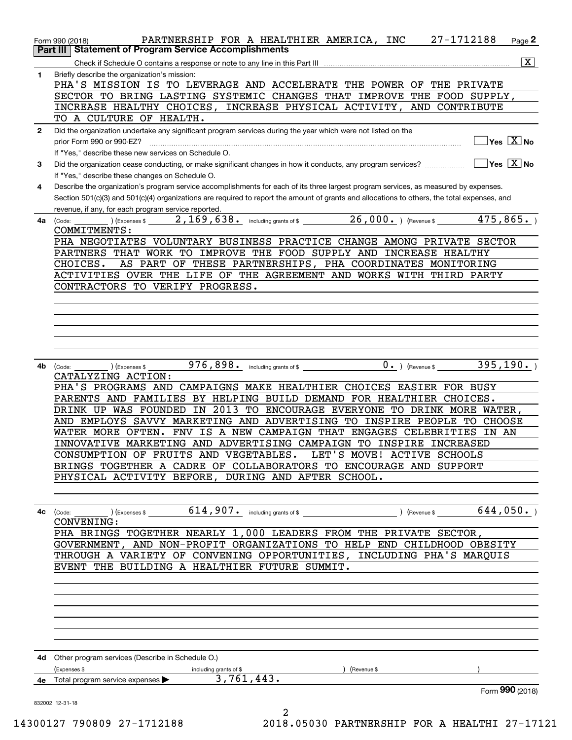|              | 27-1712188<br>PARTNERSHIP FOR A HEALTHIER AMERICA, INC<br>Page $2$<br>Form 990 (2018)                                                                  |
|--------------|--------------------------------------------------------------------------------------------------------------------------------------------------------|
|              | Part III   Statement of Program Service Accomplishments                                                                                                |
|              | $\overline{\mathbf{X}}$                                                                                                                                |
| $\mathbf{1}$ | Briefly describe the organization's mission:                                                                                                           |
|              | PHA'S MISSION IS TO LEVERAGE AND ACCELERATE THE POWER OF THE PRIVATE                                                                                   |
|              | SECTOR TO BRING LASTING SYSTEMIC CHANGES THAT IMPROVE THE FOOD SUPPLY,                                                                                 |
|              | INCREASE HEALTHY CHOICES, INCREASE PHYSICAL ACTIVITY, AND CONTRIBUTE<br>TO A CULTURE OF HEALTH.                                                        |
|              |                                                                                                                                                        |
| $\mathbf{2}$ | Did the organization undertake any significant program services during the year which were not listed on the<br>$\sqrt{}$ Yes $\sqrt{}$ X $\sqrt{}$ No |
|              | If "Yes," describe these new services on Schedule O.                                                                                                   |
| 3            |                                                                                                                                                        |
|              | If "Yes," describe these changes on Schedule O.                                                                                                        |
| 4            | Describe the organization's program service accomplishments for each of its three largest program services, as measured by expenses.                   |
|              | Section 501(c)(3) and 501(c)(4) organizations are required to report the amount of grants and allocations to others, the total expenses, and           |
|              | revenue, if any, for each program service reported.                                                                                                    |
|              | <b>4a</b> (Code:                                                                                                                                       |
|              | COMMITMENTS:                                                                                                                                           |
|              | PHA NEGOTIATES VOLUNTARY BUSINESS PRACTICE CHANGE AMONG PRIVATE SECTOR                                                                                 |
|              | PARTNERS THAT WORK TO IMPROVE THE FOOD SUPPLY AND INCREASE HEALTHY                                                                                     |
|              | AS PART OF THESE PARTNERSHIPS, PHA COORDINATES MONITORING<br>CHOICES.                                                                                  |
|              | ACTIVITIES OVER THE LIFE OF THE AGREEMENT AND WORKS WITH THIRD PARTY                                                                                   |
|              | CONTRACTORS TO VERIFY PROGRESS.                                                                                                                        |
|              |                                                                                                                                                        |
|              |                                                                                                                                                        |
|              |                                                                                                                                                        |
|              |                                                                                                                                                        |
|              |                                                                                                                                                        |
|              | 976,898. including grants of \$ 0. (Revenue \$ $395,190.$ )<br>4b (Code:<br>(Expenses \$                                                               |
|              | CATALYZING ACTION:                                                                                                                                     |
|              | PHA'S PROGRAMS AND CAMPAIGNS MAKE HEALTHIER CHOICES EASIER FOR BUSY                                                                                    |
|              | PARENTS AND FAMILIES BY HELPING BUILD DEMAND FOR HEALTHIER CHOICES.                                                                                    |
|              | DRINK UP WAS FOUNDED IN 2013 TO ENCOURAGE EVERYONE TO DRINK MORE WATER,                                                                                |
|              | AND EMPLOYS SAVVY MARKETING AND ADVERTISING TO INSPIRE PEOPLE TO CHOOSE                                                                                |
|              | WATER MORE OFTEN. FNV IS A NEW CAMPAIGN THAT ENGAGES CELEBRITIES IN AN                                                                                 |
|              | INNOVATIVE MARKETING AND ADVERTISING CAMPAIGN TO INSPIRE INCREASED                                                                                     |
|              | CONSUMPTION OF FRUITS AND VEGETABLES. LET'S MOVE! ACTIVE SCHOOLS                                                                                       |
|              | BRINGS TOGETHER A CADRE OF COLLABORATORS TO ENCOURAGE AND SUPPORT                                                                                      |
|              | PHYSICAL ACTIVITY BEFORE, DURING AND AFTER SCHOOL.                                                                                                     |
|              |                                                                                                                                                        |
|              |                                                                                                                                                        |
|              | 4c (Code: __________)(Expenses \$ ___________614,907. including grants of \$ _________________________)(Revenue \$ _________644,050.)<br>CONVENING:    |
|              | PHA BRINGS TOGETHER NEARLY 1,000 LEADERS FROM THE PRIVATE SECTOR,                                                                                      |
|              | GOVERNMENT, AND NON-PROFIT ORGANIZATIONS TO HELP END CHILDHOOD OBESITY                                                                                 |
|              | THROUGH A VARIETY OF CONVENING OPPORTUNITIES, INCLUDING PHA'S MARQUIS                                                                                  |
|              | EVENT THE BUILDING A HEALTHIER FUTURE SUMMIT.                                                                                                          |
|              |                                                                                                                                                        |
|              |                                                                                                                                                        |
|              |                                                                                                                                                        |
|              |                                                                                                                                                        |
|              |                                                                                                                                                        |
|              |                                                                                                                                                        |
|              |                                                                                                                                                        |
|              | 4d Other program services (Describe in Schedule O.)                                                                                                    |
|              | (Expenses \$<br>(Revenue \$<br>including grants of \$                                                                                                  |
|              | 4e Total program service expenses > 3, 761, 443.                                                                                                       |
|              | Form 990 (2018)                                                                                                                                        |
|              | 832002 12-31-18<br>$\overline{a}$                                                                                                                      |
|              |                                                                                                                                                        |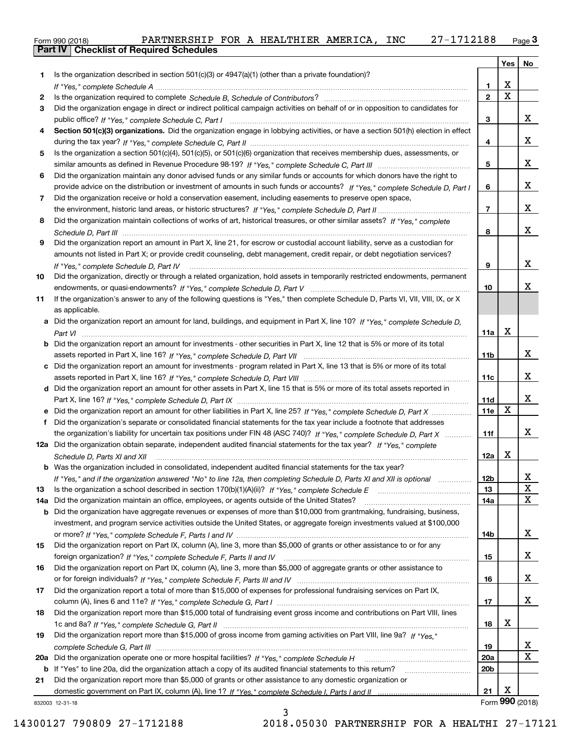| Form 990 (2018) |                                                  | PARTNERSHIP FOR A HEALTHIER AMERICA, |  |  | <b>INC</b> | 27-1712188 | $P$ aqe $3$ |
|-----------------|--------------------------------------------------|--------------------------------------|--|--|------------|------------|-------------|
|                 | <b>Part IV   Checklist of Required Schedules</b> |                                      |  |  |            |            |             |

|       |                                                                                                                                                                                                                                                   |                        | Yes             | No          |
|-------|---------------------------------------------------------------------------------------------------------------------------------------------------------------------------------------------------------------------------------------------------|------------------------|-----------------|-------------|
| 1     | Is the organization described in section $501(c)(3)$ or $4947(a)(1)$ (other than a private foundation)?                                                                                                                                           |                        |                 |             |
|       |                                                                                                                                                                                                                                                   | 1                      | X               |             |
| 2     |                                                                                                                                                                                                                                                   | $\mathbf{2}$           | $\mathbf X$     |             |
| 3     | Did the organization engage in direct or indirect political campaign activities on behalf of or in opposition to candidates for                                                                                                                   |                        |                 |             |
|       |                                                                                                                                                                                                                                                   | 3                      |                 | x           |
| 4     | Section 501(c)(3) organizations. Did the organization engage in lobbying activities, or have a section 501(h) election in effect                                                                                                                  |                        |                 |             |
|       |                                                                                                                                                                                                                                                   | 4                      |                 | x           |
| 5     | Is the organization a section 501(c)(4), 501(c)(5), or 501(c)(6) organization that receives membership dues, assessments, or                                                                                                                      |                        |                 |             |
|       |                                                                                                                                                                                                                                                   | 5                      |                 | x           |
| 6     | Did the organization maintain any donor advised funds or any similar funds or accounts for which donors have the right to                                                                                                                         |                        |                 | х           |
| 7     | provide advice on the distribution or investment of amounts in such funds or accounts? If "Yes," complete Schedule D, Part I                                                                                                                      | 6                      |                 |             |
|       | Did the organization receive or hold a conservation easement, including easements to preserve open space,                                                                                                                                         | 7                      |                 | x           |
| 8     | Did the organization maintain collections of works of art, historical treasures, or other similar assets? If "Yes," complete                                                                                                                      |                        |                 |             |
|       |                                                                                                                                                                                                                                                   | 8                      |                 | x           |
| 9     | Did the organization report an amount in Part X, line 21, for escrow or custodial account liability, serve as a custodian for                                                                                                                     |                        |                 |             |
|       | amounts not listed in Part X; or provide credit counseling, debt management, credit repair, or debt negotiation services?                                                                                                                         |                        |                 |             |
|       | If "Yes," complete Schedule D, Part IV                                                                                                                                                                                                            | 9                      |                 | x           |
| 10    | Did the organization, directly or through a related organization, hold assets in temporarily restricted endowments, permanent                                                                                                                     |                        |                 |             |
|       |                                                                                                                                                                                                                                                   | 10                     |                 | x           |
| 11    | If the organization's answer to any of the following questions is "Yes," then complete Schedule D, Parts VI, VIII, VIII, IX, or X                                                                                                                 |                        |                 |             |
|       | as applicable.                                                                                                                                                                                                                                    |                        |                 |             |
|       | a Did the organization report an amount for land, buildings, and equipment in Part X, line 10? If "Yes," complete Schedule D,                                                                                                                     |                        |                 |             |
|       |                                                                                                                                                                                                                                                   | 11a                    | x               |             |
|       | <b>b</b> Did the organization report an amount for investments - other securities in Part X, line 12 that is 5% or more of its total                                                                                                              |                        |                 |             |
|       |                                                                                                                                                                                                                                                   | 11b                    |                 | x           |
|       | c Did the organization report an amount for investments - program related in Part X, line 13 that is 5% or more of its total                                                                                                                      |                        |                 |             |
|       |                                                                                                                                                                                                                                                   | 11c                    |                 | x           |
|       | d Did the organization report an amount for other assets in Part X, line 15 that is 5% or more of its total assets reported in                                                                                                                    |                        |                 |             |
|       |                                                                                                                                                                                                                                                   | 11d                    |                 | x           |
|       | e Did the organization report an amount for other liabilities in Part X, line 25? If "Yes," complete Schedule D, Part X                                                                                                                           | 11e                    | x               |             |
| f     | Did the organization's separate or consolidated financial statements for the tax year include a footnote that addresses                                                                                                                           |                        |                 | x           |
|       | the organization's liability for uncertain tax positions under FIN 48 (ASC 740)? If "Yes," complete Schedule D, Part X<br>12a Did the organization obtain separate, independent audited financial statements for the tax year? If "Yes," complete | 11f                    |                 |             |
|       |                                                                                                                                                                                                                                                   | 12a                    | x               |             |
|       | Schedule D, Parts XI and XII<br><b>b</b> Was the organization included in consolidated, independent audited financial statements for the tax year?                                                                                                |                        |                 |             |
|       | If "Yes," and if the organization answered "No" to line 12a, then completing Schedule D, Parts XI and XII is optional                                                                                                                             | 12b                    |                 | X           |
| 13    |                                                                                                                                                                                                                                                   | 13                     |                 | $\mathbf X$ |
| 14a l | Did the organization maintain an office, employees, or agents outside of the United States?                                                                                                                                                       | 14a                    |                 | Χ           |
|       | <b>b</b> Did the organization have aggregate revenues or expenses of more than \$10,000 from grantmaking, fundraising, business,                                                                                                                  |                        |                 |             |
|       | investment, and program service activities outside the United States, or aggregate foreign investments valued at \$100,000                                                                                                                        |                        |                 |             |
|       |                                                                                                                                                                                                                                                   | 14b                    |                 | х           |
| 15    | Did the organization report on Part IX, column (A), line 3, more than \$5,000 of grants or other assistance to or for any                                                                                                                         |                        |                 |             |
|       |                                                                                                                                                                                                                                                   | 15                     |                 | x           |
| 16    | Did the organization report on Part IX, column (A), line 3, more than \$5,000 of aggregate grants or other assistance to                                                                                                                          |                        |                 |             |
|       |                                                                                                                                                                                                                                                   | 16                     |                 | х           |
| 17    | Did the organization report a total of more than \$15,000 of expenses for professional fundraising services on Part IX,                                                                                                                           |                        |                 |             |
|       |                                                                                                                                                                                                                                                   | 17                     |                 | x           |
| 18    | Did the organization report more than \$15,000 total of fundraising event gross income and contributions on Part VIII, lines                                                                                                                      |                        |                 |             |
|       |                                                                                                                                                                                                                                                   | 18                     | х               |             |
| 19    | Did the organization report more than \$15,000 of gross income from gaming activities on Part VIII, line 9a? If "Yes."                                                                                                                            |                        |                 | х           |
|       |                                                                                                                                                                                                                                                   | 19                     |                 | Χ           |
|       |                                                                                                                                                                                                                                                   | 20a<br>20 <sub>b</sub> |                 |             |
| 21    | Did the organization report more than \$5,000 of grants or other assistance to any domestic organization or                                                                                                                                       |                        |                 |             |
|       |                                                                                                                                                                                                                                                   | 21                     | x               |             |
|       | 332003 12-31-18                                                                                                                                                                                                                                   |                        | Form 990 (2018) |             |

832003 12-31-18

14300127 790809 27-1712188 2018.05030 PARTNERSHIP FOR A HEALTHI 27-17121

3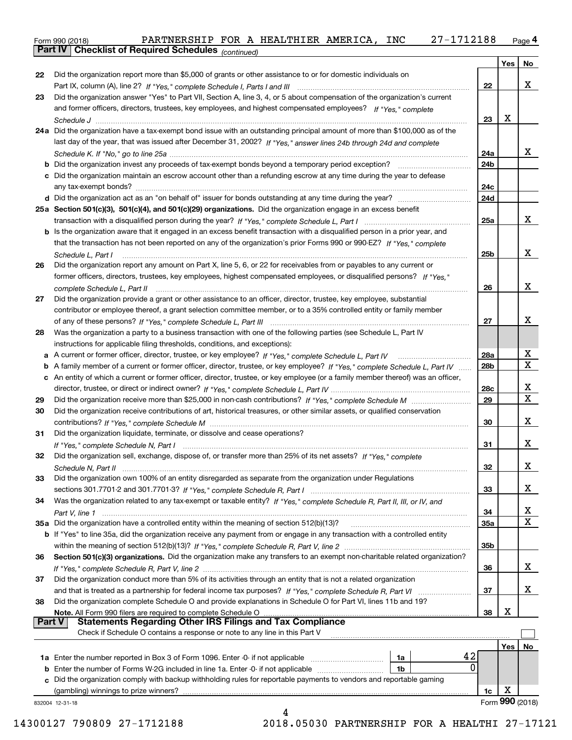orm 990 (2018) PARTNERSHIP FOR A HEALTHIER AMERICA*,* INC 27-1712188 <sub>Page</sub> 4<br><mark>Part IV | Checklist of Required Schedules</mark> <sub>(continued)</sub> Form 990 (2018) PARTNERSHIP FOR A HEALTHIER AMERICA, INC 27-1712188 Page

|               |                                                                                                                                 |     | Yes             | No          |
|---------------|---------------------------------------------------------------------------------------------------------------------------------|-----|-----------------|-------------|
| 22            | Did the organization report more than \$5,000 of grants or other assistance to or for domestic individuals on                   |     |                 |             |
|               |                                                                                                                                 | 22  |                 | x           |
| 23            | Did the organization answer "Yes" to Part VII, Section A, line 3, 4, or 5 about compensation of the organization's current      |     |                 |             |
|               | and former officers, directors, trustees, key employees, and highest compensated employees? If "Yes," complete                  |     |                 |             |
|               |                                                                                                                                 | 23  | Х               |             |
|               | 24a Did the organization have a tax-exempt bond issue with an outstanding principal amount of more than \$100,000 as of the     |     |                 |             |
|               | last day of the year, that was issued after December 31, 2002? If "Yes," answer lines 24b through 24d and complete              |     |                 |             |
|               |                                                                                                                                 | 24a |                 | x           |
|               |                                                                                                                                 | 24b |                 |             |
|               | c Did the organization maintain an escrow account other than a refunding escrow at any time during the year to defease          |     |                 |             |
|               |                                                                                                                                 | 24c |                 |             |
|               |                                                                                                                                 | 24d |                 |             |
|               | 25a Section 501(c)(3), 501(c)(4), and 501(c)(29) organizations. Did the organization engage in an excess benefit                |     |                 |             |
|               |                                                                                                                                 | 25a |                 | x           |
|               | b Is the organization aware that it engaged in an excess benefit transaction with a disqualified person in a prior year, and    |     |                 |             |
|               | that the transaction has not been reported on any of the organization's prior Forms 990 or 990-EZ? If "Yes," complete           |     |                 |             |
|               | Schedule L, Part I                                                                                                              | 25b |                 | x           |
| 26            | Did the organization report any amount on Part X, line 5, 6, or 22 for receivables from or payables to any current or           |     |                 |             |
|               | former officers, directors, trustees, key employees, highest compensated employees, or disqualified persons? If "Yes."          |     |                 |             |
|               |                                                                                                                                 | 26  |                 | x           |
| 27            | Did the organization provide a grant or other assistance to an officer, director, trustee, key employee, substantial            |     |                 |             |
|               | contributor or employee thereof, a grant selection committee member, or to a 35% controlled entity or family member             |     |                 | x           |
|               |                                                                                                                                 | 27  |                 |             |
| 28            | Was the organization a party to a business transaction with one of the following parties (see Schedule L, Part IV               |     |                 |             |
| a             | instructions for applicable filing thresholds, conditions, and exceptions):                                                     | 28a |                 | x           |
| b             | A family member of a current or former officer, director, trustee, or key employee? If "Yes," complete Schedule L, Part IV      | 28b |                 | $\mathbf X$ |
| с             | An entity of which a current or former officer, director, trustee, or key employee (or a family member thereof) was an officer, |     |                 |             |
|               |                                                                                                                                 | 28c |                 | X           |
| 29            |                                                                                                                                 | 29  |                 | $\mathbf X$ |
| 30            | Did the organization receive contributions of art, historical treasures, or other similar assets, or qualified conservation     |     |                 |             |
|               |                                                                                                                                 | 30  |                 | x           |
| 31            | Did the organization liquidate, terminate, or dissolve and cease operations?                                                    |     |                 |             |
|               |                                                                                                                                 | 31  |                 | x           |
| 32            | Did the organization sell, exchange, dispose of, or transfer more than 25% of its net assets? If "Yes," complete                |     |                 |             |
|               |                                                                                                                                 | 32  |                 | x           |
| 33            | Did the organization own 100% of an entity disregarded as separate from the organization under Regulations                      |     |                 |             |
|               |                                                                                                                                 | 33  |                 | х           |
| 34            | Was the organization related to any tax-exempt or taxable entity? If "Yes," complete Schedule R, Part II, III, or IV, and       |     |                 |             |
|               |                                                                                                                                 | 34  |                 | х           |
|               | 35a Did the organization have a controlled entity within the meaning of section 512(b)(13)?                                     | 35a |                 | $\mathbf X$ |
|               | b If "Yes" to line 35a, did the organization receive any payment from or engage in any transaction with a controlled entity     |     |                 |             |
|               |                                                                                                                                 | 35b |                 |             |
| 36            | Section 501(c)(3) organizations. Did the organization make any transfers to an exempt non-charitable related organization?      |     |                 | х           |
|               | Did the organization conduct more than 5% of its activities through an entity that is not a related organization                | 36  |                 |             |
| 37            |                                                                                                                                 | 37  |                 | х           |
| 38            | Did the organization complete Schedule O and provide explanations in Schedule O for Part VI, lines 11b and 19?                  |     |                 |             |
|               | Note. All Form 990 filers are required to complete Schedule O                                                                   | 38  | х               |             |
| <b>Part V</b> | Statements Regarding Other IRS Filings and Tax Compliance                                                                       |     |                 |             |
|               | Check if Schedule O contains a response or note to any line in this Part V                                                      |     |                 |             |
|               |                                                                                                                                 |     | Yes             | No          |
|               | 42<br>1a Enter the number reported in Box 3 of Form 1096. Enter -0- if not applicable<br>1a                                     |     |                 |             |
| b             | 0<br>Enter the number of Forms W-2G included in line 1a. Enter -0- if not applicable<br>1b                                      |     |                 |             |
|               | Did the organization comply with backup withholding rules for reportable payments to vendors and reportable gaming              |     |                 |             |
|               | (gambling) winnings to prize winners?                                                                                           | 1c  | x               |             |
|               | 832004 12-31-18                                                                                                                 |     | Form 990 (2018) |             |
|               | 4                                                                                                                               |     |                 |             |

14300127 790809 27-1712188 2018.05030 PARTNERSHIP FOR A HEALTHI 27-17121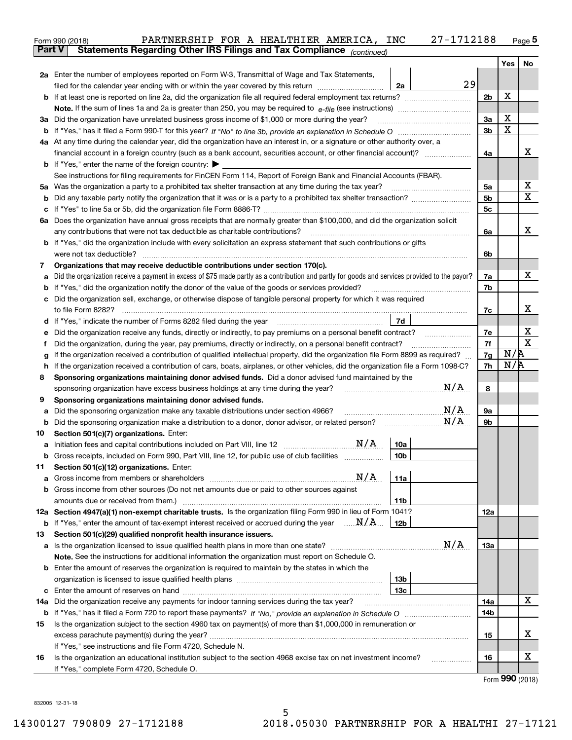|         | PARTNERSHIP FOR A HEALTHIER AMERICA, INC<br>Form 990 (2018)                                                                                                                                                                                | 27-1712188      |                |     | <u>Page 5</u>               |
|---------|--------------------------------------------------------------------------------------------------------------------------------------------------------------------------------------------------------------------------------------------|-----------------|----------------|-----|-----------------------------|
| Part V  | Statements Regarding Other IRS Filings and Tax Compliance (continued)                                                                                                                                                                      |                 |                |     |                             |
|         |                                                                                                                                                                                                                                            |                 |                | Yes | No                          |
|         | 2a Enter the number of employees reported on Form W-3, Transmittal of Wage and Tax Statements,                                                                                                                                             | 29              |                |     |                             |
|         | filed for the calendar year ending with or within the year covered by this return <i>manumumumum</i>                                                                                                                                       | 2a              |                | х   |                             |
|         |                                                                                                                                                                                                                                            |                 | 2 <sub>b</sub> |     |                             |
|         |                                                                                                                                                                                                                                            |                 | 3a             | X   |                             |
|         | 3a Did the organization have unrelated business gross income of \$1,000 or more during the year?                                                                                                                                           |                 | 3 <sub>b</sub> | X   |                             |
|         | 4a At any time during the calendar year, did the organization have an interest in, or a signature or other authority over, a                                                                                                               |                 |                |     |                             |
|         |                                                                                                                                                                                                                                            |                 | 4a             |     | х                           |
|         | <b>b</b> If "Yes," enter the name of the foreign country: $\blacktriangleright$                                                                                                                                                            |                 |                |     |                             |
|         | See instructions for filing requirements for FinCEN Form 114, Report of Foreign Bank and Financial Accounts (FBAR).                                                                                                                        |                 |                |     |                             |
|         | 5a Was the organization a party to a prohibited tax shelter transaction at any time during the tax year?                                                                                                                                   |                 | 5a             |     | х                           |
| b       |                                                                                                                                                                                                                                            |                 | 5 <sub>b</sub> |     | Χ                           |
| с       |                                                                                                                                                                                                                                            |                 | 5с             |     |                             |
|         | 6a Does the organization have annual gross receipts that are normally greater than \$100,000, and did the organization solicit                                                                                                             |                 |                |     |                             |
|         | any contributions that were not tax deductible as charitable contributions?                                                                                                                                                                |                 | 6a             |     | x                           |
|         | <b>b</b> If "Yes," did the organization include with every solicitation an express statement that such contributions or gifts                                                                                                              |                 |                |     |                             |
|         |                                                                                                                                                                                                                                            |                 | 6b             |     |                             |
| 7       | Organizations that may receive deductible contributions under section 170(c).                                                                                                                                                              |                 |                |     |                             |
| а       | Did the organization receive a payment in excess of \$75 made partly as a contribution and partly for goods and services provided to the payor?                                                                                            |                 | 7a             |     | х                           |
| b       | If "Yes," did the organization notify the donor of the value of the goods or services provided?                                                                                                                                            |                 | 7b             |     |                             |
|         | c Did the organization sell, exchange, or otherwise dispose of tangible personal property for which it was required                                                                                                                        |                 |                |     |                             |
|         |                                                                                                                                                                                                                                            |                 | 7c             |     | х                           |
|         | d If "Yes," indicate the number of Forms 8282 filed during the year [11,111] The set response to the number of Forms 8282 filed during the year                                                                                            | 7d              |                |     |                             |
| е       | Did the organization receive any funds, directly or indirectly, to pay premiums on a personal benefit contract?                                                                                                                            |                 | 7e             |     | х<br>$\mathbf X$            |
| f       | Did the organization, during the year, pay premiums, directly or indirectly, on a personal benefit contract?                                                                                                                               |                 | 7f             | N/R |                             |
| g       | If the organization received a contribution of qualified intellectual property, did the organization file Form 8899 as required?                                                                                                           |                 | 7g<br>7h       | N/R |                             |
| h.<br>8 | If the organization received a contribution of cars, boats, airplanes, or other vehicles, did the organization file a Form 1098-C?<br>Sponsoring organizations maintaining donor advised funds. Did a donor advised fund maintained by the |                 |                |     |                             |
|         | sponsoring organization have excess business holdings at any time during the year?                                                                                                                                                         | N/A             | 8              |     |                             |
| 9       | Sponsoring organizations maintaining donor advised funds.                                                                                                                                                                                  |                 |                |     |                             |
| а       | Did the sponsoring organization make any taxable distributions under section 4966?                                                                                                                                                         | N/A             | 9а             |     |                             |
| b       | Did the sponsoring organization make a distribution to a donor, donor advisor, or related person?                                                                                                                                          | N/A             | 9b             |     |                             |
| 10      | Section 501(c)(7) organizations. Enter:                                                                                                                                                                                                    |                 |                |     |                             |
| а       | N/A                                                                                                                                                                                                                                        | 10a             |                |     |                             |
|         | Gross receipts, included on Form 990, Part VIII, line 12, for public use of club facilities                                                                                                                                                | 10 <sub>b</sub> |                |     |                             |
| 11      | Section 501(c)(12) organizations. Enter:                                                                                                                                                                                                   |                 |                |     |                             |
| а       | N/A<br>Gross income from members or shareholders                                                                                                                                                                                           | 11a             |                |     |                             |
|         | b Gross income from other sources (Do not net amounts due or paid to other sources against                                                                                                                                                 |                 |                |     |                             |
|         | amounts due or received from them.)                                                                                                                                                                                                        | 11b             |                |     |                             |
|         | 12a Section 4947(a)(1) non-exempt charitable trusts. Is the organization filing Form 990 in lieu of Form 1041?                                                                                                                             |                 | 12a            |     |                             |
|         | <b>b</b> If "Yes," enter the amount of tax-exempt interest received or accrued during the year $\ldots \mathbf{N}/\mathbf{A}$                                                                                                              | 12b             |                |     |                             |
| 13      | Section 501(c)(29) qualified nonprofit health insurance issuers.                                                                                                                                                                           |                 |                |     |                             |
| а       |                                                                                                                                                                                                                                            | N/A             | 13а            |     |                             |
|         | Note. See the instructions for additional information the organization must report on Schedule O.                                                                                                                                          |                 |                |     |                             |
|         | <b>b</b> Enter the amount of reserves the organization is required to maintain by the states in which the                                                                                                                                  | 13b             |                |     |                             |
| c       |                                                                                                                                                                                                                                            | 13с             |                |     |                             |
|         | 14a Did the organization receive any payments for indoor tanning services during the tax year?                                                                                                                                             |                 | 14a            |     | х                           |
|         |                                                                                                                                                                                                                                            |                 | 14b            |     |                             |
| 15      | Is the organization subject to the section 4960 tax on payment(s) of more than \$1,000,000 in remuneration or                                                                                                                              |                 |                |     |                             |
|         |                                                                                                                                                                                                                                            |                 | 15             |     | х                           |
|         | If "Yes," see instructions and file Form 4720, Schedule N.                                                                                                                                                                                 |                 |                |     |                             |
| 16      | Is the organization an educational institution subject to the section 4968 excise tax on net investment income?                                                                                                                            |                 | 16             |     | x                           |
|         | If "Yes," complete Form 4720, Schedule O.                                                                                                                                                                                                  |                 |                |     |                             |
|         |                                                                                                                                                                                                                                            |                 |                |     | $F_{\text{arm}}$ 990 (2019) |

Form (2018) **990**

832005 12-31-18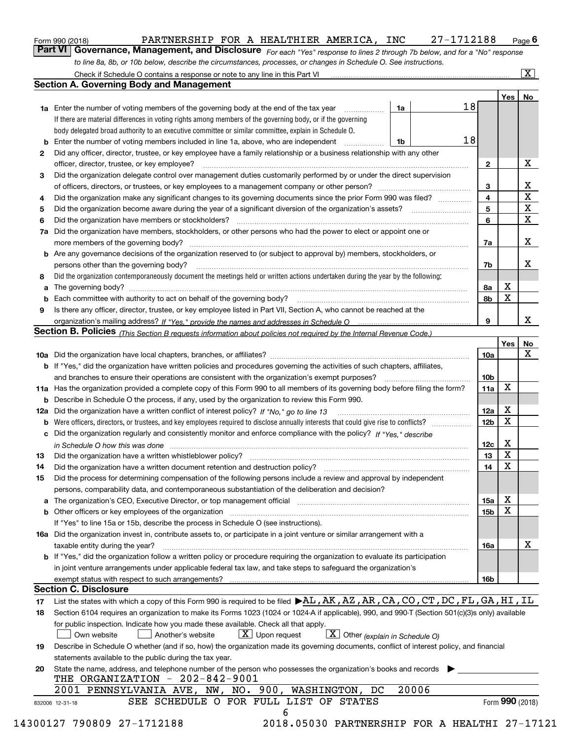| Form 990 (2018) | PARTNERSHIP FOR A HEALTHIER AMERICA, INC |  |  | 27-1712188                                                                                                                         | $P$ aqe $6$ |
|-----------------|------------------------------------------|--|--|------------------------------------------------------------------------------------------------------------------------------------|-------------|
|                 |                                          |  |  | <b>Part VI</b> Governance, Management, and Disclosure For each "Yes" response to lines 2 through 7b below, and for a "No" response |             |

*For each "Yes" response to lines 2 through 7b below, and for a "No" response to line 8a, 8b, or 10b below, describe the circumstances, processes, or changes in Schedule O. See instructions.*

|    |                                                                                                                                                                         | 18              | Yes <sub>1</sub> | No                      |  |  |  |  |  |
|----|-------------------------------------------------------------------------------------------------------------------------------------------------------------------------|-----------------|------------------|-------------------------|--|--|--|--|--|
|    | <b>1a</b> Enter the number of voting members of the governing body at the end of the tax year<br>1a                                                                     |                 |                  |                         |  |  |  |  |  |
|    | If there are material differences in voting rights among members of the governing body, or if the governing                                                             |                 |                  |                         |  |  |  |  |  |
|    | body delegated broad authority to an executive committee or similar committee, explain in Schedule O.                                                                   | 18              |                  |                         |  |  |  |  |  |
| b  | Enter the number of voting members included in line 1a, above, who are independent<br>1b                                                                                |                 |                  |                         |  |  |  |  |  |
| 2  | Did any officer, director, trustee, or key employee have a family relationship or a business relationship with any other                                                |                 |                  | X                       |  |  |  |  |  |
|    | officer, director, trustee, or key employee?                                                                                                                            | $\mathbf{2}$    |                  |                         |  |  |  |  |  |
| 3  | Did the organization delegate control over management duties customarily performed by or under the direct supervision                                                   |                 |                  | $\mathbf{X}$            |  |  |  |  |  |
|    |                                                                                                                                                                         | 3               |                  | $\overline{\textbf{x}}$ |  |  |  |  |  |
| 4  | Did the organization make any significant changes to its governing documents since the prior Form 990 was filed?                                                        | 4               |                  | $\overline{\mathbf{x}}$ |  |  |  |  |  |
| 5  |                                                                                                                                                                         | 5<br>6          |                  | $\overline{\mathbf{x}}$ |  |  |  |  |  |
| 6  | Did the organization have members or stockholders?<br>Did the organization have members, stockholders, or other persons who had the power to elect or appoint one or    |                 |                  |                         |  |  |  |  |  |
| 7a |                                                                                                                                                                         |                 |                  | X                       |  |  |  |  |  |
|    |                                                                                                                                                                         | 7a              |                  |                         |  |  |  |  |  |
|    | <b>b</b> Are any governance decisions of the organization reserved to (or subject to approval by) members, stockholders, or                                             |                 |                  | X                       |  |  |  |  |  |
|    | persons other than the governing body?                                                                                                                                  | 7b              |                  |                         |  |  |  |  |  |
| 8  | Did the organization contemporaneously document the meetings held or written actions undertaken during the year by the following:                                       |                 | X                |                         |  |  |  |  |  |
| a  |                                                                                                                                                                         | 8а<br>8b        | $\mathbf X$      |                         |  |  |  |  |  |
| 9  |                                                                                                                                                                         |                 |                  |                         |  |  |  |  |  |
|    | Is there any officer, director, trustee, or key employee listed in Part VII, Section A, who cannot be reached at the                                                    | 9               |                  | X                       |  |  |  |  |  |
|    | Section B. Policies <sub>(This</sub> Section B requests information about policies not required by the Internal Revenue Code.)                                          |                 |                  |                         |  |  |  |  |  |
|    |                                                                                                                                                                         |                 | Yes              | No                      |  |  |  |  |  |
|    |                                                                                                                                                                         | 10a             |                  | X                       |  |  |  |  |  |
|    | <b>b</b> If "Yes," did the organization have written policies and procedures governing the activities of such chapters, affiliates,                                     |                 |                  |                         |  |  |  |  |  |
|    |                                                                                                                                                                         | 10 <sub>b</sub> |                  |                         |  |  |  |  |  |
|    | 11a Has the organization provided a complete copy of this Form 990 to all members of its governing body before filing the form?                                         | 11a             | X                |                         |  |  |  |  |  |
|    | <b>b</b> Describe in Schedule O the process, if any, used by the organization to review this Form 990.                                                                  |                 |                  |                         |  |  |  |  |  |
|    |                                                                                                                                                                         | 12a             | X                |                         |  |  |  |  |  |
| b  |                                                                                                                                                                         | 12 <sub>b</sub> | X                |                         |  |  |  |  |  |
|    | c Did the organization regularly and consistently monitor and enforce compliance with the policy? If "Yes," describe                                                    |                 |                  |                         |  |  |  |  |  |
|    | in Schedule O how this was done measured and contain an account of the state of the state of the state of the                                                           | 12c             | X                |                         |  |  |  |  |  |
| 13 |                                                                                                                                                                         | 13              | $\mathbf x$      |                         |  |  |  |  |  |
| 14 |                                                                                                                                                                         | 14              | X                |                         |  |  |  |  |  |
| 15 | Did the process for determining compensation of the following persons include a review and approval by independent                                                      |                 |                  |                         |  |  |  |  |  |
|    | persons, comparability data, and contemporaneous substantiation of the deliberation and decision?                                                                       |                 |                  |                         |  |  |  |  |  |
|    | a The organization's CEO, Executive Director, or top management official manufactured content of the organization's CEO, Executive Director, or top management official | 15a             | х                |                         |  |  |  |  |  |
|    |                                                                                                                                                                         | 15 <sub>b</sub> | X                |                         |  |  |  |  |  |
|    | If "Yes" to line 15a or 15b, describe the process in Schedule O (see instructions).                                                                                     |                 |                  |                         |  |  |  |  |  |
|    | 16a Did the organization invest in, contribute assets to, or participate in a joint venture or similar arrangement with a                                               |                 |                  |                         |  |  |  |  |  |
|    | taxable entity during the year?                                                                                                                                         | 16a             |                  | X                       |  |  |  |  |  |
|    | b If "Yes," did the organization follow a written policy or procedure requiring the organization to evaluate its participation                                          |                 |                  |                         |  |  |  |  |  |
|    | in joint venture arrangements under applicable federal tax law, and take steps to safeguard the organization's                                                          |                 |                  |                         |  |  |  |  |  |
|    | exempt status with respect to such arrangements?                                                                                                                        | 16b             |                  |                         |  |  |  |  |  |
|    | <b>Section C. Disclosure</b>                                                                                                                                            |                 |                  |                         |  |  |  |  |  |
| 17 | List the states with which a copy of this Form 990 is required to be filed $\blacktriangleright$ AL, AK, AZ, AR, CA, CO, CT, DC, FL, GA, HI, IL                         |                 |                  |                         |  |  |  |  |  |
| 18 | Section 6104 requires an organization to make its Forms 1023 (1024 or 1024 A if applicable), 990, and 990-T (Section 501(c)(3)s only) available                         |                 |                  |                         |  |  |  |  |  |
|    | for public inspection. Indicate how you made these available. Check all that apply.                                                                                     |                 |                  |                         |  |  |  |  |  |
|    | $X$ Upon request<br>$\boxed{\mathbf{X}}$ Other (explain in Schedule O)<br>Another's website<br>Own website                                                              |                 |                  |                         |  |  |  |  |  |
| 19 | Describe in Schedule O whether (and if so, how) the organization made its governing documents, conflict of interest policy, and financial                               |                 |                  |                         |  |  |  |  |  |
|    | statements available to the public during the tax year.                                                                                                                 |                 |                  |                         |  |  |  |  |  |
| 20 | State the name, address, and telephone number of the person who possesses the organization's books and records                                                          |                 |                  |                         |  |  |  |  |  |
|    | THE ORGANIZATION - 202-842-9001                                                                                                                                         |                 |                  |                         |  |  |  |  |  |
|    | 20006<br>2001 PENNSYLVANIA AVE, NW, NO. 900, WASHINGTON, DC                                                                                                             |                 |                  |                         |  |  |  |  |  |
|    | SEE SCHEDULE O FOR FULL LIST OF STATES                                                                                                                                  |                 | Form 990 (2018)  |                         |  |  |  |  |  |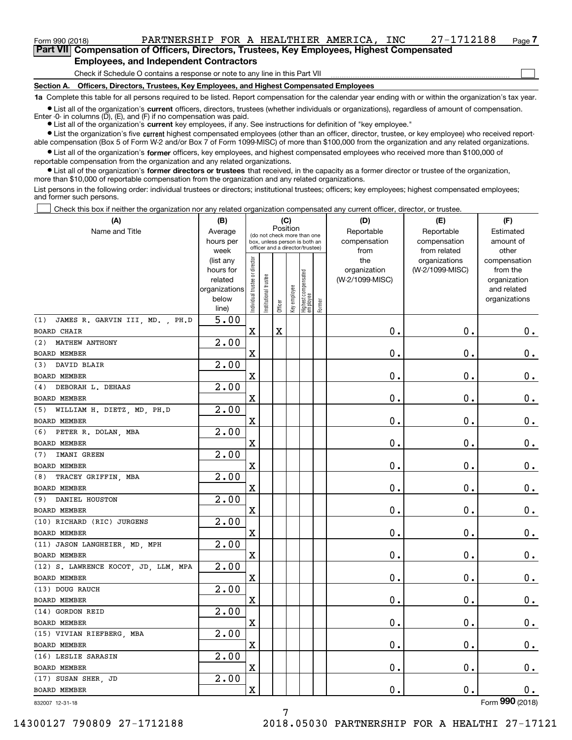## Form 990 (2018) PARTNERSHIP FOR A HEALTHIER AMERICA, INC 27-1712188 Page **7Part VII Compensation of Officers, Directors, Trustees, Key Employees, Highest Compensated**

**Employees, and Independent Contractors**

Check if Schedule O contains a response or note to any line in this Part VII

**Section A. Officers, Directors, Trustees, Key Employees, and Highest Compensated Employees**

**1a**  Complete this table for all persons required to be listed. Report compensation for the calendar year ending with or within the organization's tax year.

**•** List all of the organization's current officers, directors, trustees (whether individuals or organizations), regardless of amount of compensation. Enter -0- in columns  $(D)$ ,  $(E)$ , and  $(F)$  if no compensation was paid.

● List all of the organization's **current** key employees, if any. See instructions for definition of "key employee."

**•** List the organization's five current highest compensated employees (other than an officer, director, trustee, or key employee) who received reportable compensation (Box 5 of Form W-2 and/or Box 7 of Form 1099-MISC) of more than \$100,000 from the organization and any related organizations.

 $\bullet$  List all of the organization's **former** officers, key employees, and highest compensated employees who received more than \$100,000 of reportable compensation from the organization and any related organizations.

**•** List all of the organization's former directors or trustees that received, in the capacity as a former director or trustee of the organization, more than \$10,000 of reportable compensation from the organization and any related organizations.

List persons in the following order: individual trustees or directors; institutional trustees; officers; key employees; highest compensated employees; and former such persons.

Check this box if neither the organization nor any related organization compensated any current officer, director, or trustee.  $\mathcal{L}^{\text{max}}$ 

| (A)                                  | (B)                    | (C)                            |                       |                                                                  |              |                                  |        | (D)                 | (E)                              | (F)                      |
|--------------------------------------|------------------------|--------------------------------|-----------------------|------------------------------------------------------------------|--------------|----------------------------------|--------|---------------------|----------------------------------|--------------------------|
| Name and Title                       | Average                |                                |                       | Position<br>(do not check more than one                          |              |                                  |        | Reportable          | Reportable                       | Estimated                |
|                                      | hours per              |                                |                       | box, unless person is both an<br>officer and a director/trustee) |              |                                  |        | compensation        | compensation                     | amount of                |
|                                      | week                   |                                |                       |                                                                  |              |                                  |        | from                | from related                     | other                    |
|                                      | (list any<br>hours for |                                |                       |                                                                  |              |                                  |        | the<br>organization | organizations<br>(W-2/1099-MISC) | compensation<br>from the |
|                                      | related                |                                |                       |                                                                  |              |                                  |        | (W-2/1099-MISC)     |                                  | organization             |
|                                      | organizations          |                                |                       |                                                                  |              |                                  |        |                     |                                  | and related              |
|                                      | below                  | Individual trustee or director | Institutional trustee |                                                                  | Key employee |                                  |        |                     |                                  | organizations            |
|                                      | line)                  |                                |                       | Officer                                                          |              | Highest compensated<br> employee | Former |                     |                                  |                          |
| (1) JAMES R. GARVIN III, MD., PH.D   | 5.00                   |                                |                       |                                                                  |              |                                  |        |                     |                                  |                          |
| <b>BOARD CHAIR</b>                   |                        | $\mathbf X$                    |                       | Χ                                                                |              |                                  |        | 0.                  | 0.                               | 0.                       |
| (2) MATHEW ANTHONY                   | $\overline{2.00}$      |                                |                       |                                                                  |              |                                  |        |                     |                                  |                          |
| BOARD MEMBER                         |                        | $\mathbf X$                    |                       |                                                                  |              |                                  |        | 0.                  | 0.                               | 0.                       |
| (3) DAVID BLAIR                      | 2.00                   |                                |                       |                                                                  |              |                                  |        |                     |                                  |                          |
| <b>BOARD MEMBER</b>                  |                        | $\mathbf X$                    |                       |                                                                  |              |                                  |        | 0.                  | 0.                               | 0.                       |
| (4) DEBORAH L. DEHAAS                | 2.00                   |                                |                       |                                                                  |              |                                  |        |                     |                                  |                          |
| <b>BOARD MEMBER</b>                  |                        | $\mathbf X$                    |                       |                                                                  |              |                                  |        | 0.                  | 0.                               | 0.                       |
| (5) WILLIAM H. DIETZ, MD, PH.D       | 2.00                   |                                |                       |                                                                  |              |                                  |        |                     |                                  |                          |
| <b>BOARD MEMBER</b>                  |                        | $\mathbf X$                    |                       |                                                                  |              |                                  |        | 0.                  | 0.                               | 0.                       |
| (6) PETER R. DOLAN, MBA              | 2.00                   |                                |                       |                                                                  |              |                                  |        |                     |                                  |                          |
| <b>BOARD MEMBER</b>                  |                        | $\mathbf X$                    |                       |                                                                  |              |                                  |        | 0.                  | 0.                               | 0.                       |
| (7) IMANI GREEN                      | $\overline{2}$ .00     |                                |                       |                                                                  |              |                                  |        |                     |                                  |                          |
| <b>BOARD MEMBER</b>                  |                        | $\mathbf X$                    |                       |                                                                  |              |                                  |        | 0.                  | 0.                               | 0.                       |
| (8) TRACEY GRIFFIN, MBA              | 2.00                   |                                |                       |                                                                  |              |                                  |        |                     |                                  |                          |
| <b>BOARD MEMBER</b>                  |                        | $\mathbf X$                    |                       |                                                                  |              |                                  |        | 0.                  | 0.                               | 0.                       |
| (9) DANIEL HOUSTON                   | $\overline{2}$ .00     |                                |                       |                                                                  |              |                                  |        |                     |                                  |                          |
| BOARD MEMBER                         |                        | $\mathbf X$                    |                       |                                                                  |              |                                  |        | 0.                  | 0.                               | 0.                       |
| (10) RICHARD (RIC) JURGENS           | 2.00                   |                                |                       |                                                                  |              |                                  |        |                     |                                  |                          |
| BOARD MEMBER                         |                        | $\mathbf X$                    |                       |                                                                  |              |                                  |        | 0.                  | 0.                               | 0.                       |
| (11) JASON LANGHEIER, MD, MPH        | 2.00                   |                                |                       |                                                                  |              |                                  |        |                     |                                  |                          |
| BOARD MEMBER                         |                        | $\mathbf X$                    |                       |                                                                  |              |                                  |        | 0.                  | 0.                               | 0.                       |
| (12) S. LAWRENCE KOCOT, JD, LLM, MPA | 2.00                   |                                |                       |                                                                  |              |                                  |        |                     |                                  |                          |
| BOARD MEMBER                         |                        | $\mathbf X$                    |                       |                                                                  |              |                                  |        | 0.                  | 0.                               | 0.                       |
| (13) DOUG RAUCH                      | 2.00                   |                                |                       |                                                                  |              |                                  |        |                     |                                  |                          |
| <b>BOARD MEMBER</b>                  |                        | $\mathbf X$                    |                       |                                                                  |              |                                  |        | 0.                  | 0.                               | 0.                       |
| (14) GORDON REID                     | 2.00                   |                                |                       |                                                                  |              |                                  |        |                     |                                  |                          |
| BOARD MEMBER                         |                        | X                              |                       |                                                                  |              |                                  |        | $\mathbf 0$ .       | $\mathbf 0$ .                    | 0.                       |
| (15) VIVIAN RIEFBERG, MBA            | 2.00                   |                                |                       |                                                                  |              |                                  |        |                     |                                  |                          |
| BOARD MEMBER                         |                        | x                              |                       |                                                                  |              |                                  |        | $\mathbf 0$ .       | $\mathbf 0$ .                    | 0.                       |
| (16) LESLIE SARASIN                  | 2.00                   |                                |                       |                                                                  |              |                                  |        |                     |                                  |                          |
| BOARD MEMBER                         |                        | X                              |                       |                                                                  |              |                                  |        | $\boldsymbol{0}$ .  | $\mathbf 0$ .                    | 0.                       |
| (17) SUSAN SHER, JD                  | 2.00                   |                                |                       |                                                                  |              |                                  |        |                     |                                  |                          |
| BOARD MEMBER                         |                        | x                              |                       |                                                                  |              |                                  |        | $\mathbf 0$ .       | $\mathbf 0$ .                    | 0.                       |
| 832007 12-31-18                      |                        |                                |                       |                                                                  |              |                                  |        |                     |                                  | Form 990 (2018)          |

7

832007 12-31-18

14300127 790809 27-1712188 2018.05030 PARTNERSHIP FOR A HEALTHI 27-17121

 $\mathcal{L}^{\text{max}}$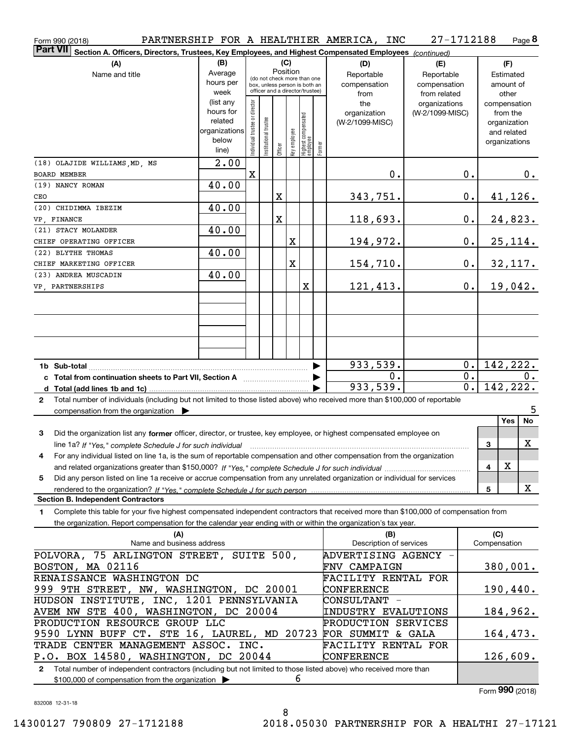| Form 990 (2018)                                                                                                                              |                                          |                                |                       |          |              |                                                                  |        | PARTNERSHIP FOR A HEALTHIER AMERICA, INC | 27-1712188      |                  |                     | Page 8                      |
|----------------------------------------------------------------------------------------------------------------------------------------------|------------------------------------------|--------------------------------|-----------------------|----------|--------------|------------------------------------------------------------------|--------|------------------------------------------|-----------------|------------------|---------------------|-----------------------------|
| <b>Part VII</b><br>Section A. Officers, Directors, Trustees, Key Employees, and Highest Compensated Employees (continued)                    |                                          |                                |                       |          |              |                                                                  |        |                                          |                 |                  |                     |                             |
| (A)                                                                                                                                          | (B)                                      |                                |                       |          | (C)          |                                                                  |        | (D)                                      | (E)             |                  |                     | (F)                         |
| Name and title                                                                                                                               | Average                                  |                                |                       | Position |              | (do not check more than one                                      |        | Reportable                               | Reportable      |                  |                     | Estimated                   |
|                                                                                                                                              | hours per                                |                                |                       |          |              | box, unless person is both an<br>officer and a director/trustee) |        | compensation                             | compensation    |                  |                     | amount of                   |
|                                                                                                                                              | week                                     |                                |                       |          |              |                                                                  |        | from                                     | from related    |                  |                     | other                       |
|                                                                                                                                              | (list any<br>hours for                   |                                |                       |          |              |                                                                  |        | the                                      | organizations   |                  |                     | compensation                |
|                                                                                                                                              | related                                  |                                |                       |          |              |                                                                  |        | organization                             | (W-2/1099-MISC) |                  |                     | from the                    |
|                                                                                                                                              | organizations                            |                                |                       |          |              |                                                                  |        | (W-2/1099-MISC)                          |                 |                  |                     | organization<br>and related |
|                                                                                                                                              | below                                    |                                |                       |          |              |                                                                  |        |                                          |                 |                  |                     | organizations               |
|                                                                                                                                              | line)                                    | Individual trustee or director | Institutional trustee | Officer  | Key employee | Highest compensated<br>  employee                                | Former |                                          |                 |                  |                     |                             |
| (18) OLAJIDE WILLIAMS, MD, MS                                                                                                                | 2.00                                     |                                |                       |          |              |                                                                  |        |                                          |                 |                  |                     |                             |
| <b>BOARD MEMBER</b>                                                                                                                          |                                          | $\mathbf X$                    |                       |          |              |                                                                  |        | 0.                                       |                 | 0.               |                     | 0.                          |
| (19) NANCY ROMAN                                                                                                                             | 40.00                                    |                                |                       |          |              |                                                                  |        |                                          |                 |                  |                     |                             |
| CEO                                                                                                                                          |                                          |                                |                       | X        |              |                                                                  |        | 343,751.                                 |                 | $\mathbf 0$ .    |                     | <u>41,126.</u>              |
| (20) CHIDIMMA IBEZIM                                                                                                                         | 40.00                                    |                                |                       |          |              |                                                                  |        |                                          |                 |                  |                     |                             |
| VP, FINANCE                                                                                                                                  |                                          |                                |                       | X        |              |                                                                  |        | 118,693.                                 |                 | $\mathbf 0$ .    |                     | 24,823.                     |
| (21) STACY MOLANDER                                                                                                                          | 40.00                                    |                                |                       |          |              |                                                                  |        |                                          |                 |                  |                     |                             |
| CHIEF OPERATING OFFICER                                                                                                                      |                                          |                                |                       |          | X            |                                                                  |        | <u> 194,972.</u>                         |                 | $\mathbf 0$ .    |                     | 25,114.                     |
| (22) BLYTHE THOMAS                                                                                                                           | 40.00                                    |                                |                       |          |              |                                                                  |        |                                          |                 |                  |                     |                             |
| CHIEF MARKETING OFFICER                                                                                                                      |                                          |                                |                       |          | X            |                                                                  |        | 154,710.                                 |                 | $\mathbf 0$ .    |                     | 32, 117.                    |
| (23) ANDREA MUSCADIN                                                                                                                         | 40.00                                    |                                |                       |          |              |                                                                  |        |                                          |                 |                  |                     |                             |
| VP, PARTNERSHIPS                                                                                                                             |                                          |                                |                       |          |              | X                                                                |        | 121,413.                                 |                 | 0.               |                     | 19,042.                     |
|                                                                                                                                              |                                          |                                |                       |          |              |                                                                  |        |                                          |                 |                  |                     |                             |
|                                                                                                                                              |                                          |                                |                       |          |              |                                                                  |        |                                          |                 |                  |                     |                             |
|                                                                                                                                              |                                          |                                |                       |          |              |                                                                  |        |                                          |                 |                  |                     |                             |
|                                                                                                                                              |                                          |                                |                       |          |              |                                                                  |        |                                          |                 |                  |                     |                             |
|                                                                                                                                              |                                          |                                |                       |          |              |                                                                  |        |                                          |                 |                  |                     |                             |
|                                                                                                                                              |                                          |                                |                       |          |              |                                                                  |        | 933,539.                                 |                 | 0.               |                     | 142,222.                    |
| c Total from continuation sheets to Part VII, Section A manufactured and response to Total from extension                                    |                                          |                                |                       |          |              |                                                                  |        | 0.                                       |                 | 0.               |                     | 0.                          |
|                                                                                                                                              |                                          |                                |                       |          |              |                                                                  |        | 933,539.                                 |                 | $\overline{0}$ . |                     | 142, 222.                   |
| Total number of individuals (including but not limited to those listed above) who received more than \$100,000 of reportable<br>$\mathbf{2}$ |                                          |                                |                       |          |              |                                                                  |        |                                          |                 |                  |                     |                             |
| compensation from the organization $\blacktriangleright$                                                                                     |                                          |                                |                       |          |              |                                                                  |        |                                          |                 |                  |                     | 5                           |
|                                                                                                                                              |                                          |                                |                       |          |              |                                                                  |        |                                          |                 |                  |                     | <b>Yes</b><br>No            |
| 3<br>Did the organization list any former officer, director, or trustee, key employee, or highest compensated employee on                    |                                          |                                |                       |          |              |                                                                  |        |                                          |                 |                  |                     |                             |
| line 1a? If "Yes," complete Schedule J for such individual manufactured contained and the Ves," complete Schedule J for such individual      |                                          |                                |                       |          |              |                                                                  |        |                                          |                 |                  | 3                   | X                           |
| 4<br>For any individual listed on line 1a, is the sum of reportable compensation and other compensation from the organization                |                                          |                                |                       |          |              |                                                                  |        |                                          |                 |                  |                     |                             |
|                                                                                                                                              |                                          |                                |                       |          |              |                                                                  |        |                                          |                 |                  | 4                   | X                           |
| Did any person listed on line 1a receive or accrue compensation from any unrelated organization or individual for services<br>5              |                                          |                                |                       |          |              |                                                                  |        |                                          |                 |                  |                     |                             |
|                                                                                                                                              |                                          |                                |                       |          |              |                                                                  |        |                                          |                 |                  | 5                   | X                           |
| <b>Section B. Independent Contractors</b>                                                                                                    |                                          |                                |                       |          |              |                                                                  |        |                                          |                 |                  |                     |                             |
| Complete this table for your five highest compensated independent contractors that received more than \$100,000 of compensation from<br>1    |                                          |                                |                       |          |              |                                                                  |        |                                          |                 |                  |                     |                             |
| the organization. Report compensation for the calendar year ending with or within the organization's tax year.                               |                                          |                                |                       |          |              |                                                                  |        |                                          |                 |                  |                     |                             |
| (A)<br>Name and business address                                                                                                             |                                          |                                |                       |          |              |                                                                  |        | (B)<br>Description of services           |                 |                  | (C)<br>Compensation |                             |
|                                                                                                                                              |                                          |                                |                       |          |              |                                                                  |        | ADVERTISING AGENCY -                     |                 |                  |                     |                             |
| POLVORA, 75 ARLINGTON STREET, SUITE 500,                                                                                                     |                                          |                                |                       |          |              |                                                                  |        |                                          |                 |                  |                     | 380,001.                    |
| BOSTON, MA 02116                                                                                                                             |                                          |                                |                       |          |              |                                                                  |        | <b>FNV CAMPAIGN</b>                      |                 |                  |                     |                             |
| RENAISSANCE WASHINGTON DC<br>FACILITY RENTAL FOR                                                                                             |                                          |                                |                       |          |              |                                                                  |        |                                          |                 |                  | 190,440.            |                             |
| 999 9TH STREET, NW, WASHINGTON, DC 20001<br>CONFERENCE<br>CONSULTANT -                                                                       |                                          |                                |                       |          |              |                                                                  |        |                                          |                 |                  |                     |                             |
|                                                                                                                                              | HUDSON INSTITUTE, INC, 1201 PENNSYLVANIA |                                |                       |          |              |                                                                  |        | INDUSTRY EVALUTIONS                      |                 |                  |                     | 184,962.                    |
| PRODUCTION RESOURCE GROUP LLC                                                                                                                | AVEM NW STE 400, WASHINGTON, DC 20004    |                                |                       |          |              |                                                                  |        | PRODUCTION SERVICES                      |                 |                  |                     |                             |
| 9590 LYNN BUFF CT. STE 16, LAUREL, MD 20723                                                                                                  |                                          |                                |                       |          |              |                                                                  |        | FOR SUMMIT & GALA                        |                 |                  |                     | 164,473.                    |
| TRADE CENTER MANAGEMENT ASSOC. INC.<br>FACILITY RENTAL FOR                                                                                   |                                          |                                |                       |          |              |                                                                  |        |                                          |                 |                  |                     |                             |
| P.O. BOX 14580, WASHINGTON, DC 20044                                                                                                         |                                          |                                |                       |          |              |                                                                  |        | CONFERENCE                               |                 |                  |                     | 126,609.                    |
| Total number of independent contractors (including but not limited to those listed above) who received more than<br>$\mathbf{2}$             |                                          |                                |                       |          |              |                                                                  |        |                                          |                 |                  |                     |                             |
| \$100,000 of compensation from the organization >                                                                                            |                                          |                                |                       |          | 6            |                                                                  |        |                                          |                 |                  |                     |                             |

832008 12-31-18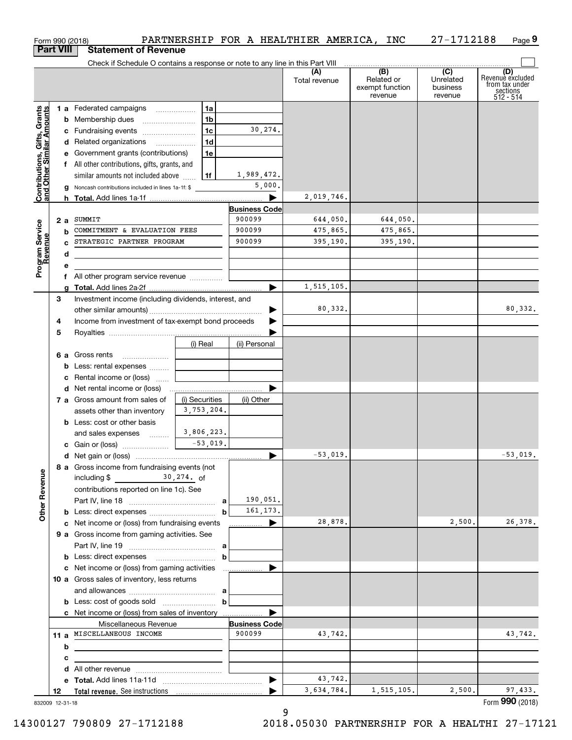| <b>Part VIII</b><br><b>Statement of Revenue</b><br>Check if Schedule O contains a response or note to any line in this Part VIII<br>(B)<br>(C)<br>(D)<br>Revenue excluded<br>(A)<br>Related or<br>Unrelated<br>Total revenue<br>from tax under<br>exempt function<br>business<br>sections<br>512 - 514<br>revenue<br>revenue<br>Contributions, Gifts, Grants<br>and Other Similar Amounts<br>1a<br><b>1 a</b> Federated campaigns <b>contained</b><br><b>b</b> Membership dues <i></i><br>1 <sub>b</sub><br>30,274.<br>1c<br>c Fundraising events<br>1 <sub>d</sub><br>d Related organizations<br>e Government grants (contributions)<br>1e<br>f All other contributions, gifts, grants, and<br>1,989,472.<br>similar amounts not included above<br>l 1f<br>5,000.<br><b>g</b> Noncash contributions included in lines 1a-1f: \$<br>2,019,746.<br><b>Business Code</b><br>900099<br>SUMMIT<br>644,050.<br>644,050.<br>2a<br>Program Service<br>Revenue<br>900099<br>COMMITMENT & EVALUATION FEES<br>475,865.<br>475,865.<br>b<br>STRATEGIC PARTNER PROGRAM<br>900099<br>395,190.<br>395,190.<br>d<br>е<br>All other program service revenue<br>1,515,105.<br>▶<br>Investment income (including dividends, interest, and<br>3<br>80,332.<br>▶<br>Income from investment of tax-exempt bond proceeds<br>4<br>▶<br>5<br>(i) Real<br>(ii) Personal<br>6 a Gross rents<br><b>b</b> Less: rental expenses<br>c Rental income or (loss)<br>d Net rental income or (loss)<br>7 a Gross amount from sales of<br>(i) Securities<br>(ii) Other<br>3,753,204.<br>assets other than inventory<br><b>b</b> Less: cost or other basis<br>3,806,223.<br>and sales expenses<br>$-53,019.$<br>c Gain or (loss)<br>$-53,019.$<br>$-53,019.$<br>8 a Gross income from fundraising events (not<br><b>Other Revenue</b><br>including $$ 30,274.$ of<br>contributions reported on line 1c). See<br>190,051.<br>a<br>161, 173.<br>b<br>28,878.<br>2,500.<br>c Net income or (loss) from fundraising events<br>▶<br>9 a Gross income from gaming activities. See<br>а<br>b<br>c Net income or (loss) from gaming activities<br>10 a Gross sales of inventory, less returns<br>а<br>b<br>c Net income or (loss) from sales of inventory<br><b>Business Code</b><br>Miscellaneous Revenue<br>900099<br>11 a MISCELLANEOUS INCOME<br>43,742.<br>43,742.<br>b<br>с<br>d<br>43,742.<br>▶<br>3,634,784.<br>1,515,105.<br>2,500.<br>97,433.<br>12<br>832009 12-31-18 |  | Form 990 (2018) |  | PARTNERSHIP FOR A HEALTHIER AMERICA, INC | 27-1712188 | Page 9          |
|--------------------------------------------------------------------------------------------------------------------------------------------------------------------------------------------------------------------------------------------------------------------------------------------------------------------------------------------------------------------------------------------------------------------------------------------------------------------------------------------------------------------------------------------------------------------------------------------------------------------------------------------------------------------------------------------------------------------------------------------------------------------------------------------------------------------------------------------------------------------------------------------------------------------------------------------------------------------------------------------------------------------------------------------------------------------------------------------------------------------------------------------------------------------------------------------------------------------------------------------------------------------------------------------------------------------------------------------------------------------------------------------------------------------------------------------------------------------------------------------------------------------------------------------------------------------------------------------------------------------------------------------------------------------------------------------------------------------------------------------------------------------------------------------------------------------------------------------------------------------------------------------------------------------------------------------------------------------------------------------------------------------------------------------------------------------------------------------------------------------------------------------------------------------------------------------------------------------------------------------------------------------------------------------------------------------------------------------------------------------------------------------------------------------------------------|--|-----------------|--|------------------------------------------|------------|-----------------|
|                                                                                                                                                                                                                                                                                                                                                                                                                                                                                                                                                                                                                                                                                                                                                                                                                                                                                                                                                                                                                                                                                                                                                                                                                                                                                                                                                                                                                                                                                                                                                                                                                                                                                                                                                                                                                                                                                                                                                                                                                                                                                                                                                                                                                                                                                                                                                                                                                                      |  |                 |  |                                          |            |                 |
|                                                                                                                                                                                                                                                                                                                                                                                                                                                                                                                                                                                                                                                                                                                                                                                                                                                                                                                                                                                                                                                                                                                                                                                                                                                                                                                                                                                                                                                                                                                                                                                                                                                                                                                                                                                                                                                                                                                                                                                                                                                                                                                                                                                                                                                                                                                                                                                                                                      |  |                 |  |                                          |            |                 |
|                                                                                                                                                                                                                                                                                                                                                                                                                                                                                                                                                                                                                                                                                                                                                                                                                                                                                                                                                                                                                                                                                                                                                                                                                                                                                                                                                                                                                                                                                                                                                                                                                                                                                                                                                                                                                                                                                                                                                                                                                                                                                                                                                                                                                                                                                                                                                                                                                                      |  |                 |  |                                          |            |                 |
|                                                                                                                                                                                                                                                                                                                                                                                                                                                                                                                                                                                                                                                                                                                                                                                                                                                                                                                                                                                                                                                                                                                                                                                                                                                                                                                                                                                                                                                                                                                                                                                                                                                                                                                                                                                                                                                                                                                                                                                                                                                                                                                                                                                                                                                                                                                                                                                                                                      |  |                 |  |                                          |            |                 |
|                                                                                                                                                                                                                                                                                                                                                                                                                                                                                                                                                                                                                                                                                                                                                                                                                                                                                                                                                                                                                                                                                                                                                                                                                                                                                                                                                                                                                                                                                                                                                                                                                                                                                                                                                                                                                                                                                                                                                                                                                                                                                                                                                                                                                                                                                                                                                                                                                                      |  |                 |  |                                          |            |                 |
|                                                                                                                                                                                                                                                                                                                                                                                                                                                                                                                                                                                                                                                                                                                                                                                                                                                                                                                                                                                                                                                                                                                                                                                                                                                                                                                                                                                                                                                                                                                                                                                                                                                                                                                                                                                                                                                                                                                                                                                                                                                                                                                                                                                                                                                                                                                                                                                                                                      |  |                 |  |                                          |            |                 |
|                                                                                                                                                                                                                                                                                                                                                                                                                                                                                                                                                                                                                                                                                                                                                                                                                                                                                                                                                                                                                                                                                                                                                                                                                                                                                                                                                                                                                                                                                                                                                                                                                                                                                                                                                                                                                                                                                                                                                                                                                                                                                                                                                                                                                                                                                                                                                                                                                                      |  |                 |  |                                          |            |                 |
|                                                                                                                                                                                                                                                                                                                                                                                                                                                                                                                                                                                                                                                                                                                                                                                                                                                                                                                                                                                                                                                                                                                                                                                                                                                                                                                                                                                                                                                                                                                                                                                                                                                                                                                                                                                                                                                                                                                                                                                                                                                                                                                                                                                                                                                                                                                                                                                                                                      |  |                 |  |                                          |            |                 |
|                                                                                                                                                                                                                                                                                                                                                                                                                                                                                                                                                                                                                                                                                                                                                                                                                                                                                                                                                                                                                                                                                                                                                                                                                                                                                                                                                                                                                                                                                                                                                                                                                                                                                                                                                                                                                                                                                                                                                                                                                                                                                                                                                                                                                                                                                                                                                                                                                                      |  |                 |  |                                          |            |                 |
|                                                                                                                                                                                                                                                                                                                                                                                                                                                                                                                                                                                                                                                                                                                                                                                                                                                                                                                                                                                                                                                                                                                                                                                                                                                                                                                                                                                                                                                                                                                                                                                                                                                                                                                                                                                                                                                                                                                                                                                                                                                                                                                                                                                                                                                                                                                                                                                                                                      |  |                 |  |                                          |            |                 |
|                                                                                                                                                                                                                                                                                                                                                                                                                                                                                                                                                                                                                                                                                                                                                                                                                                                                                                                                                                                                                                                                                                                                                                                                                                                                                                                                                                                                                                                                                                                                                                                                                                                                                                                                                                                                                                                                                                                                                                                                                                                                                                                                                                                                                                                                                                                                                                                                                                      |  |                 |  |                                          |            |                 |
|                                                                                                                                                                                                                                                                                                                                                                                                                                                                                                                                                                                                                                                                                                                                                                                                                                                                                                                                                                                                                                                                                                                                                                                                                                                                                                                                                                                                                                                                                                                                                                                                                                                                                                                                                                                                                                                                                                                                                                                                                                                                                                                                                                                                                                                                                                                                                                                                                                      |  |                 |  |                                          |            |                 |
|                                                                                                                                                                                                                                                                                                                                                                                                                                                                                                                                                                                                                                                                                                                                                                                                                                                                                                                                                                                                                                                                                                                                                                                                                                                                                                                                                                                                                                                                                                                                                                                                                                                                                                                                                                                                                                                                                                                                                                                                                                                                                                                                                                                                                                                                                                                                                                                                                                      |  |                 |  |                                          |            |                 |
|                                                                                                                                                                                                                                                                                                                                                                                                                                                                                                                                                                                                                                                                                                                                                                                                                                                                                                                                                                                                                                                                                                                                                                                                                                                                                                                                                                                                                                                                                                                                                                                                                                                                                                                                                                                                                                                                                                                                                                                                                                                                                                                                                                                                                                                                                                                                                                                                                                      |  |                 |  |                                          |            |                 |
|                                                                                                                                                                                                                                                                                                                                                                                                                                                                                                                                                                                                                                                                                                                                                                                                                                                                                                                                                                                                                                                                                                                                                                                                                                                                                                                                                                                                                                                                                                                                                                                                                                                                                                                                                                                                                                                                                                                                                                                                                                                                                                                                                                                                                                                                                                                                                                                                                                      |  |                 |  |                                          |            |                 |
|                                                                                                                                                                                                                                                                                                                                                                                                                                                                                                                                                                                                                                                                                                                                                                                                                                                                                                                                                                                                                                                                                                                                                                                                                                                                                                                                                                                                                                                                                                                                                                                                                                                                                                                                                                                                                                                                                                                                                                                                                                                                                                                                                                                                                                                                                                                                                                                                                                      |  |                 |  |                                          |            |                 |
|                                                                                                                                                                                                                                                                                                                                                                                                                                                                                                                                                                                                                                                                                                                                                                                                                                                                                                                                                                                                                                                                                                                                                                                                                                                                                                                                                                                                                                                                                                                                                                                                                                                                                                                                                                                                                                                                                                                                                                                                                                                                                                                                                                                                                                                                                                                                                                                                                                      |  |                 |  |                                          |            |                 |
|                                                                                                                                                                                                                                                                                                                                                                                                                                                                                                                                                                                                                                                                                                                                                                                                                                                                                                                                                                                                                                                                                                                                                                                                                                                                                                                                                                                                                                                                                                                                                                                                                                                                                                                                                                                                                                                                                                                                                                                                                                                                                                                                                                                                                                                                                                                                                                                                                                      |  |                 |  |                                          |            |                 |
|                                                                                                                                                                                                                                                                                                                                                                                                                                                                                                                                                                                                                                                                                                                                                                                                                                                                                                                                                                                                                                                                                                                                                                                                                                                                                                                                                                                                                                                                                                                                                                                                                                                                                                                                                                                                                                                                                                                                                                                                                                                                                                                                                                                                                                                                                                                                                                                                                                      |  |                 |  |                                          |            |                 |
|                                                                                                                                                                                                                                                                                                                                                                                                                                                                                                                                                                                                                                                                                                                                                                                                                                                                                                                                                                                                                                                                                                                                                                                                                                                                                                                                                                                                                                                                                                                                                                                                                                                                                                                                                                                                                                                                                                                                                                                                                                                                                                                                                                                                                                                                                                                                                                                                                                      |  |                 |  |                                          |            |                 |
|                                                                                                                                                                                                                                                                                                                                                                                                                                                                                                                                                                                                                                                                                                                                                                                                                                                                                                                                                                                                                                                                                                                                                                                                                                                                                                                                                                                                                                                                                                                                                                                                                                                                                                                                                                                                                                                                                                                                                                                                                                                                                                                                                                                                                                                                                                                                                                                                                                      |  |                 |  |                                          |            |                 |
|                                                                                                                                                                                                                                                                                                                                                                                                                                                                                                                                                                                                                                                                                                                                                                                                                                                                                                                                                                                                                                                                                                                                                                                                                                                                                                                                                                                                                                                                                                                                                                                                                                                                                                                                                                                                                                                                                                                                                                                                                                                                                                                                                                                                                                                                                                                                                                                                                                      |  |                 |  |                                          |            | 80,332.         |
|                                                                                                                                                                                                                                                                                                                                                                                                                                                                                                                                                                                                                                                                                                                                                                                                                                                                                                                                                                                                                                                                                                                                                                                                                                                                                                                                                                                                                                                                                                                                                                                                                                                                                                                                                                                                                                                                                                                                                                                                                                                                                                                                                                                                                                                                                                                                                                                                                                      |  |                 |  |                                          |            |                 |
|                                                                                                                                                                                                                                                                                                                                                                                                                                                                                                                                                                                                                                                                                                                                                                                                                                                                                                                                                                                                                                                                                                                                                                                                                                                                                                                                                                                                                                                                                                                                                                                                                                                                                                                                                                                                                                                                                                                                                                                                                                                                                                                                                                                                                                                                                                                                                                                                                                      |  |                 |  |                                          |            |                 |
|                                                                                                                                                                                                                                                                                                                                                                                                                                                                                                                                                                                                                                                                                                                                                                                                                                                                                                                                                                                                                                                                                                                                                                                                                                                                                                                                                                                                                                                                                                                                                                                                                                                                                                                                                                                                                                                                                                                                                                                                                                                                                                                                                                                                                                                                                                                                                                                                                                      |  |                 |  |                                          |            |                 |
|                                                                                                                                                                                                                                                                                                                                                                                                                                                                                                                                                                                                                                                                                                                                                                                                                                                                                                                                                                                                                                                                                                                                                                                                                                                                                                                                                                                                                                                                                                                                                                                                                                                                                                                                                                                                                                                                                                                                                                                                                                                                                                                                                                                                                                                                                                                                                                                                                                      |  |                 |  |                                          |            |                 |
|                                                                                                                                                                                                                                                                                                                                                                                                                                                                                                                                                                                                                                                                                                                                                                                                                                                                                                                                                                                                                                                                                                                                                                                                                                                                                                                                                                                                                                                                                                                                                                                                                                                                                                                                                                                                                                                                                                                                                                                                                                                                                                                                                                                                                                                                                                                                                                                                                                      |  |                 |  |                                          |            |                 |
|                                                                                                                                                                                                                                                                                                                                                                                                                                                                                                                                                                                                                                                                                                                                                                                                                                                                                                                                                                                                                                                                                                                                                                                                                                                                                                                                                                                                                                                                                                                                                                                                                                                                                                                                                                                                                                                                                                                                                                                                                                                                                                                                                                                                                                                                                                                                                                                                                                      |  |                 |  |                                          |            |                 |
|                                                                                                                                                                                                                                                                                                                                                                                                                                                                                                                                                                                                                                                                                                                                                                                                                                                                                                                                                                                                                                                                                                                                                                                                                                                                                                                                                                                                                                                                                                                                                                                                                                                                                                                                                                                                                                                                                                                                                                                                                                                                                                                                                                                                                                                                                                                                                                                                                                      |  |                 |  |                                          |            |                 |
|                                                                                                                                                                                                                                                                                                                                                                                                                                                                                                                                                                                                                                                                                                                                                                                                                                                                                                                                                                                                                                                                                                                                                                                                                                                                                                                                                                                                                                                                                                                                                                                                                                                                                                                                                                                                                                                                                                                                                                                                                                                                                                                                                                                                                                                                                                                                                                                                                                      |  |                 |  |                                          |            |                 |
|                                                                                                                                                                                                                                                                                                                                                                                                                                                                                                                                                                                                                                                                                                                                                                                                                                                                                                                                                                                                                                                                                                                                                                                                                                                                                                                                                                                                                                                                                                                                                                                                                                                                                                                                                                                                                                                                                                                                                                                                                                                                                                                                                                                                                                                                                                                                                                                                                                      |  |                 |  |                                          |            |                 |
|                                                                                                                                                                                                                                                                                                                                                                                                                                                                                                                                                                                                                                                                                                                                                                                                                                                                                                                                                                                                                                                                                                                                                                                                                                                                                                                                                                                                                                                                                                                                                                                                                                                                                                                                                                                                                                                                                                                                                                                                                                                                                                                                                                                                                                                                                                                                                                                                                                      |  |                 |  |                                          |            |                 |
|                                                                                                                                                                                                                                                                                                                                                                                                                                                                                                                                                                                                                                                                                                                                                                                                                                                                                                                                                                                                                                                                                                                                                                                                                                                                                                                                                                                                                                                                                                                                                                                                                                                                                                                                                                                                                                                                                                                                                                                                                                                                                                                                                                                                                                                                                                                                                                                                                                      |  |                 |  |                                          |            |                 |
|                                                                                                                                                                                                                                                                                                                                                                                                                                                                                                                                                                                                                                                                                                                                                                                                                                                                                                                                                                                                                                                                                                                                                                                                                                                                                                                                                                                                                                                                                                                                                                                                                                                                                                                                                                                                                                                                                                                                                                                                                                                                                                                                                                                                                                                                                                                                                                                                                                      |  |                 |  |                                          |            |                 |
|                                                                                                                                                                                                                                                                                                                                                                                                                                                                                                                                                                                                                                                                                                                                                                                                                                                                                                                                                                                                                                                                                                                                                                                                                                                                                                                                                                                                                                                                                                                                                                                                                                                                                                                                                                                                                                                                                                                                                                                                                                                                                                                                                                                                                                                                                                                                                                                                                                      |  |                 |  |                                          |            |                 |
|                                                                                                                                                                                                                                                                                                                                                                                                                                                                                                                                                                                                                                                                                                                                                                                                                                                                                                                                                                                                                                                                                                                                                                                                                                                                                                                                                                                                                                                                                                                                                                                                                                                                                                                                                                                                                                                                                                                                                                                                                                                                                                                                                                                                                                                                                                                                                                                                                                      |  |                 |  |                                          |            |                 |
|                                                                                                                                                                                                                                                                                                                                                                                                                                                                                                                                                                                                                                                                                                                                                                                                                                                                                                                                                                                                                                                                                                                                                                                                                                                                                                                                                                                                                                                                                                                                                                                                                                                                                                                                                                                                                                                                                                                                                                                                                                                                                                                                                                                                                                                                                                                                                                                                                                      |  |                 |  |                                          |            |                 |
|                                                                                                                                                                                                                                                                                                                                                                                                                                                                                                                                                                                                                                                                                                                                                                                                                                                                                                                                                                                                                                                                                                                                                                                                                                                                                                                                                                                                                                                                                                                                                                                                                                                                                                                                                                                                                                                                                                                                                                                                                                                                                                                                                                                                                                                                                                                                                                                                                                      |  |                 |  |                                          |            |                 |
|                                                                                                                                                                                                                                                                                                                                                                                                                                                                                                                                                                                                                                                                                                                                                                                                                                                                                                                                                                                                                                                                                                                                                                                                                                                                                                                                                                                                                                                                                                                                                                                                                                                                                                                                                                                                                                                                                                                                                                                                                                                                                                                                                                                                                                                                                                                                                                                                                                      |  |                 |  |                                          |            |                 |
|                                                                                                                                                                                                                                                                                                                                                                                                                                                                                                                                                                                                                                                                                                                                                                                                                                                                                                                                                                                                                                                                                                                                                                                                                                                                                                                                                                                                                                                                                                                                                                                                                                                                                                                                                                                                                                                                                                                                                                                                                                                                                                                                                                                                                                                                                                                                                                                                                                      |  |                 |  |                                          |            | 26,378.         |
|                                                                                                                                                                                                                                                                                                                                                                                                                                                                                                                                                                                                                                                                                                                                                                                                                                                                                                                                                                                                                                                                                                                                                                                                                                                                                                                                                                                                                                                                                                                                                                                                                                                                                                                                                                                                                                                                                                                                                                                                                                                                                                                                                                                                                                                                                                                                                                                                                                      |  |                 |  |                                          |            |                 |
|                                                                                                                                                                                                                                                                                                                                                                                                                                                                                                                                                                                                                                                                                                                                                                                                                                                                                                                                                                                                                                                                                                                                                                                                                                                                                                                                                                                                                                                                                                                                                                                                                                                                                                                                                                                                                                                                                                                                                                                                                                                                                                                                                                                                                                                                                                                                                                                                                                      |  |                 |  |                                          |            |                 |
|                                                                                                                                                                                                                                                                                                                                                                                                                                                                                                                                                                                                                                                                                                                                                                                                                                                                                                                                                                                                                                                                                                                                                                                                                                                                                                                                                                                                                                                                                                                                                                                                                                                                                                                                                                                                                                                                                                                                                                                                                                                                                                                                                                                                                                                                                                                                                                                                                                      |  |                 |  |                                          |            |                 |
|                                                                                                                                                                                                                                                                                                                                                                                                                                                                                                                                                                                                                                                                                                                                                                                                                                                                                                                                                                                                                                                                                                                                                                                                                                                                                                                                                                                                                                                                                                                                                                                                                                                                                                                                                                                                                                                                                                                                                                                                                                                                                                                                                                                                                                                                                                                                                                                                                                      |  |                 |  |                                          |            |                 |
|                                                                                                                                                                                                                                                                                                                                                                                                                                                                                                                                                                                                                                                                                                                                                                                                                                                                                                                                                                                                                                                                                                                                                                                                                                                                                                                                                                                                                                                                                                                                                                                                                                                                                                                                                                                                                                                                                                                                                                                                                                                                                                                                                                                                                                                                                                                                                                                                                                      |  |                 |  |                                          |            |                 |
|                                                                                                                                                                                                                                                                                                                                                                                                                                                                                                                                                                                                                                                                                                                                                                                                                                                                                                                                                                                                                                                                                                                                                                                                                                                                                                                                                                                                                                                                                                                                                                                                                                                                                                                                                                                                                                                                                                                                                                                                                                                                                                                                                                                                                                                                                                                                                                                                                                      |  |                 |  |                                          |            |                 |
|                                                                                                                                                                                                                                                                                                                                                                                                                                                                                                                                                                                                                                                                                                                                                                                                                                                                                                                                                                                                                                                                                                                                                                                                                                                                                                                                                                                                                                                                                                                                                                                                                                                                                                                                                                                                                                                                                                                                                                                                                                                                                                                                                                                                                                                                                                                                                                                                                                      |  |                 |  |                                          |            |                 |
|                                                                                                                                                                                                                                                                                                                                                                                                                                                                                                                                                                                                                                                                                                                                                                                                                                                                                                                                                                                                                                                                                                                                                                                                                                                                                                                                                                                                                                                                                                                                                                                                                                                                                                                                                                                                                                                                                                                                                                                                                                                                                                                                                                                                                                                                                                                                                                                                                                      |  |                 |  |                                          |            |                 |
|                                                                                                                                                                                                                                                                                                                                                                                                                                                                                                                                                                                                                                                                                                                                                                                                                                                                                                                                                                                                                                                                                                                                                                                                                                                                                                                                                                                                                                                                                                                                                                                                                                                                                                                                                                                                                                                                                                                                                                                                                                                                                                                                                                                                                                                                                                                                                                                                                                      |  |                 |  |                                          |            |                 |
|                                                                                                                                                                                                                                                                                                                                                                                                                                                                                                                                                                                                                                                                                                                                                                                                                                                                                                                                                                                                                                                                                                                                                                                                                                                                                                                                                                                                                                                                                                                                                                                                                                                                                                                                                                                                                                                                                                                                                                                                                                                                                                                                                                                                                                                                                                                                                                                                                                      |  |                 |  |                                          |            |                 |
|                                                                                                                                                                                                                                                                                                                                                                                                                                                                                                                                                                                                                                                                                                                                                                                                                                                                                                                                                                                                                                                                                                                                                                                                                                                                                                                                                                                                                                                                                                                                                                                                                                                                                                                                                                                                                                                                                                                                                                                                                                                                                                                                                                                                                                                                                                                                                                                                                                      |  |                 |  |                                          |            |                 |
|                                                                                                                                                                                                                                                                                                                                                                                                                                                                                                                                                                                                                                                                                                                                                                                                                                                                                                                                                                                                                                                                                                                                                                                                                                                                                                                                                                                                                                                                                                                                                                                                                                                                                                                                                                                                                                                                                                                                                                                                                                                                                                                                                                                                                                                                                                                                                                                                                                      |  |                 |  |                                          |            |                 |
|                                                                                                                                                                                                                                                                                                                                                                                                                                                                                                                                                                                                                                                                                                                                                                                                                                                                                                                                                                                                                                                                                                                                                                                                                                                                                                                                                                                                                                                                                                                                                                                                                                                                                                                                                                                                                                                                                                                                                                                                                                                                                                                                                                                                                                                                                                                                                                                                                                      |  |                 |  |                                          |            |                 |
|                                                                                                                                                                                                                                                                                                                                                                                                                                                                                                                                                                                                                                                                                                                                                                                                                                                                                                                                                                                                                                                                                                                                                                                                                                                                                                                                                                                                                                                                                                                                                                                                                                                                                                                                                                                                                                                                                                                                                                                                                                                                                                                                                                                                                                                                                                                                                                                                                                      |  |                 |  |                                          |            |                 |
|                                                                                                                                                                                                                                                                                                                                                                                                                                                                                                                                                                                                                                                                                                                                                                                                                                                                                                                                                                                                                                                                                                                                                                                                                                                                                                                                                                                                                                                                                                                                                                                                                                                                                                                                                                                                                                                                                                                                                                                                                                                                                                                                                                                                                                                                                                                                                                                                                                      |  |                 |  |                                          |            | Form 990 (2018) |

832009 12-31-18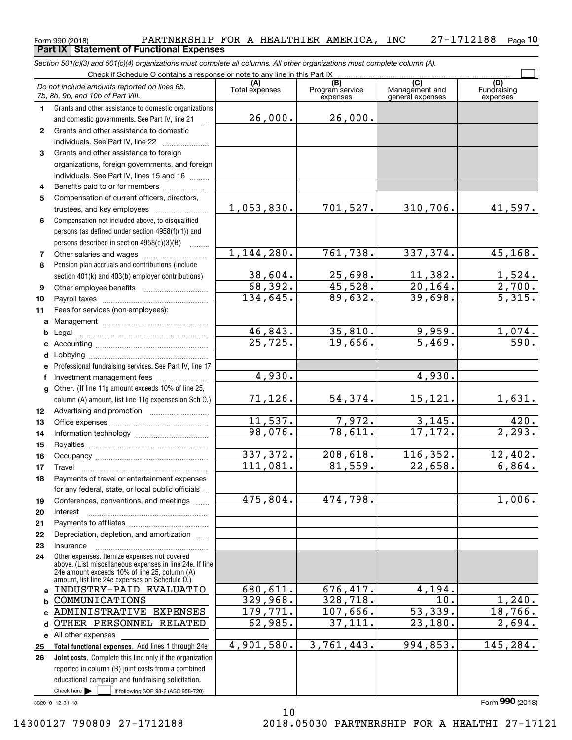#### Form 990 (2018) Page PARTNERSHIP FOR A HEALTHIER AMERICA, INC 27-1712188 **10 Part IX Statement of Functional Expenses**

*Section 501(c)(3) and 501(c)(4) organizations must complete all columns. All other organizations must complete column (A).*

|              | Check if Schedule O contains a response or note to any line in this Part IX                                                   |                       |                                    |                                           |                                 |  |  |  |  |  |  |  |
|--------------|-------------------------------------------------------------------------------------------------------------------------------|-----------------------|------------------------------------|-------------------------------------------|---------------------------------|--|--|--|--|--|--|--|
|              | Do not include amounts reported on lines 6b,<br>7b, 8b, 9b, and 10b of Part VIII.                                             | (A)<br>Total expenses | (B)<br>Program service<br>expenses | (C)<br>Management and<br>general expenses | (D)<br>Fundraising<br>expenses  |  |  |  |  |  |  |  |
| 1.           | Grants and other assistance to domestic organizations                                                                         |                       |                                    |                                           |                                 |  |  |  |  |  |  |  |
|              | and domestic governments. See Part IV, line 21                                                                                | 26,000.               | 26,000.                            |                                           |                                 |  |  |  |  |  |  |  |
| $\mathbf{2}$ | Grants and other assistance to domestic                                                                                       |                       |                                    |                                           |                                 |  |  |  |  |  |  |  |
|              | individuals. See Part IV, line 22                                                                                             |                       |                                    |                                           |                                 |  |  |  |  |  |  |  |
| 3            | Grants and other assistance to foreign                                                                                        |                       |                                    |                                           |                                 |  |  |  |  |  |  |  |
|              | organizations, foreign governments, and foreign                                                                               |                       |                                    |                                           |                                 |  |  |  |  |  |  |  |
|              | individuals. See Part IV, lines 15 and 16                                                                                     |                       |                                    |                                           |                                 |  |  |  |  |  |  |  |
| 4            | Benefits paid to or for members                                                                                               |                       |                                    |                                           |                                 |  |  |  |  |  |  |  |
| 5            | Compensation of current officers, directors,                                                                                  |                       |                                    |                                           |                                 |  |  |  |  |  |  |  |
|              |                                                                                                                               | 1,053,830.            | 701,527.                           | 310,706.                                  | 41,597.                         |  |  |  |  |  |  |  |
| 6            | Compensation not included above, to disqualified                                                                              |                       |                                    |                                           |                                 |  |  |  |  |  |  |  |
|              | persons (as defined under section 4958(f)(1)) and                                                                             |                       |                                    |                                           |                                 |  |  |  |  |  |  |  |
|              | persons described in section 4958(c)(3)(B)<br>.                                                                               | 1,144,280.            | 761, 738.                          | 337, 374.                                 | 45,168.                         |  |  |  |  |  |  |  |
| 7            |                                                                                                                               |                       |                                    |                                           |                                 |  |  |  |  |  |  |  |
| 8            | Pension plan accruals and contributions (include                                                                              | 38,604.               | 25,698.                            | 11,382.                                   |                                 |  |  |  |  |  |  |  |
|              | section 401(k) and 403(b) employer contributions)                                                                             | 68,392.               | $\overline{45,528}$ .              | $\overline{20,164}$ .                     |                                 |  |  |  |  |  |  |  |
| 9<br>10      |                                                                                                                               | 134,645.              | 89,632.                            | 39,698.                                   | $\frac{1,524}{2,700}$<br>5,315. |  |  |  |  |  |  |  |
| 11           | Fees for services (non-employees):                                                                                            |                       |                                    |                                           |                                 |  |  |  |  |  |  |  |
| a            |                                                                                                                               |                       |                                    |                                           |                                 |  |  |  |  |  |  |  |
| b            |                                                                                                                               | 46,843.               | 35,810.                            | 9,959.                                    |                                 |  |  |  |  |  |  |  |
| c            |                                                                                                                               | $\overline{25,725}$ . | 19,666.                            | 5,469.                                    | $\frac{1,074.590.5}{}$          |  |  |  |  |  |  |  |
| d            |                                                                                                                               |                       |                                    |                                           |                                 |  |  |  |  |  |  |  |
|              | Professional fundraising services. See Part IV, line 17                                                                       |                       |                                    |                                           |                                 |  |  |  |  |  |  |  |
| f            | Investment management fees                                                                                                    | 4,930.                |                                    | 4,930.                                    |                                 |  |  |  |  |  |  |  |
| g            | Other. (If line 11g amount exceeds 10% of line 25,                                                                            |                       |                                    |                                           |                                 |  |  |  |  |  |  |  |
|              | column (A) amount, list line 11g expenses on Sch O.)                                                                          | 71,126.               | 54,374.                            | 15,121.                                   | 1,631.                          |  |  |  |  |  |  |  |
| 12           |                                                                                                                               |                       |                                    |                                           |                                 |  |  |  |  |  |  |  |
| 13           |                                                                                                                               | 11,537.               | 7,972.                             | 3,145.                                    | 420.                            |  |  |  |  |  |  |  |
| 14           |                                                                                                                               | 98,076.               | 78,611.                            | 17, 172.                                  | $\overline{2,293.}$             |  |  |  |  |  |  |  |
| 15           |                                                                                                                               |                       |                                    |                                           |                                 |  |  |  |  |  |  |  |
| 16           |                                                                                                                               | 337,372.              | 208,618.                           | 116,352.                                  | 12,402.                         |  |  |  |  |  |  |  |
| 17           | Travel                                                                                                                        | 111,081.              | 81,559.                            | 22,658.                                   | 6,864.                          |  |  |  |  |  |  |  |
| 18           | Payments of travel or entertainment expenses                                                                                  |                       |                                    |                                           |                                 |  |  |  |  |  |  |  |
|              | for any federal, state, or local public officials                                                                             | 475,804.              | 474,798.                           |                                           | 1,006.                          |  |  |  |  |  |  |  |
| 19<br>20     | Conferences, conventions, and meetings<br>Interest                                                                            |                       |                                    |                                           |                                 |  |  |  |  |  |  |  |
| 21           |                                                                                                                               |                       |                                    |                                           |                                 |  |  |  |  |  |  |  |
| 22           | Depreciation, depletion, and amortization                                                                                     |                       |                                    |                                           |                                 |  |  |  |  |  |  |  |
| 23           | Insurance                                                                                                                     |                       |                                    |                                           |                                 |  |  |  |  |  |  |  |
| 24           | Other expenses. Itemize expenses not covered                                                                                  |                       |                                    |                                           |                                 |  |  |  |  |  |  |  |
|              | above. (List miscellaneous expenses in line 24e. If line<br>24e amount exceeds 10% of line 25, column (A)                     |                       |                                    |                                           |                                 |  |  |  |  |  |  |  |
|              | amount, list line 24e expenses on Schedule O.)                                                                                |                       |                                    |                                           |                                 |  |  |  |  |  |  |  |
| a            | INDUSTRY-PAID EVALUATIO                                                                                                       | 680, 611.             | 676,417.                           | 4,194.                                    |                                 |  |  |  |  |  |  |  |
| b            | COMMUNICATIONS                                                                                                                | 329,968.              | 328, 718.                          | $\overline{10}$ .                         | 1,240.                          |  |  |  |  |  |  |  |
| C            | ADMINISTRATIVE EXPENSES                                                                                                       | 179,771.              | 107,666.                           | 53,339.                                   | 18,766.                         |  |  |  |  |  |  |  |
| d            | OTHER PERSONNEL RELATED                                                                                                       | 62,985.               | 37,111.                            | 23,180.                                   | 2,694.                          |  |  |  |  |  |  |  |
|              | e All other expenses                                                                                                          |                       |                                    |                                           |                                 |  |  |  |  |  |  |  |
| 25           | Total functional expenses. Add lines 1 through 24e                                                                            | 4,901,580.            | 3,761,443.                         | 994,853.                                  | 145,284.                        |  |  |  |  |  |  |  |
| 26           | Joint costs. Complete this line only if the organization                                                                      |                       |                                    |                                           |                                 |  |  |  |  |  |  |  |
|              | reported in column (B) joint costs from a combined                                                                            |                       |                                    |                                           |                                 |  |  |  |  |  |  |  |
|              | educational campaign and fundraising solicitation.<br>Check here $\blacktriangleright$<br>if following SOP 98-2 (ASC 958-720) |                       |                                    |                                           |                                 |  |  |  |  |  |  |  |
|              |                                                                                                                               |                       |                                    |                                           |                                 |  |  |  |  |  |  |  |

10

832010 12-31-18

Form (2018) **990**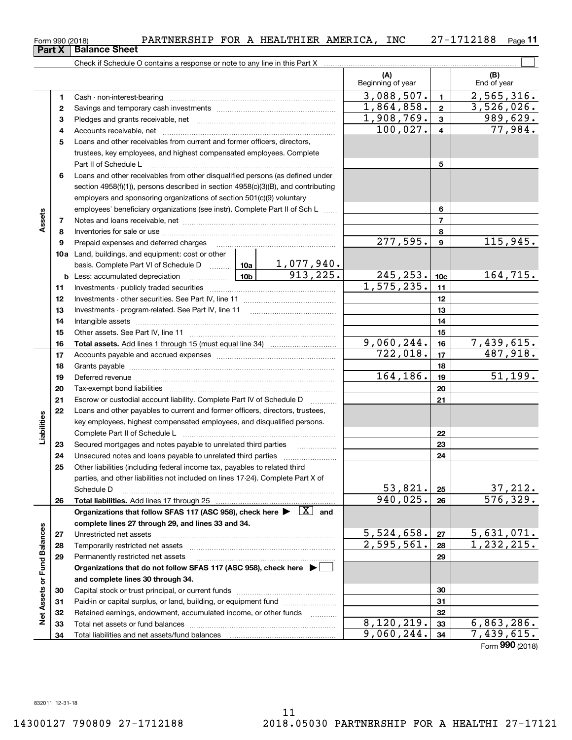| 990 (2018)<br>∙orm | PARTNERSHIP | <b>FOR</b><br>A | <b>HEALTHIER</b> | AMERICA | INC | ת ה | -<br>Page |
|--------------------|-------------|-----------------|------------------|---------|-----|-----|-----------|
|                    |             |                 |                  |         |     |     |           |

|                             |    |                                                                                                                                                                                                                                | (A)<br>Beginning of year |                         | (B)<br>End of year             |
|-----------------------------|----|--------------------------------------------------------------------------------------------------------------------------------------------------------------------------------------------------------------------------------|--------------------------|-------------------------|--------------------------------|
|                             | 1  |                                                                                                                                                                                                                                | 3,088,507.               | $\mathbf{1}$            | 2,565,316.                     |
|                             | 2  |                                                                                                                                                                                                                                | 1,864,858.               | $\mathbf{2}$            | 3,526,026.                     |
|                             | 3  |                                                                                                                                                                                                                                | 1,908,769.               | $\mathbf{3}$            | 989,629.                       |
|                             | 4  |                                                                                                                                                                                                                                | 100,027.                 | $\overline{\mathbf{4}}$ | 77,984.                        |
|                             | 5  | Loans and other receivables from current and former officers, directors,                                                                                                                                                       |                          |                         |                                |
|                             |    | trustees, key employees, and highest compensated employees. Complete                                                                                                                                                           |                          |                         |                                |
|                             |    | Part II of Schedule Latin million and Contact March 2014                                                                                                                                                                       |                          | 5                       |                                |
|                             | 6  | Loans and other receivables from other disqualified persons (as defined under                                                                                                                                                  |                          |                         |                                |
|                             |    | section 4958(f)(1)), persons described in section 4958(c)(3)(B), and contributing                                                                                                                                              |                          |                         |                                |
|                             |    | employers and sponsoring organizations of section 501(c)(9) voluntary                                                                                                                                                          |                          |                         |                                |
|                             |    | employees' beneficiary organizations (see instr). Complete Part II of Sch L                                                                                                                                                    |                          | 6                       |                                |
| Assets                      | 7  |                                                                                                                                                                                                                                |                          | $\overline{7}$          |                                |
|                             | 8  |                                                                                                                                                                                                                                |                          | 8                       |                                |
|                             | 9  | Prepaid expenses and deferred charges                                                                                                                                                                                          | $\overline{277,595}$ .   | $\boldsymbol{9}$        | 115,945.                       |
|                             |    | <b>10a</b> Land, buildings, and equipment: cost or other                                                                                                                                                                       |                          |                         |                                |
|                             |    | basis. Complete Part VI of Schedule D  10a   1, 077, 940.                                                                                                                                                                      |                          |                         |                                |
|                             |    | 913, 225.<br><u>  1</u> 0b<br><b>b</b> Less: accumulated depreciation                                                                                                                                                          | 245, 253.                | 10 <sub>c</sub>         | 164,715.                       |
|                             | 11 |                                                                                                                                                                                                                                | 1,575,235.               | 11                      |                                |
|                             | 12 |                                                                                                                                                                                                                                |                          | 12                      |                                |
|                             | 13 |                                                                                                                                                                                                                                |                          | 13                      |                                |
|                             | 14 |                                                                                                                                                                                                                                |                          | 14                      |                                |
|                             | 15 |                                                                                                                                                                                                                                |                          | 15                      |                                |
|                             | 16 |                                                                                                                                                                                                                                | 9,060,244.               | 16                      | 7,439,615.                     |
|                             | 17 |                                                                                                                                                                                                                                | 722,018.                 | 17                      | 487,918.                       |
|                             | 18 |                                                                                                                                                                                                                                |                          | 18                      |                                |
|                             | 19 | Deferred revenue manual contracts and contracts are all the manual contracts and contracts are contracted and contracts are contracted and contract are contracted and contract are contracted and contract are contracted and | 164,186.                 | 19                      | 51, 199.                       |
|                             | 20 |                                                                                                                                                                                                                                |                          | 20                      |                                |
|                             | 21 | Escrow or custodial account liability. Complete Part IV of Schedule D<br>1.1.1.1.1.1.1.1.1.1                                                                                                                                   |                          | 21                      |                                |
|                             | 22 | Loans and other payables to current and former officers, directors, trustees,                                                                                                                                                  |                          |                         |                                |
|                             |    | key employees, highest compensated employees, and disqualified persons.                                                                                                                                                        |                          |                         |                                |
| Liabilities                 |    |                                                                                                                                                                                                                                |                          | 22                      |                                |
|                             | 23 |                                                                                                                                                                                                                                |                          | 23                      |                                |
|                             | 24 |                                                                                                                                                                                                                                |                          | 24                      |                                |
|                             | 25 | Other liabilities (including federal income tax, payables to related third                                                                                                                                                     |                          |                         |                                |
|                             |    | parties, and other liabilities not included on lines 17-24). Complete Part X of                                                                                                                                                | 53,821.                  |                         | 37,212.                        |
|                             |    | Schedule D                                                                                                                                                                                                                     | 940,025.                 | 25<br>26                | 576, 329.                      |
|                             | 26 | Organizations that follow SFAS 117 (ASC 958), check here $\blacktriangleright \begin{array}{c} \boxed{X} \\ \end{array}$ and                                                                                                   |                          |                         |                                |
|                             |    | complete lines 27 through 29, and lines 33 and 34.                                                                                                                                                                             |                          |                         |                                |
|                             | 27 |                                                                                                                                                                                                                                | 5,524,658.               | 27                      | 5,631,071.                     |
|                             | 28 |                                                                                                                                                                                                                                | 2,595,561.               | 28                      | $\overline{1,232,215}$ .       |
|                             | 29 | Permanently restricted net assets                                                                                                                                                                                              |                          | 29                      |                                |
|                             |    | Organizations that do not follow SFAS 117 (ASC 958), check here ▶                                                                                                                                                              |                          |                         |                                |
|                             |    | and complete lines 30 through 34.                                                                                                                                                                                              |                          |                         |                                |
| Net Assets or Fund Balances | 30 |                                                                                                                                                                                                                                |                          | 30                      |                                |
|                             | 31 | Paid-in or capital surplus, or land, building, or equipment fund                                                                                                                                                               |                          | 31                      |                                |
|                             | 32 | Retained earnings, endowment, accumulated income, or other funds                                                                                                                                                               |                          | 32                      |                                |
|                             | 33 |                                                                                                                                                                                                                                | 8,120,219.               | 33                      | 6,863,286.                     |
|                             | 34 |                                                                                                                                                                                                                                | 9,060,244.               | 34                      | 7,439,615.                     |
|                             |    |                                                                                                                                                                                                                                |                          |                         | $T_{\text{max}}$ 000 $(0.010)$ |

Form (2018) **990**

**11**

**Part X Balance Sheet**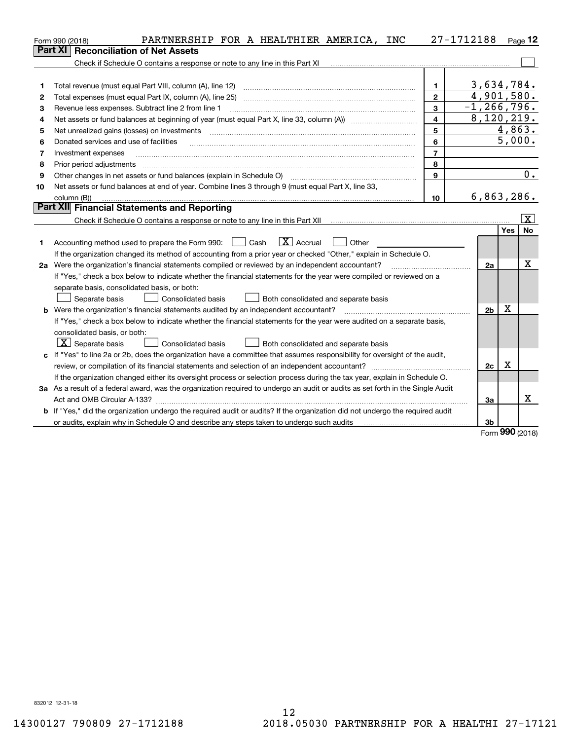|    | PARTNERSHIP FOR A HEALTHIER AMERICA, INC<br>Form 990 (2018)                                                                     |                         | 27-1712188                  |            | $Page$ 12               |
|----|---------------------------------------------------------------------------------------------------------------------------------|-------------------------|-----------------------------|------------|-------------------------|
|    | <b>Reconciliation of Net Assets</b><br>Part XI                                                                                  |                         |                             |            |                         |
|    | Check if Schedule O contains a response or note to any line in this Part XI                                                     |                         |                             |            |                         |
|    |                                                                                                                                 |                         |                             |            |                         |
| 1  | Total revenue (must equal Part VIII, column (A), line 12)                                                                       | 1.                      | 3,634,784.                  |            |                         |
| 2  | Total expenses (must equal Part IX, column (A), line 25)                                                                        | $\overline{2}$          | 4,901,580.                  |            |                         |
| 3  | Revenue less expenses. Subtract line 2 from line 1                                                                              | 3                       | $\overline{-1}$ , 266, 796. |            |                         |
| 4  |                                                                                                                                 | $\overline{\mathbf{4}}$ | 8,120,219.                  |            |                         |
| 5  | Net unrealized gains (losses) on investments                                                                                    | 5                       |                             |            | 4,863.                  |
| 6  | Donated services and use of facilities                                                                                          | 6                       |                             | 5,000.     |                         |
| 7  | Investment expenses                                                                                                             | $\overline{7}$          |                             |            |                         |
| 8  | Prior period adjustments                                                                                                        | 8                       |                             |            |                         |
| 9  |                                                                                                                                 | 9                       |                             |            | 0.                      |
| 10 | Net assets or fund balances at end of year. Combine lines 3 through 9 (must equal Part X, line 33,                              |                         |                             |            |                         |
|    | column (B))                                                                                                                     | 10                      | 6,863,286.                  |            |                         |
|    | Part XII Financial Statements and Reporting                                                                                     |                         |                             |            |                         |
|    |                                                                                                                                 |                         |                             |            | $\overline{\mathbf{X}}$ |
|    |                                                                                                                                 |                         |                             | Yes        | No                      |
| 1  | $\boxed{\mathbf{X}}$ Accrual<br>Accounting method used to prepare the Form 990: <u>June</u> Cash<br>Other                       |                         |                             |            |                         |
|    | If the organization changed its method of accounting from a prior year or checked "Other," explain in Schedule O.               |                         |                             |            |                         |
|    | 2a Were the organization's financial statements compiled or reviewed by an independent accountant?                              |                         | 2a                          |            | х                       |
|    | If "Yes," check a box below to indicate whether the financial statements for the year were compiled or reviewed on a            |                         |                             |            |                         |
|    | separate basis, consolidated basis, or both:                                                                                    |                         |                             |            |                         |
|    | Both consolidated and separate basis<br>Separate basis<br><b>Consolidated basis</b>                                             |                         |                             |            |                         |
|    | <b>b</b> Were the organization's financial statements audited by an independent accountant?                                     |                         | 2 <sub>b</sub>              | X          |                         |
|    | If "Yes," check a box below to indicate whether the financial statements for the year were audited on a separate basis,         |                         |                             |            |                         |
|    | consolidated basis, or both:                                                                                                    |                         |                             |            |                         |
|    | $ \mathbf{X} $ Separate basis<br><b>Consolidated basis</b><br>Both consolidated and separate basis                              |                         |                             |            |                         |
|    | c If "Yes" to line 2a or 2b, does the organization have a committee that assumes responsibility for oversight of the audit,     |                         |                             |            |                         |
|    |                                                                                                                                 |                         | 2с                          | х          |                         |
|    | If the organization changed either its oversight process or selection process during the tax year, explain in Schedule O.       |                         |                             |            |                         |
|    | 3a As a result of a federal award, was the organization required to undergo an audit or audits as set forth in the Single Audit |                         |                             |            |                         |
|    |                                                                                                                                 |                         | За                          |            | х                       |
|    | b If "Yes," did the organization undergo the required audit or audits? If the organization did not undergo the required audit   |                         |                             |            |                         |
|    | or audits, explain why in Schedule O and describe any steps taken to undergo such audits                                        |                         | 3b                          | <u>nnn</u> |                         |

Form (2018) **990**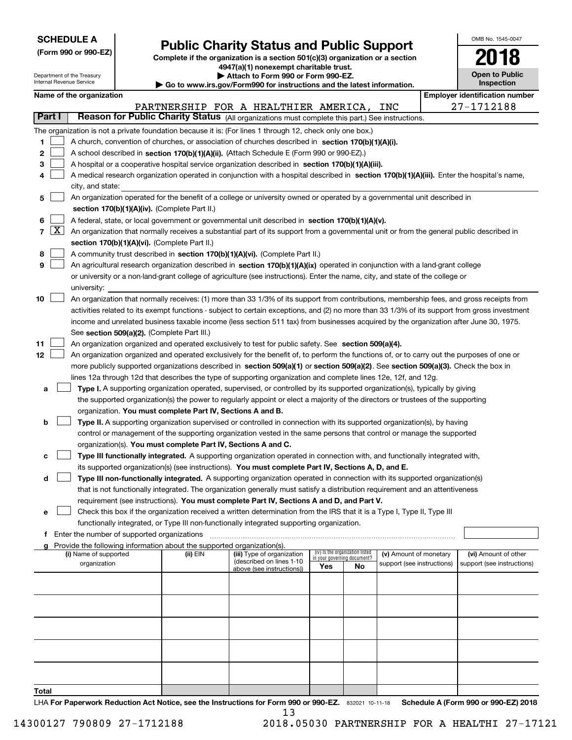|--|

Department of the Treasury

# **Public Charity Status and Public Support**

**Complete if the organization is a section 501(c)(3) organization or a section 4947(a)(1) nonexempt charitable trust. | Attach to Form 990 or Form 990-EZ.** 

|  | o www.irs.qov/Form990 for instructions and the latest information. |  |
|--|--------------------------------------------------------------------|--|
|  |                                                                    |  |

| OMB No 1545-0047                    |
|-------------------------------------|
| 2018                                |
| <b>Open to Public</b><br>Inspection |

٦

| Internal Revenue Service |                     |                                               |                                             |                                                                        | Go to www.irs.gov/Form990 for instructions and the latest information.                                                                        |                             |                                 |                                                      |  | Inspection |                                                    |  |
|--------------------------|---------------------|-----------------------------------------------|---------------------------------------------|------------------------------------------------------------------------|-----------------------------------------------------------------------------------------------------------------------------------------------|-----------------------------|---------------------------------|------------------------------------------------------|--|------------|----------------------------------------------------|--|
| Name of the organization |                     |                                               |                                             |                                                                        |                                                                                                                                               |                             |                                 |                                                      |  |            | <b>Employer identification number</b>              |  |
|                          |                     |                                               |                                             |                                                                        | PARTNERSHIP FOR A HEALTHIER AMERICA, INC                                                                                                      |                             |                                 |                                                      |  |            | 27-1712188                                         |  |
| Part I                   |                     |                                               |                                             |                                                                        | Reason for Public Charity Status (All organizations must complete this part.) See instructions.                                               |                             |                                 |                                                      |  |            |                                                    |  |
|                          |                     |                                               |                                             |                                                                        | The organization is not a private foundation because it is: (For lines 1 through 12, check only one box.)                                     |                             |                                 |                                                      |  |            |                                                    |  |
| 1.                       |                     |                                               |                                             |                                                                        | A church, convention of churches, or association of churches described in section 170(b)(1)(A)(i).                                            |                             |                                 |                                                      |  |            |                                                    |  |
| 2                        |                     |                                               |                                             |                                                                        | A school described in section 170(b)(1)(A)(ii). (Attach Schedule E (Form 990 or 990-EZ).)                                                     |                             |                                 |                                                      |  |            |                                                    |  |
| 3                        |                     |                                               |                                             |                                                                        | A hospital or a cooperative hospital service organization described in section 170(b)(1)(A)(iii).                                             |                             |                                 |                                                      |  |            |                                                    |  |
| 4                        |                     |                                               |                                             |                                                                        | A medical research organization operated in conjunction with a hospital described in section 170(b)(1)(A)(iii). Enter the hospital's name,    |                             |                                 |                                                      |  |            |                                                    |  |
|                          |                     |                                               | city, and state:                            |                                                                        |                                                                                                                                               |                             |                                 |                                                      |  |            |                                                    |  |
| 5                        |                     |                                               |                                             |                                                                        | An organization operated for the benefit of a college or university owned or operated by a governmental unit described in                     |                             |                                 |                                                      |  |            |                                                    |  |
|                          |                     | section 170(b)(1)(A)(iv). (Complete Part II.) |                                             |                                                                        |                                                                                                                                               |                             |                                 |                                                      |  |            |                                                    |  |
| 6                        |                     |                                               |                                             |                                                                        | A federal, state, or local government or governmental unit described in section 170(b)(1)(A)(v).                                              |                             |                                 |                                                      |  |            |                                                    |  |
| 7                        | $\lfloor x \rfloor$ |                                               |                                             |                                                                        | An organization that normally receives a substantial part of its support from a governmental unit or from the general public described in     |                             |                                 |                                                      |  |            |                                                    |  |
|                          |                     |                                               |                                             | section 170(b)(1)(A)(vi). (Complete Part II.)                          |                                                                                                                                               |                             |                                 |                                                      |  |            |                                                    |  |
| 8                        |                     |                                               |                                             |                                                                        | A community trust described in section 170(b)(1)(A)(vi). (Complete Part II.)                                                                  |                             |                                 |                                                      |  |            |                                                    |  |
| 9                        |                     |                                               |                                             |                                                                        | An agricultural research organization described in section 170(b)(1)(A)(ix) operated in conjunction with a land-grant college                 |                             |                                 |                                                      |  |            |                                                    |  |
|                          |                     |                                               |                                             |                                                                        | or university or a non-land-grant college of agriculture (see instructions). Enter the name, city, and state of the college or                |                             |                                 |                                                      |  |            |                                                    |  |
|                          |                     | university:                                   |                                             |                                                                        |                                                                                                                                               |                             |                                 |                                                      |  |            |                                                    |  |
| 10                       |                     |                                               |                                             |                                                                        | An organization that normally receives: (1) more than 33 1/3% of its support from contributions, membership fees, and gross receipts from     |                             |                                 |                                                      |  |            |                                                    |  |
|                          |                     |                                               |                                             |                                                                        | activities related to its exempt functions - subject to certain exceptions, and (2) no more than 33 1/3% of its support from gross investment |                             |                                 |                                                      |  |            |                                                    |  |
|                          |                     |                                               |                                             |                                                                        | income and unrelated business taxable income (less section 511 tax) from businesses acquired by the organization after June 30, 1975.         |                             |                                 |                                                      |  |            |                                                    |  |
|                          |                     |                                               |                                             | See section 509(a)(2). (Complete Part III.)                            |                                                                                                                                               |                             |                                 |                                                      |  |            |                                                    |  |
| 11                       |                     |                                               |                                             |                                                                        | An organization organized and operated exclusively to test for public safety. See section 509(a)(4).                                          |                             |                                 |                                                      |  |            |                                                    |  |
| 12                       |                     |                                               |                                             |                                                                        | An organization organized and operated exclusively for the benefit of, to perform the functions of, or to carry out the purposes of one or    |                             |                                 |                                                      |  |            |                                                    |  |
|                          |                     |                                               |                                             |                                                                        |                                                                                                                                               |                             |                                 |                                                      |  |            |                                                    |  |
|                          |                     |                                               |                                             |                                                                        | more publicly supported organizations described in section 509(a)(1) or section 509(a)(2). See section 509(a)(3). Check the box in            |                             |                                 |                                                      |  |            |                                                    |  |
|                          |                     |                                               |                                             |                                                                        | lines 12a through 12d that describes the type of supporting organization and complete lines 12e, 12f, and 12g.                                |                             |                                 |                                                      |  |            |                                                    |  |
| а                        |                     |                                               |                                             |                                                                        | Type I. A supporting organization operated, supervised, or controlled by its supported organization(s), typically by giving                   |                             |                                 |                                                      |  |            |                                                    |  |
|                          |                     |                                               |                                             |                                                                        | the supported organization(s) the power to regularly appoint or elect a majority of the directors or trustees of the supporting               |                             |                                 |                                                      |  |            |                                                    |  |
|                          |                     |                                               |                                             | organization. You must complete Part IV, Sections A and B.             |                                                                                                                                               |                             |                                 |                                                      |  |            |                                                    |  |
| b                        |                     |                                               |                                             |                                                                        | Type II. A supporting organization supervised or controlled in connection with its supported organization(s), by having                       |                             |                                 |                                                      |  |            |                                                    |  |
|                          |                     |                                               |                                             |                                                                        | control or management of the supporting organization vested in the same persons that control or manage the supported                          |                             |                                 |                                                      |  |            |                                                    |  |
|                          |                     |                                               |                                             | organization(s). You must complete Part IV, Sections A and C.          |                                                                                                                                               |                             |                                 |                                                      |  |            |                                                    |  |
| c                        |                     |                                               |                                             |                                                                        | Type III functionally integrated. A supporting organization operated in connection with, and functionally integrated with,                    |                             |                                 |                                                      |  |            |                                                    |  |
|                          |                     |                                               |                                             |                                                                        | its supported organization(s) (see instructions). You must complete Part IV, Sections A, D, and E.                                            |                             |                                 |                                                      |  |            |                                                    |  |
| d                        |                     |                                               |                                             |                                                                        | Type III non-functionally integrated. A supporting organization operated in connection with its supported organization(s)                     |                             |                                 |                                                      |  |            |                                                    |  |
|                          |                     |                                               |                                             |                                                                        | that is not functionally integrated. The organization generally must satisfy a distribution requirement and an attentiveness                  |                             |                                 |                                                      |  |            |                                                    |  |
|                          |                     |                                               |                                             |                                                                        | requirement (see instructions). You must complete Part IV, Sections A and D, and Part V.                                                      |                             |                                 |                                                      |  |            |                                                    |  |
| е                        |                     |                                               |                                             |                                                                        | Check this box if the organization received a written determination from the IRS that it is a Type I, Type II, Type III                       |                             |                                 |                                                      |  |            |                                                    |  |
|                          |                     |                                               |                                             |                                                                        | functionally integrated, or Type III non-functionally integrated supporting organization.                                                     |                             |                                 |                                                      |  |            |                                                    |  |
| f                        |                     |                                               | Enter the number of supported organizations |                                                                        |                                                                                                                                               |                             |                                 |                                                      |  |            |                                                    |  |
|                          |                     |                                               |                                             | Provide the following information about the supported organization(s). |                                                                                                                                               |                             | (iv) Is the organization listed |                                                      |  |            |                                                    |  |
|                          |                     | (i) Name of supported<br>organization         |                                             | (ii) EIN                                                               | (iii) Type of organization<br>(described on lines 1-10                                                                                        | in your governing document? |                                 | (v) Amount of monetary<br>support (see instructions) |  |            | (vi) Amount of other<br>support (see instructions) |  |
|                          |                     |                                               |                                             |                                                                        | above (see instructions))                                                                                                                     | Yes                         | No                              |                                                      |  |            |                                                    |  |
|                          |                     |                                               |                                             |                                                                        |                                                                                                                                               |                             |                                 |                                                      |  |            |                                                    |  |
|                          |                     |                                               |                                             |                                                                        |                                                                                                                                               |                             |                                 |                                                      |  |            |                                                    |  |
|                          |                     |                                               |                                             |                                                                        |                                                                                                                                               |                             |                                 |                                                      |  |            |                                                    |  |
|                          |                     |                                               |                                             |                                                                        |                                                                                                                                               |                             |                                 |                                                      |  |            |                                                    |  |
|                          |                     |                                               |                                             |                                                                        |                                                                                                                                               |                             |                                 |                                                      |  |            |                                                    |  |
|                          |                     |                                               |                                             |                                                                        |                                                                                                                                               |                             |                                 |                                                      |  |            |                                                    |  |
|                          |                     |                                               |                                             |                                                                        |                                                                                                                                               |                             |                                 |                                                      |  |            |                                                    |  |
|                          |                     |                                               |                                             |                                                                        |                                                                                                                                               |                             |                                 |                                                      |  |            |                                                    |  |
|                          |                     |                                               |                                             |                                                                        |                                                                                                                                               |                             |                                 |                                                      |  |            |                                                    |  |
|                          |                     |                                               |                                             |                                                                        |                                                                                                                                               |                             |                                 |                                                      |  |            |                                                    |  |
| Total                    |                     |                                               |                                             |                                                                        |                                                                                                                                               |                             |                                 |                                                      |  |            |                                                    |  |

LHA For Paperwork Reduction Act Notice, see the Instructions for Form 990 or 990-EZ. 832021 10-11-18 Schedule A (Form 990 or 990-EZ) 2018 13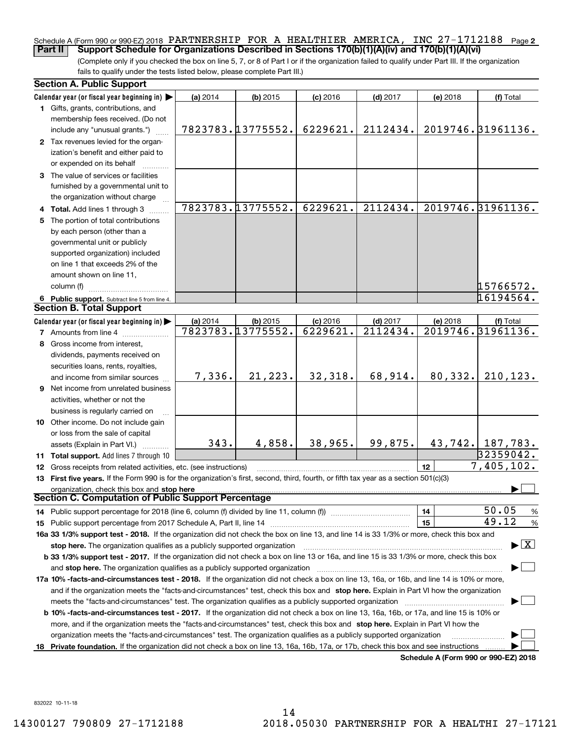### Schedule A (Form 990 or 990-EZ) 2018 PARTNERSHIP FOR A HEALTHIER AMERICA, INC 27-1712188 <sub>Page</sub> 2 **Part II Support Schedule for Organizations Described in Sections 170(b)(1)(A)(iv) and 170(b)(1)(A)(vi)**

(Complete only if you checked the box on line 5, 7, or 8 of Part I or if the organization failed to qualify under Part III. If the organization fails to qualify under the tests listed below, please complete Part III.)

|    | <b>Section A. Public Support</b>                                                                                                               |          |                   |            |            |          |                                          |
|----|------------------------------------------------------------------------------------------------------------------------------------------------|----------|-------------------|------------|------------|----------|------------------------------------------|
|    | Calendar year (or fiscal year beginning in)                                                                                                    | (a) 2014 | $(b)$ 2015        | $(c)$ 2016 | $(d)$ 2017 | (e) 2018 | (f) Total                                |
|    | 1 Gifts, grants, contributions, and<br>membership fees received. (Do not                                                                       |          |                   |            |            |          |                                          |
|    | include any "unusual grants.")                                                                                                                 |          | 7823783.13775552. | 6229621.   | 2112434.   |          | 2019746. 31961136.                       |
|    | 2 Tax revenues levied for the organ-<br>ization's benefit and either paid to<br>or expended on its behalf                                      |          |                   |            |            |          |                                          |
|    | 3 The value of services or facilities<br>furnished by a governmental unit to                                                                   |          |                   |            |            |          |                                          |
|    | the organization without charge                                                                                                                |          |                   |            |            |          |                                          |
|    | 4 Total. Add lines 1 through 3                                                                                                                 |          | 7823783.13775552. | 6229621.   | 2112434.   |          | 2019746. 31961136.                       |
|    | 5 The portion of total contributions                                                                                                           |          |                   |            |            |          |                                          |
|    | by each person (other than a                                                                                                                   |          |                   |            |            |          |                                          |
|    | governmental unit or publicly                                                                                                                  |          |                   |            |            |          |                                          |
|    | supported organization) included                                                                                                               |          |                   |            |            |          |                                          |
|    | on line 1 that exceeds 2% of the                                                                                                               |          |                   |            |            |          |                                          |
|    | amount shown on line 11,                                                                                                                       |          |                   |            |            |          |                                          |
|    | column (f)                                                                                                                                     |          |                   |            |            |          | 15766572.                                |
|    | 6 Public support. Subtract line 5 from line 4.                                                                                                 |          |                   |            |            |          | 16194564.                                |
|    | <b>Section B. Total Support</b>                                                                                                                |          |                   |            |            |          |                                          |
|    | Calendar year (or fiscal year beginning in)                                                                                                    | (a) 2014 | $(b)$ 2015        | $(c)$ 2016 | $(d)$ 2017 | (e) 2018 | (f) Total                                |
|    | <b>7</b> Amounts from line 4                                                                                                                   |          | 7823783.13775552. | 6229621.   | 2112434.   |          | 2019746. 31961136.                       |
|    | 8 Gross income from interest,                                                                                                                  |          |                   |            |            |          |                                          |
|    | dividends, payments received on                                                                                                                |          |                   |            |            |          |                                          |
|    | securities loans, rents, royalties,                                                                                                            |          |                   |            |            |          |                                          |
|    | and income from similar sources                                                                                                                | 7,336.   | 21,223.           | 32,318.    | 68,914.    | 80, 332. | 210, 123.                                |
|    | <b>9</b> Net income from unrelated business                                                                                                    |          |                   |            |            |          |                                          |
|    | activities, whether or not the                                                                                                                 |          |                   |            |            |          |                                          |
|    | business is regularly carried on                                                                                                               |          |                   |            |            |          |                                          |
|    | 10 Other income. Do not include gain                                                                                                           |          |                   |            |            |          |                                          |
|    | or loss from the sale of capital                                                                                                               |          |                   |            |            |          |                                          |
|    | assets (Explain in Part VI.)                                                                                                                   | 343.     | 4,858.            | 38,965.    | 99,875.    |          | $43,742.$ 187,783.                       |
|    | 11 Total support. Add lines 7 through 10                                                                                                       |          |                   |            |            |          | 32359042.                                |
|    | <b>12</b> Gross receipts from related activities, etc. (see instructions)                                                                      |          |                   |            |            | 12       | 7,405,102.                               |
|    | 13 First five years. If the Form 990 is for the organization's first, second, third, fourth, or fifth tax year as a section 501(c)(3)          |          |                   |            |            |          |                                          |
|    | organization, check this box and stop here                                                                                                     |          |                   |            |            |          |                                          |
|    | <b>Section C. Computation of Public Support Percentage</b>                                                                                     |          |                   |            |            |          |                                          |
|    | 14 Public support percentage for 2018 (line 6, column (f) divided by line 11, column (f) <i></i>                                               |          |                   |            |            | 14       | 50.05<br>%                               |
|    |                                                                                                                                                |          |                   |            |            | 15       | 49.12<br>$\%$                            |
|    | 16a 33 1/3% support test - 2018. If the organization did not check the box on line 13, and line 14 is 33 1/3% or more, check this box and      |          |                   |            |            |          |                                          |
|    | stop here. The organization qualifies as a publicly supported organization                                                                     |          |                   |            |            |          | $\blacktriangleright$ $\boxed{\text{X}}$ |
|    | b 33 1/3% support test - 2017. If the organization did not check a box on line 13 or 16a, and line 15 is 33 1/3% or more, check this box       |          |                   |            |            |          |                                          |
|    |                                                                                                                                                |          |                   |            |            |          |                                          |
|    | 17a 10% -facts-and-circumstances test - 2018. If the organization did not check a box on line 13, 16a, or 16b, and line 14 is 10% or more,     |          |                   |            |            |          |                                          |
|    | and if the organization meets the "facts-and-circumstances" test, check this box and stop here. Explain in Part VI how the organization        |          |                   |            |            |          |                                          |
|    |                                                                                                                                                |          |                   |            |            |          |                                          |
|    | <b>b 10% -facts-and-circumstances test - 2017.</b> If the organization did not check a box on line 13, 16a, 16b, or 17a, and line 15 is 10% or |          |                   |            |            |          |                                          |
|    | more, and if the organization meets the "facts-and-circumstances" test, check this box and stop here. Explain in Part VI how the               |          |                   |            |            |          |                                          |
|    | organization meets the "facts-and-circumstances" test. The organization qualifies as a publicly supported organization                         |          |                   |            |            |          |                                          |
| 18 | Private foundation. If the organization did not check a box on line 13, 16a, 16b, 17a, or 17b, check this box and see instructions             |          |                   |            |            |          |                                          |
|    |                                                                                                                                                |          |                   |            |            |          | Schedule A (Form 990 or 990-EZ) 2018     |

832022 10-11-18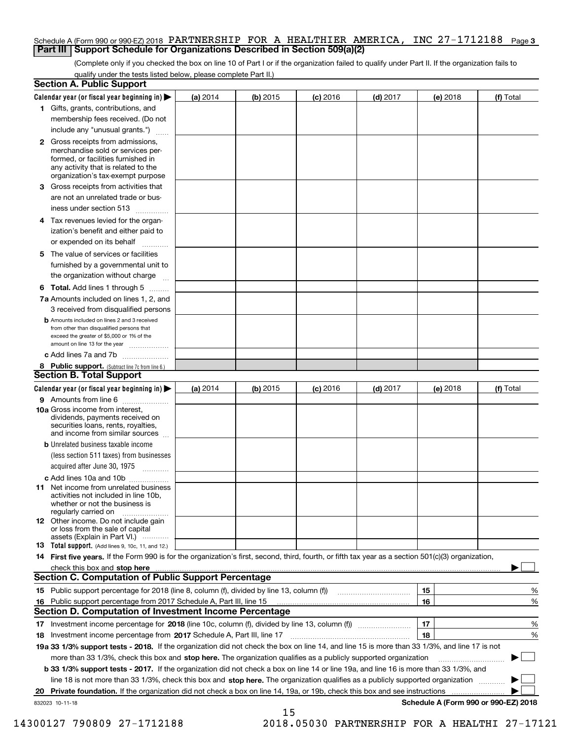## Schedule A (Form 990 or 990-EZ) 2018 PARTNERSHIP FOR A HEALTHIER AMERICA, INC 27-1712188 <sub>Page 3</sub> **Part III Support Schedule for Organizations Described in Section 509(a)(2)**

(Complete only if you checked the box on line 10 of Part I or if the organization failed to qualify under Part II. If the organization fails to qualify under the tests listed below, please complete Part II.)

|    | <b>Section A. Public Support</b>                                                                                                                                                                                               |            |            |            |            |          |                                      |
|----|--------------------------------------------------------------------------------------------------------------------------------------------------------------------------------------------------------------------------------|------------|------------|------------|------------|----------|--------------------------------------|
|    | Calendar year (or fiscal year beginning in) $\blacktriangleright$                                                                                                                                                              | (a) 2014   | $(b)$ 2015 | $(c)$ 2016 | $(d)$ 2017 | (e) 2018 | (f) Total                            |
|    | 1 Gifts, grants, contributions, and                                                                                                                                                                                            |            |            |            |            |          |                                      |
|    | membership fees received. (Do not                                                                                                                                                                                              |            |            |            |            |          |                                      |
|    | include any "unusual grants.")                                                                                                                                                                                                 |            |            |            |            |          |                                      |
|    | 2 Gross receipts from admissions,<br>merchandise sold or services per-<br>formed, or facilities furnished in<br>any activity that is related to the<br>organization's tax-exempt purpose                                       |            |            |            |            |          |                                      |
|    | 3 Gross receipts from activities that<br>are not an unrelated trade or bus-                                                                                                                                                    |            |            |            |            |          |                                      |
|    | iness under section 513                                                                                                                                                                                                        |            |            |            |            |          |                                      |
|    | 4 Tax revenues levied for the organ-                                                                                                                                                                                           |            |            |            |            |          |                                      |
|    | ization's benefit and either paid to<br>or expended on its behalf<br>.                                                                                                                                                         |            |            |            |            |          |                                      |
|    | 5 The value of services or facilities                                                                                                                                                                                          |            |            |            |            |          |                                      |
|    | furnished by a governmental unit to                                                                                                                                                                                            |            |            |            |            |          |                                      |
|    | the organization without charge                                                                                                                                                                                                |            |            |            |            |          |                                      |
|    | <b>6 Total.</b> Add lines 1 through 5                                                                                                                                                                                          |            |            |            |            |          |                                      |
|    | 7a Amounts included on lines 1, 2, and<br>3 received from disqualified persons                                                                                                                                                 |            |            |            |            |          |                                      |
|    | <b>b</b> Amounts included on lines 2 and 3 received<br>from other than disqualified persons that<br>exceed the greater of \$5,000 or 1% of the<br>amount on line 13 for the year                                               |            |            |            |            |          |                                      |
|    | c Add lines 7a and 7b                                                                                                                                                                                                          |            |            |            |            |          |                                      |
|    | 8 Public support. (Subtract line 7c from line 6.)                                                                                                                                                                              |            |            |            |            |          |                                      |
|    | <b>Section B. Total Support</b>                                                                                                                                                                                                |            |            |            |            |          |                                      |
|    | Calendar year (or fiscal year beginning in) $\blacktriangleright$                                                                                                                                                              | (a) $2014$ | $(b)$ 2015 | $(c)$ 2016 | $(d)$ 2017 | (e) 2018 | (f) Total                            |
|    | 9 Amounts from line 6                                                                                                                                                                                                          |            |            |            |            |          |                                      |
|    | 10a Gross income from interest,<br>dividends, payments received on<br>securities loans, rents, royalties,<br>and income from similar sources                                                                                   |            |            |            |            |          |                                      |
|    | <b>b</b> Unrelated business taxable income<br>(less section 511 taxes) from businesses                                                                                                                                         |            |            |            |            |          |                                      |
|    | acquired after June 30, 1975                                                                                                                                                                                                   |            |            |            |            |          |                                      |
|    | c Add lines 10a and 10b<br>11 Net income from unrelated business<br>activities not included in line 10b,<br>whether or not the business is<br>regularly carried on                                                             |            |            |            |            |          |                                      |
|    | 12 Other income. Do not include gain<br>or loss from the sale of capital<br>assets (Explain in Part VI.)                                                                                                                       |            |            |            |            |          |                                      |
|    | <b>13</b> Total support. (Add lines 9, 10c, 11, and 12.)                                                                                                                                                                       |            |            |            |            |          |                                      |
|    | 14 First five years. If the Form 990 is for the organization's first, second, third, fourth, or fifth tax year as a section 501(c)(3) organization,                                                                            |            |            |            |            |          |                                      |
|    | check this box and stop here measurements are all the state of the state of the state of the state of the state of the state of the state of the state of the state of the state of the state of the state of the state of the |            |            |            |            |          |                                      |
|    | Section C. Computation of Public Support Percentage                                                                                                                                                                            |            |            |            |            |          |                                      |
|    | 15 Public support percentage for 2018 (line 8, column (f), divided by line 13, column (f))                                                                                                                                     |            |            |            |            | 15       | %                                    |
|    | 16 Public support percentage from 2017 Schedule A, Part III, line 15                                                                                                                                                           |            |            |            |            | 16       | %                                    |
|    | <b>Section D. Computation of Investment Income Percentage</b>                                                                                                                                                                  |            |            |            |            |          |                                      |
|    | 17 Investment income percentage for 2018 (line 10c, column (f), divided by line 13, column (f))                                                                                                                                |            |            |            |            | 17       | %                                    |
|    | <b>18</b> Investment income percentage from <b>2017</b> Schedule A, Part III, line 17                                                                                                                                          |            |            |            |            | 18       | %                                    |
|    | 19a 33 1/3% support tests - 2018. If the organization did not check the box on line 14, and line 15 is more than 33 1/3%, and line 17 is not                                                                                   |            |            |            |            |          |                                      |
|    | more than 33 1/3%, check this box and stop here. The organization qualifies as a publicly supported organization                                                                                                               |            |            |            |            |          | ▶                                    |
|    | b 33 1/3% support tests - 2017. If the organization did not check a box on line 14 or line 19a, and line 16 is more than 33 1/3%, and                                                                                          |            |            |            |            |          |                                      |
|    | line 18 is not more than 33 1/3%, check this box and stop here. The organization qualifies as a publicly supported organization                                                                                                |            |            |            |            |          |                                      |
| 20 | <b>Private foundation.</b> If the organization did not check a box on line 14, 19a, or 19b, check this box and see instructions                                                                                                |            |            |            |            |          |                                      |
|    | 832023 10-11-18                                                                                                                                                                                                                |            | 15         |            |            |          | Schedule A (Form 990 or 990-EZ) 2018 |

 <sup>14300127 790809 27-1712188 2018.05030</sup> PARTNERSHIP FOR A HEALTHI 27-17121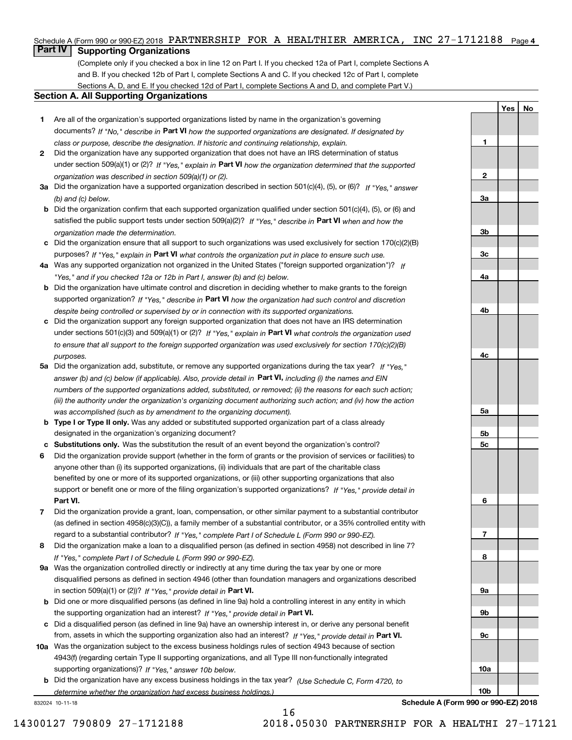# Schedule A (Form 990 or 990-EZ) 2018 PARTNERSHIP FOR A HEALTHIER AMERICA, INC 27-1712188 <sub>Page 4</sub>

# **Part IV Supporting Organizations**

(Complete only if you checked a box in line 12 on Part I. If you checked 12a of Part I, complete Sections A and B. If you checked 12b of Part I, complete Sections A and C. If you checked 12c of Part I, complete Sections A, D, and E. If you checked 12d of Part I, complete Sections A and D, and complete Part V.)

# **Section A. All Supporting Organizations**

- **1** Are all of the organization's supported organizations listed by name in the organization's governing documents? If "No," describe in **Part VI** how the supported organizations are designated. If designated by *class or purpose, describe the designation. If historic and continuing relationship, explain.*
- **2** Did the organization have any supported organization that does not have an IRS determination of status under section 509(a)(1) or (2)? If "Yes," explain in Part VI how the organization determined that the supported *organization was described in section 509(a)(1) or (2).*
- **3a** Did the organization have a supported organization described in section 501(c)(4), (5), or (6)? If "Yes," answer *(b) and (c) below.*
- **b** Did the organization confirm that each supported organization qualified under section 501(c)(4), (5), or (6) and satisfied the public support tests under section 509(a)(2)? If "Yes," describe in **Part VI** when and how the *organization made the determination.*
- **c**Did the organization ensure that all support to such organizations was used exclusively for section 170(c)(2)(B) purposes? If "Yes," explain in **Part VI** what controls the organization put in place to ensure such use.
- **4a***If* Was any supported organization not organized in the United States ("foreign supported organization")? *"Yes," and if you checked 12a or 12b in Part I, answer (b) and (c) below.*
- **b** Did the organization have ultimate control and discretion in deciding whether to make grants to the foreign supported organization? If "Yes," describe in **Part VI** how the organization had such control and discretion *despite being controlled or supervised by or in connection with its supported organizations.*
- **c** Did the organization support any foreign supported organization that does not have an IRS determination under sections 501(c)(3) and 509(a)(1) or (2)? If "Yes," explain in **Part VI** what controls the organization used *to ensure that all support to the foreign supported organization was used exclusively for section 170(c)(2)(B) purposes.*
- **5a** Did the organization add, substitute, or remove any supported organizations during the tax year? If "Yes," answer (b) and (c) below (if applicable). Also, provide detail in **Part VI,** including (i) the names and EIN *numbers of the supported organizations added, substituted, or removed; (ii) the reasons for each such action; (iii) the authority under the organization's organizing document authorizing such action; and (iv) how the action was accomplished (such as by amendment to the organizing document).*
- **b** Type I or Type II only. Was any added or substituted supported organization part of a class already designated in the organization's organizing document?
- **cSubstitutions only.**  Was the substitution the result of an event beyond the organization's control?
- **6** Did the organization provide support (whether in the form of grants or the provision of services or facilities) to **Part VI.** *If "Yes," provide detail in* support or benefit one or more of the filing organization's supported organizations? anyone other than (i) its supported organizations, (ii) individuals that are part of the charitable class benefited by one or more of its supported organizations, or (iii) other supporting organizations that also
- **7**Did the organization provide a grant, loan, compensation, or other similar payment to a substantial contributor *If "Yes," complete Part I of Schedule L (Form 990 or 990-EZ).* regard to a substantial contributor? (as defined in section 4958(c)(3)(C)), a family member of a substantial contributor, or a 35% controlled entity with
- **8** Did the organization make a loan to a disqualified person (as defined in section 4958) not described in line 7? *If "Yes," complete Part I of Schedule L (Form 990 or 990-EZ).*
- **9a** Was the organization controlled directly or indirectly at any time during the tax year by one or more in section 509(a)(1) or (2))? If "Yes," *provide detail in* <code>Part VI.</code> disqualified persons as defined in section 4946 (other than foundation managers and organizations described
- **b** Did one or more disqualified persons (as defined in line 9a) hold a controlling interest in any entity in which the supporting organization had an interest? If "Yes," provide detail in P**art VI**.
- **c**Did a disqualified person (as defined in line 9a) have an ownership interest in, or derive any personal benefit from, assets in which the supporting organization also had an interest? If "Yes," provide detail in P**art VI.**
- **10a** Was the organization subject to the excess business holdings rules of section 4943 because of section supporting organizations)? If "Yes," answer 10b below. 4943(f) (regarding certain Type II supporting organizations, and all Type III non-functionally integrated
- **b** Did the organization have any excess business holdings in the tax year? (Use Schedule C, Form 4720, to *determine whether the organization had excess business holdings.)*

16

832024 10-11-18

**Schedule A (Form 990 or 990-EZ) 2018**

**YesNo**

**1**

**2**

**3a**

**3b**

**3c**

**4a**

**4b**

**4c**

**5a**

**5b5c**

**6**

**7**

**8**

**9a**

**9b**

**9c**

**10a**

**10b**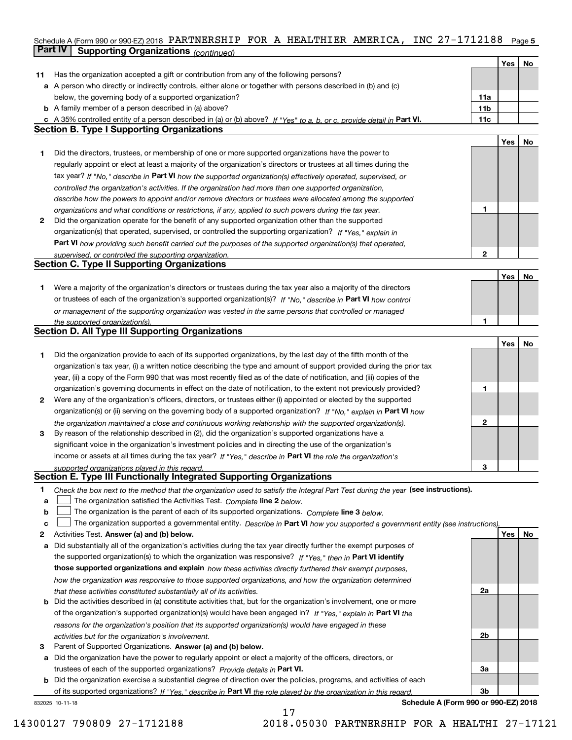## Schedule A (Form 990 or 990-EZ) 2018 PARTNERSHIP FOR A HEALTHIER AMERICA, INC 27-1712188 <sub>Page 5</sub> **Part IV Supporting Organizations** *(continued)*

|    |                                                                                                                                                                                                                      |                 | Yes | No |
|----|----------------------------------------------------------------------------------------------------------------------------------------------------------------------------------------------------------------------|-----------------|-----|----|
| 11 | Has the organization accepted a gift or contribution from any of the following persons?                                                                                                                              |                 |     |    |
|    | a A person who directly or indirectly controls, either alone or together with persons described in (b) and (c)                                                                                                       |                 |     |    |
|    | below, the governing body of a supported organization?                                                                                                                                                               | 11a             |     |    |
|    | <b>b</b> A family member of a person described in (a) above?                                                                                                                                                         | 11 <sub>b</sub> |     |    |
|    | c A 35% controlled entity of a person described in (a) or (b) above? If "Yes" to a, b, or c, provide detail in Part VI.                                                                                              | 11c             |     |    |
|    | <b>Section B. Type I Supporting Organizations</b>                                                                                                                                                                    |                 |     |    |
|    |                                                                                                                                                                                                                      |                 | Yes | No |
| 1  | Did the directors, trustees, or membership of one or more supported organizations have the power to                                                                                                                  |                 |     |    |
|    | regularly appoint or elect at least a majority of the organization's directors or trustees at all times during the                                                                                                   |                 |     |    |
|    | tax year? If "No," describe in Part VI how the supported organization(s) effectively operated, supervised, or                                                                                                        |                 |     |    |
|    | controlled the organization's activities. If the organization had more than one supported organization,                                                                                                              |                 |     |    |
|    | describe how the powers to appoint and/or remove directors or trustees were allocated among the supported                                                                                                            |                 |     |    |
|    | organizations and what conditions or restrictions, if any, applied to such powers during the tax year.                                                                                                               | 1               |     |    |
| 2  | Did the organization operate for the benefit of any supported organization other than the supported                                                                                                                  |                 |     |    |
|    | organization(s) that operated, supervised, or controlled the supporting organization? If "Yes," explain in                                                                                                           |                 |     |    |
|    |                                                                                                                                                                                                                      |                 |     |    |
|    | Part VI how providing such benefit carried out the purposes of the supported organization(s) that operated,<br>supervised, or controlled the supporting organization.                                                | $\mathbf{2}$    |     |    |
|    | <b>Section C. Type II Supporting Organizations</b>                                                                                                                                                                   |                 |     |    |
|    |                                                                                                                                                                                                                      |                 | Yes | No |
| 1. | Were a majority of the organization's directors or trustees during the tax year also a majority of the directors                                                                                                     |                 |     |    |
|    | or trustees of each of the organization's supported organization(s)? If "No," describe in Part VI how control                                                                                                        |                 |     |    |
|    | or management of the supporting organization was vested in the same persons that controlled or managed                                                                                                               |                 |     |    |
|    | the supported organization(s).                                                                                                                                                                                       | 1               |     |    |
|    | <b>Section D. All Type III Supporting Organizations</b>                                                                                                                                                              |                 |     |    |
|    |                                                                                                                                                                                                                      |                 | Yes | No |
| 1  | Did the organization provide to each of its supported organizations, by the last day of the fifth month of the                                                                                                       |                 |     |    |
|    | organization's tax year, (i) a written notice describing the type and amount of support provided during the prior tax                                                                                                |                 |     |    |
|    | year, (ii) a copy of the Form 990 that was most recently filed as of the date of notification, and (iii) copies of the                                                                                               |                 |     |    |
|    | organization's governing documents in effect on the date of notification, to the extent not previously provided?                                                                                                     | 1               |     |    |
| 2  | Were any of the organization's officers, directors, or trustees either (i) appointed or elected by the supported                                                                                                     |                 |     |    |
|    | organization(s) or (ii) serving on the governing body of a supported organization? If "No," explain in Part VI how                                                                                                   |                 |     |    |
|    |                                                                                                                                                                                                                      | $\mathbf{2}$    |     |    |
| 3  | the organization maintained a close and continuous working relationship with the supported organization(s).<br>By reason of the relationship described in (2), did the organization's supported organizations have a |                 |     |    |
|    | significant voice in the organization's investment policies and in directing the use of the organization's                                                                                                           |                 |     |    |
|    | income or assets at all times during the tax year? If "Yes," describe in Part VI the role the organization's                                                                                                         |                 |     |    |
|    | supported organizations played in this regard.                                                                                                                                                                       | з               |     |    |
|    | Section E. Type III Functionally Integrated Supporting Organizations                                                                                                                                                 |                 |     |    |
| 1  | Check the box next to the method that the organization used to satisfy the Integral Part Test during the year (see instructions).                                                                                    |                 |     |    |
| а  | The organization satisfied the Activities Test. Complete line 2 below.                                                                                                                                               |                 |     |    |
| b  | The organization is the parent of each of its supported organizations. Complete line 3 below.                                                                                                                        |                 |     |    |
| c  | The organization supported a governmental entity. Describe in Part VI how you supported a government entity (see instructions),                                                                                      |                 |     |    |
| 2  | Activities Test. Answer (a) and (b) below.                                                                                                                                                                           |                 | Yes | No |
| а  | Did substantially all of the organization's activities during the tax year directly further the exempt purposes of                                                                                                   |                 |     |    |
|    | the supported organization(s) to which the organization was responsive? If "Yes," then in Part VI identify                                                                                                           |                 |     |    |
|    | those supported organizations and explain how these activities directly furthered their exempt purposes,                                                                                                             |                 |     |    |
|    | how the organization was responsive to those supported organizations, and how the organization determined                                                                                                            |                 |     |    |
|    | that these activities constituted substantially all of its activities.                                                                                                                                               | 2a              |     |    |
|    | <b>b</b> Did the activities described in (a) constitute activities that, but for the organization's involvement, one or more                                                                                         |                 |     |    |
|    | of the organization's supported organization(s) would have been engaged in? If "Yes," explain in Part VI the                                                                                                         |                 |     |    |
|    | reasons for the organization's position that its supported organization(s) would have engaged in these                                                                                                               |                 |     |    |
|    | activities but for the organization's involvement.                                                                                                                                                                   | 2b              |     |    |
| З  | Parent of Supported Organizations. Answer (a) and (b) below.                                                                                                                                                         |                 |     |    |
| а  | Did the organization have the power to regularly appoint or elect a majority of the officers, directors, or                                                                                                          |                 |     |    |
|    | trustees of each of the supported organizations? Provide details in Part VI.                                                                                                                                         | За              |     |    |
|    | <b>b</b> Did the organization exercise a substantial degree of direction over the policies, programs, and activities of each                                                                                         |                 |     |    |
|    | of its supported organizations? If "Yes." describe in Part VI the role played by the organization in this regard.                                                                                                    | 3b              |     |    |
|    | Schedule A (Form 990 or 990-EZ) 2018<br>832025 10-11-18                                                                                                                                                              |                 |     |    |

17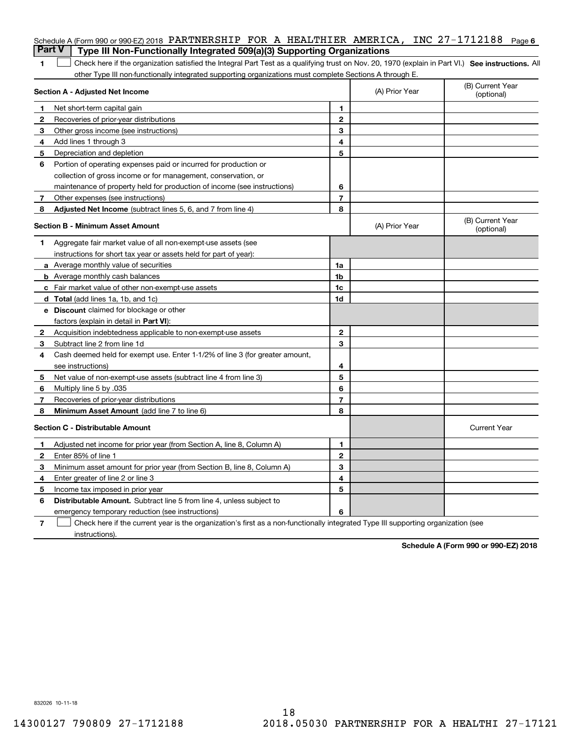|                | Schedule A (Form 990 or 990-EZ) 2018 PARTNERSHIP FOR A HEALTHIER AMERICA, INC 27-1712188<br><b>Part V</b><br>Type III Non-Functionally Integrated 509(a)(3) Supporting Organizations |                |                | Page 6                         |
|----------------|--------------------------------------------------------------------------------------------------------------------------------------------------------------------------------------|----------------|----------------|--------------------------------|
| 1              | Check here if the organization satisfied the Integral Part Test as a qualifying trust on Nov. 20, 1970 (explain in Part VI.) See instructions. Al                                    |                |                |                                |
|                | other Type III non-functionally integrated supporting organizations must complete Sections A through E.                                                                              |                |                |                                |
|                | Section A - Adjusted Net Income                                                                                                                                                      |                | (A) Prior Year | (B) Current Year<br>(optional) |
| 1              | Net short-term capital gain                                                                                                                                                          | 1.             |                |                                |
| $\overline{2}$ | Recoveries of prior-year distributions                                                                                                                                               | $\mathbf{2}$   |                |                                |
| З              | Other gross income (see instructions)                                                                                                                                                | 3              |                |                                |
| 4              | Add lines 1 through 3                                                                                                                                                                | 4              |                |                                |
| 5              | Depreciation and depletion                                                                                                                                                           | 5              |                |                                |
| 6              | Portion of operating expenses paid or incurred for production or                                                                                                                     |                |                |                                |
|                | collection of gross income or for management, conservation, or                                                                                                                       |                |                |                                |
|                | maintenance of property held for production of income (see instructions)                                                                                                             | 6              |                |                                |
| 7              | Other expenses (see instructions)                                                                                                                                                    | $\overline{7}$ |                |                                |
| 8              | Adjusted Net Income (subtract lines 5, 6, and 7 from line 4)                                                                                                                         | 8              |                |                                |
|                | <b>Section B - Minimum Asset Amount</b>                                                                                                                                              |                | (A) Prior Year | (B) Current Year<br>(optional) |
| 1              | Aggregate fair market value of all non-exempt-use assets (see                                                                                                                        |                |                |                                |
|                | instructions for short tax year or assets held for part of year):                                                                                                                    |                |                |                                |
|                | <b>a</b> Average monthly value of securities                                                                                                                                         | 1a             |                |                                |
|                | <b>b</b> Average monthly cash balances                                                                                                                                               | 1b             |                |                                |
|                | c Fair market value of other non-exempt-use assets                                                                                                                                   | 1c             |                |                                |
|                | d Total (add lines 1a, 1b, and 1c)                                                                                                                                                   | 1d             |                |                                |
|                | <b>e</b> Discount claimed for blockage or other                                                                                                                                      |                |                |                                |
|                | factors (explain in detail in Part VI):                                                                                                                                              |                |                |                                |
| 2              | Acquisition indebtedness applicable to non-exempt-use assets                                                                                                                         | $\mathbf{2}$   |                |                                |
| 3              | Subtract line 2 from line 1d                                                                                                                                                         | 3              |                |                                |
| 4              | Cash deemed held for exempt use. Enter 1-1/2% of line 3 (for greater amount,                                                                                                         |                |                |                                |
|                | see instructions)                                                                                                                                                                    | 4              |                |                                |
| 5              | Net value of non-exempt-use assets (subtract line 4 from line 3)                                                                                                                     | 5              |                |                                |
| 6              | Multiply line 5 by .035                                                                                                                                                              | 6              |                |                                |
| 7              | Recoveries of prior-year distributions                                                                                                                                               | $\overline{7}$ |                |                                |
| 8              | Minimum Asset Amount (add line 7 to line 6)                                                                                                                                          | 8              |                |                                |
|                | <b>Section C - Distributable Amount</b>                                                                                                                                              |                |                | <b>Current Year</b>            |
|                | Adjusted net income for prior year (from Section A, line 8, Column A)                                                                                                                | 1              |                |                                |
|                | Enter 85% of line 1                                                                                                                                                                  | 2              |                |                                |
| 3              | Minimum asset amount for prior year (from Section B, line 8, Column A)                                                                                                               | 3              |                |                                |
| 4              | Enter greater of line 2 or line 3                                                                                                                                                    | 4              |                |                                |
| 5              | Income tax imposed in prior year                                                                                                                                                     | 5              |                |                                |
| 6              | <b>Distributable Amount.</b> Subtract line 5 from line 4, unless subject to                                                                                                          |                |                |                                |
|                | emergency temporary reduction (see instructions)                                                                                                                                     | 6              |                |                                |
| 7              | Check here if the current year is the organization's first as a non-functionally integrated Type III supporting organization (see                                                    |                |                |                                |

instructions).

**Schedule A (Form 990 or 990-EZ) 2018**

832026 10-11-18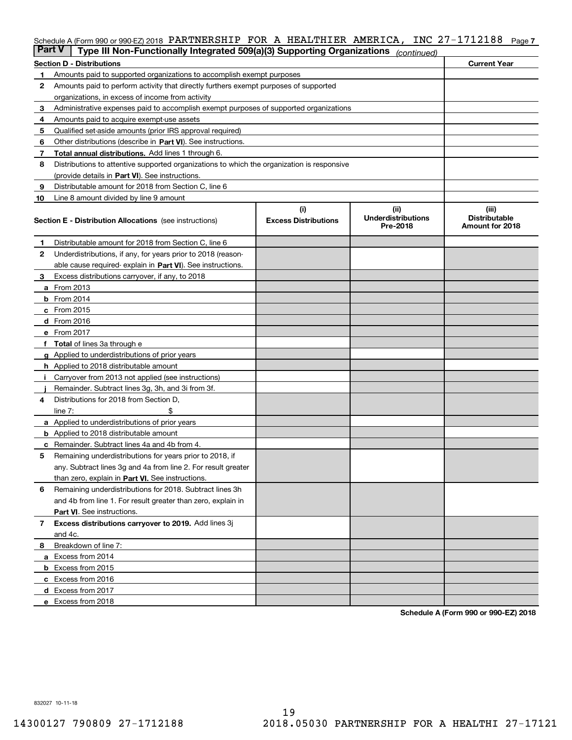# Schedule A (Form 990 or 990-EZ) 2018 PARTNERSHIP FOR A HEALTHIER AMERICA, INC 27-1712188 <sub>Page 7</sub>

| <b>Part V</b> | Type III Non-Functionally Integrated 509(a)(3) Supporting Organizations                    |                             | (continued)                           |                                         |  |  |  |  |  |
|---------------|--------------------------------------------------------------------------------------------|-----------------------------|---------------------------------------|-----------------------------------------|--|--|--|--|--|
|               | <b>Current Year</b><br><b>Section D - Distributions</b>                                    |                             |                                       |                                         |  |  |  |  |  |
| 1             | Amounts paid to supported organizations to accomplish exempt purposes                      |                             |                                       |                                         |  |  |  |  |  |
| 2             | Amounts paid to perform activity that directly furthers exempt purposes of supported       |                             |                                       |                                         |  |  |  |  |  |
|               | organizations, in excess of income from activity                                           |                             |                                       |                                         |  |  |  |  |  |
| 3             | Administrative expenses paid to accomplish exempt purposes of supported organizations      |                             |                                       |                                         |  |  |  |  |  |
| 4             | Amounts paid to acquire exempt-use assets                                                  |                             |                                       |                                         |  |  |  |  |  |
| 5             | Qualified set-aside amounts (prior IRS approval required)                                  |                             |                                       |                                         |  |  |  |  |  |
| 6             | Other distributions (describe in Part VI). See instructions.                               |                             |                                       |                                         |  |  |  |  |  |
| 7             | <b>Total annual distributions.</b> Add lines 1 through 6.                                  |                             |                                       |                                         |  |  |  |  |  |
| 8             | Distributions to attentive supported organizations to which the organization is responsive |                             |                                       |                                         |  |  |  |  |  |
|               | (provide details in Part VI). See instructions.                                            |                             |                                       |                                         |  |  |  |  |  |
| 9             | Distributable amount for 2018 from Section C, line 6                                       |                             |                                       |                                         |  |  |  |  |  |
| 10            | Line 8 amount divided by line 9 amount                                                     |                             |                                       |                                         |  |  |  |  |  |
|               |                                                                                            | (i)                         | (ii)                                  | (iii)                                   |  |  |  |  |  |
|               | <b>Section E - Distribution Allocations</b> (see instructions)                             | <b>Excess Distributions</b> | <b>Underdistributions</b><br>Pre-2018 | <b>Distributable</b><br>Amount for 2018 |  |  |  |  |  |
| 1             | Distributable amount for 2018 from Section C, line 6                                       |                             |                                       |                                         |  |  |  |  |  |
| 2             | Underdistributions, if any, for years prior to 2018 (reason-                               |                             |                                       |                                         |  |  |  |  |  |
|               | able cause required- explain in Part VI). See instructions.                                |                             |                                       |                                         |  |  |  |  |  |
| З             | Excess distributions carryover, if any, to 2018                                            |                             |                                       |                                         |  |  |  |  |  |
|               | <b>a</b> From 2013                                                                         |                             |                                       |                                         |  |  |  |  |  |
|               | <b>b</b> From $2014$                                                                       |                             |                                       |                                         |  |  |  |  |  |
|               | c From 2015                                                                                |                             |                                       |                                         |  |  |  |  |  |
|               | <b>d</b> From 2016                                                                         |                             |                                       |                                         |  |  |  |  |  |
|               | e From 2017                                                                                |                             |                                       |                                         |  |  |  |  |  |
|               | Total of lines 3a through e                                                                |                             |                                       |                                         |  |  |  |  |  |
| g             | Applied to underdistributions of prior years                                               |                             |                                       |                                         |  |  |  |  |  |
|               | h Applied to 2018 distributable amount                                                     |                             |                                       |                                         |  |  |  |  |  |
|               | Carryover from 2013 not applied (see instructions)                                         |                             |                                       |                                         |  |  |  |  |  |
|               | Remainder. Subtract lines 3g, 3h, and 3i from 3f.                                          |                             |                                       |                                         |  |  |  |  |  |
| 4             | Distributions for 2018 from Section D,                                                     |                             |                                       |                                         |  |  |  |  |  |
|               | line $7:$                                                                                  |                             |                                       |                                         |  |  |  |  |  |
|               | <b>a</b> Applied to underdistributions of prior years                                      |                             |                                       |                                         |  |  |  |  |  |
|               | <b>b</b> Applied to 2018 distributable amount                                              |                             |                                       |                                         |  |  |  |  |  |
|               | c Remainder. Subtract lines 4a and 4b from 4.                                              |                             |                                       |                                         |  |  |  |  |  |
| 5             | Remaining underdistributions for years prior to 2018, if                                   |                             |                                       |                                         |  |  |  |  |  |
|               | any. Subtract lines 3g and 4a from line 2. For result greater                              |                             |                                       |                                         |  |  |  |  |  |
|               | than zero, explain in Part VI. See instructions.                                           |                             |                                       |                                         |  |  |  |  |  |
| 6             | Remaining underdistributions for 2018. Subtract lines 3h                                   |                             |                                       |                                         |  |  |  |  |  |
|               | and 4b from line 1. For result greater than zero, explain in                               |                             |                                       |                                         |  |  |  |  |  |
|               | Part VI. See instructions.                                                                 |                             |                                       |                                         |  |  |  |  |  |
| 7             | Excess distributions carryover to 2019. Add lines 3j                                       |                             |                                       |                                         |  |  |  |  |  |
|               | and 4c.                                                                                    |                             |                                       |                                         |  |  |  |  |  |
| 8             | Breakdown of line 7:                                                                       |                             |                                       |                                         |  |  |  |  |  |
|               | a Excess from 2014                                                                         |                             |                                       |                                         |  |  |  |  |  |
|               | <b>b</b> Excess from 2015                                                                  |                             |                                       |                                         |  |  |  |  |  |
|               | c Excess from 2016                                                                         |                             |                                       |                                         |  |  |  |  |  |
|               | d Excess from 2017                                                                         |                             |                                       |                                         |  |  |  |  |  |
|               |                                                                                            |                             |                                       |                                         |  |  |  |  |  |
|               | e Excess from 2018                                                                         |                             |                                       |                                         |  |  |  |  |  |

**Schedule A (Form 990 or 990-EZ) 2018**

832027 10-11-18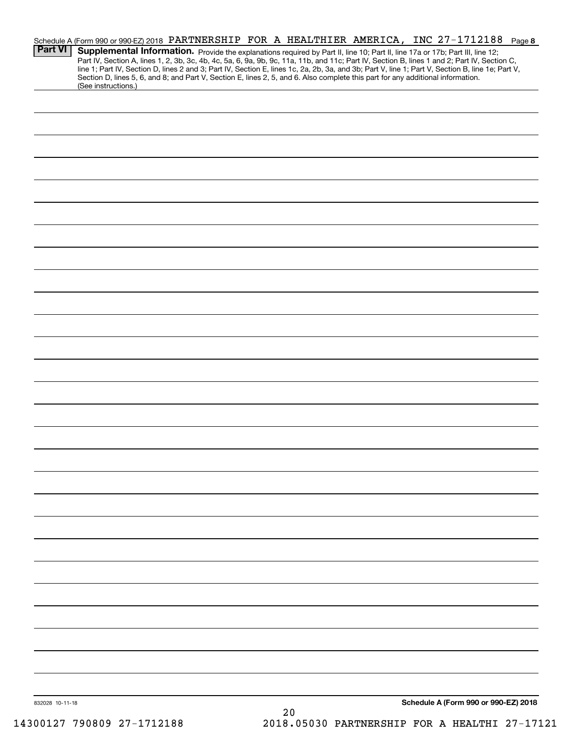|                 |                     |  |  |    |  | Schedule A (Form 990 or 990-EZ) 2018 PARTNERSHIP FOR A HEALTHIER AMERICA, INC 27-1712188 Page 8                                                                                                                                                                                                                                                                                                                                                                                                                                                                      |  |
|-----------------|---------------------|--|--|----|--|----------------------------------------------------------------------------------------------------------------------------------------------------------------------------------------------------------------------------------------------------------------------------------------------------------------------------------------------------------------------------------------------------------------------------------------------------------------------------------------------------------------------------------------------------------------------|--|
| <b>Part VI</b>  |                     |  |  |    |  | Supplemental Information. Provide the explanations required by Part II, line 10; Part II, line 17a or 17b; Part III, line 12;<br>Part IV, Section A, lines 1, 2, 3b, 3c, 4b, 4c, 5a, 6, 9a, 9b, 9c, 11a, 11b, and 11c; Part IV, Section B, lines 1 and 2; Part IV, Section C,<br>line 1; Part IV, Section D, lines 2 and 3; Part IV, Section E, lines 1c, 2a, 2b, 3a, and 3b; Part V, line 1; Part V, Section B, line 1e; Part V,<br>Section D, lines 5, 6, and 8; and Part V, Section E, lines 2, 5, and 6. Also complete this part for any additional information. |  |
|                 | (See instructions.) |  |  |    |  |                                                                                                                                                                                                                                                                                                                                                                                                                                                                                                                                                                      |  |
|                 |                     |  |  |    |  |                                                                                                                                                                                                                                                                                                                                                                                                                                                                                                                                                                      |  |
|                 |                     |  |  |    |  |                                                                                                                                                                                                                                                                                                                                                                                                                                                                                                                                                                      |  |
|                 |                     |  |  |    |  |                                                                                                                                                                                                                                                                                                                                                                                                                                                                                                                                                                      |  |
|                 |                     |  |  |    |  |                                                                                                                                                                                                                                                                                                                                                                                                                                                                                                                                                                      |  |
|                 |                     |  |  |    |  |                                                                                                                                                                                                                                                                                                                                                                                                                                                                                                                                                                      |  |
|                 |                     |  |  |    |  |                                                                                                                                                                                                                                                                                                                                                                                                                                                                                                                                                                      |  |
|                 |                     |  |  |    |  |                                                                                                                                                                                                                                                                                                                                                                                                                                                                                                                                                                      |  |
|                 |                     |  |  |    |  |                                                                                                                                                                                                                                                                                                                                                                                                                                                                                                                                                                      |  |
|                 |                     |  |  |    |  |                                                                                                                                                                                                                                                                                                                                                                                                                                                                                                                                                                      |  |
|                 |                     |  |  |    |  |                                                                                                                                                                                                                                                                                                                                                                                                                                                                                                                                                                      |  |
|                 |                     |  |  |    |  |                                                                                                                                                                                                                                                                                                                                                                                                                                                                                                                                                                      |  |
|                 |                     |  |  |    |  |                                                                                                                                                                                                                                                                                                                                                                                                                                                                                                                                                                      |  |
|                 |                     |  |  |    |  |                                                                                                                                                                                                                                                                                                                                                                                                                                                                                                                                                                      |  |
|                 |                     |  |  |    |  |                                                                                                                                                                                                                                                                                                                                                                                                                                                                                                                                                                      |  |
|                 |                     |  |  |    |  |                                                                                                                                                                                                                                                                                                                                                                                                                                                                                                                                                                      |  |
|                 |                     |  |  |    |  |                                                                                                                                                                                                                                                                                                                                                                                                                                                                                                                                                                      |  |
|                 |                     |  |  |    |  |                                                                                                                                                                                                                                                                                                                                                                                                                                                                                                                                                                      |  |
|                 |                     |  |  |    |  |                                                                                                                                                                                                                                                                                                                                                                                                                                                                                                                                                                      |  |
|                 |                     |  |  |    |  |                                                                                                                                                                                                                                                                                                                                                                                                                                                                                                                                                                      |  |
|                 |                     |  |  |    |  |                                                                                                                                                                                                                                                                                                                                                                                                                                                                                                                                                                      |  |
|                 |                     |  |  |    |  |                                                                                                                                                                                                                                                                                                                                                                                                                                                                                                                                                                      |  |
|                 |                     |  |  |    |  |                                                                                                                                                                                                                                                                                                                                                                                                                                                                                                                                                                      |  |
|                 |                     |  |  |    |  |                                                                                                                                                                                                                                                                                                                                                                                                                                                                                                                                                                      |  |
|                 |                     |  |  |    |  |                                                                                                                                                                                                                                                                                                                                                                                                                                                                                                                                                                      |  |
|                 |                     |  |  |    |  |                                                                                                                                                                                                                                                                                                                                                                                                                                                                                                                                                                      |  |
|                 |                     |  |  |    |  |                                                                                                                                                                                                                                                                                                                                                                                                                                                                                                                                                                      |  |
|                 |                     |  |  |    |  |                                                                                                                                                                                                                                                                                                                                                                                                                                                                                                                                                                      |  |
|                 |                     |  |  |    |  |                                                                                                                                                                                                                                                                                                                                                                                                                                                                                                                                                                      |  |
|                 |                     |  |  |    |  |                                                                                                                                                                                                                                                                                                                                                                                                                                                                                                                                                                      |  |
|                 |                     |  |  |    |  |                                                                                                                                                                                                                                                                                                                                                                                                                                                                                                                                                                      |  |
|                 |                     |  |  |    |  |                                                                                                                                                                                                                                                                                                                                                                                                                                                                                                                                                                      |  |
|                 |                     |  |  |    |  |                                                                                                                                                                                                                                                                                                                                                                                                                                                                                                                                                                      |  |
|                 |                     |  |  |    |  |                                                                                                                                                                                                                                                                                                                                                                                                                                                                                                                                                                      |  |
|                 |                     |  |  |    |  |                                                                                                                                                                                                                                                                                                                                                                                                                                                                                                                                                                      |  |
|                 |                     |  |  |    |  |                                                                                                                                                                                                                                                                                                                                                                                                                                                                                                                                                                      |  |
| 832028 10-11-18 |                     |  |  | 20 |  | Schedule A (Form 990 or 990-EZ) 2018                                                                                                                                                                                                                                                                                                                                                                                                                                                                                                                                 |  |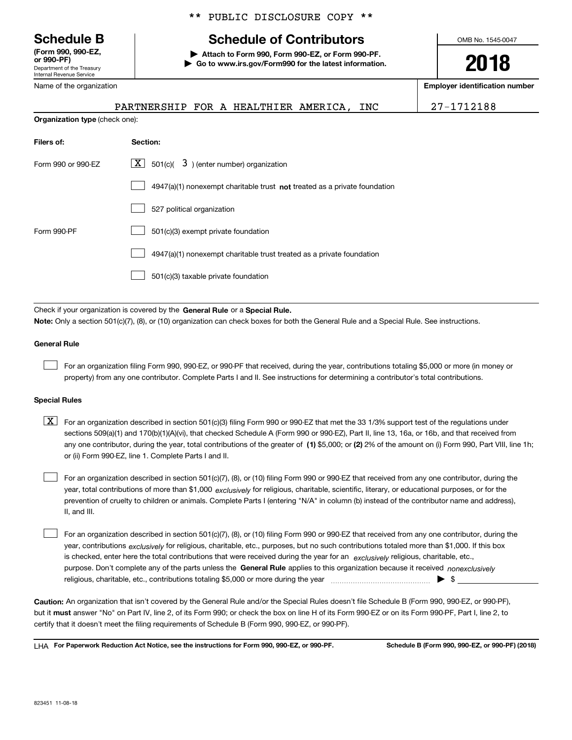Department of the Treasury Internal Revenue Service **(Form 990, 990-EZ, or 990-PF)**

Name of the organization

# \*\* PUBLIC DISCLOSURE COPY \*\*

# **Schedule B Schedule of Contributors**

**| Attach to Form 990, Form 990-EZ, or Form 990-PF. | Go to www.irs.gov/Form990 for the latest information.** OMB No. 1545-0047

**2018**

**Employer identification number**

|                                       | PARTNERSHIP FOR A HEALTHIER AMERICA, INC |  |  |  |
|---------------------------------------|------------------------------------------|--|--|--|
| <b>Organization type</b> (check one): |                                          |  |  |  |

PARTNERSHIP FOR A HEALTHIER AMERICA, INC 27-1712188

| Filers of:         | <b>Section:</b>                                                           |
|--------------------|---------------------------------------------------------------------------|
| Form 990 or 990-EZ | $\mathbf{X}$ 501(c)(<br>$3$ ) (enter number) organization                 |
|                    | 4947(a)(1) nonexempt charitable trust not treated as a private foundation |
|                    | 527 political organization                                                |
| Form 990-PF        | 501(c)(3) exempt private foundation                                       |
|                    | 4947(a)(1) nonexempt charitable trust treated as a private foundation     |
|                    | 501(c)(3) taxable private foundation                                      |

Check if your organization is covered by the **General Rule** or a **Special Rule. Note:**  Only a section 501(c)(7), (8), or (10) organization can check boxes for both the General Rule and a Special Rule. See instructions.

## **General Rule**

 $\mathcal{L}^{\text{max}}$ 

For an organization filing Form 990, 990-EZ, or 990-PF that received, during the year, contributions totaling \$5,000 or more (in money or property) from any one contributor. Complete Parts I and II. See instructions for determining a contributor's total contributions.

#### **Special Rules**

any one contributor, during the year, total contributions of the greater of  $\,$  (1) \$5,000; or **(2)** 2% of the amount on (i) Form 990, Part VIII, line 1h;  $\boxed{\textbf{X}}$  For an organization described in section 501(c)(3) filing Form 990 or 990-EZ that met the 33 1/3% support test of the regulations under sections 509(a)(1) and 170(b)(1)(A)(vi), that checked Schedule A (Form 990 or 990-EZ), Part II, line 13, 16a, or 16b, and that received from or (ii) Form 990-EZ, line 1. Complete Parts I and II.

year, total contributions of more than \$1,000 *exclusively* for religious, charitable, scientific, literary, or educational purposes, or for the For an organization described in section 501(c)(7), (8), or (10) filing Form 990 or 990-EZ that received from any one contributor, during the prevention of cruelty to children or animals. Complete Parts I (entering "N/A" in column (b) instead of the contributor name and address), II, and III.  $\mathcal{L}^{\text{max}}$ 

purpose. Don't complete any of the parts unless the **General Rule** applies to this organization because it received *nonexclusively* year, contributions <sub>exclusively</sub> for religious, charitable, etc., purposes, but no such contributions totaled more than \$1,000. If this box is checked, enter here the total contributions that were received during the year for an  $\;$ exclusively religious, charitable, etc., For an organization described in section 501(c)(7), (8), or (10) filing Form 990 or 990-EZ that received from any one contributor, during the religious, charitable, etc., contributions totaling \$5,000 or more during the year  $\Box$ — $\Box$   $\Box$  $\mathcal{L}^{\text{max}}$ 

**Caution:**  An organization that isn't covered by the General Rule and/or the Special Rules doesn't file Schedule B (Form 990, 990-EZ, or 990-PF),  **must** but it answer "No" on Part IV, line 2, of its Form 990; or check the box on line H of its Form 990-EZ or on its Form 990-PF, Part I, line 2, to certify that it doesn't meet the filing requirements of Schedule B (Form 990, 990-EZ, or 990-PF).

**For Paperwork Reduction Act Notice, see the instructions for Form 990, 990-EZ, or 990-PF. Schedule B (Form 990, 990-EZ, or 990-PF) (2018)** LHA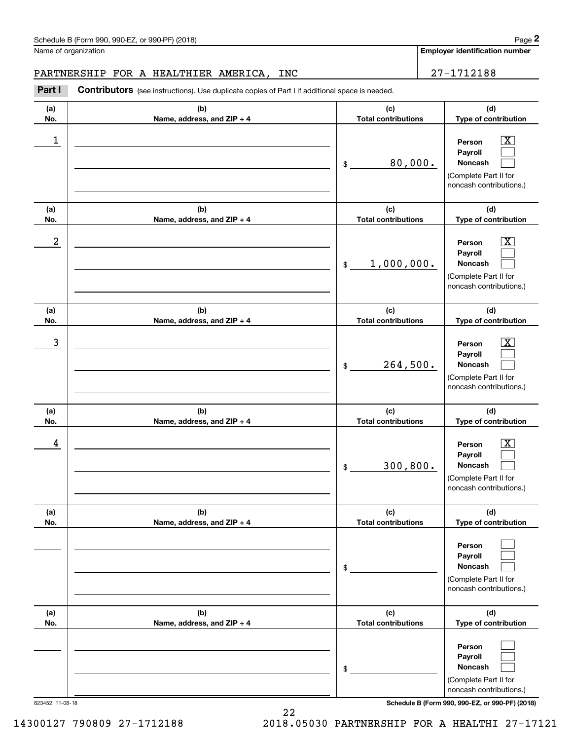Name of organization

**Employer identification number**

### PARTNERSHIP FOR A HEALTHIER AMERICA, INC  $\vert$  27-1712188

**(a)No.(b)Name, address, and ZIP + 4 (c)Total contributions (d)Type of contribution PersonPayrollNoncash (a)No.(b)Name, address, and ZIP + 4 (c)Total contributions (d)Type of contribution PersonPayrollNoncash (a)No.(b)Name, address, and ZIP + 4 (c)Total contributions (d)Type of contribution PersonPayrollNoncash (a) No.(b) Name, address, and ZIP + 4 (c) Total contributions (d) Type of contribution PersonPayrollNoncash (a) No.(b)Name, address, and ZIP + 4 (c) Total contributions (d) Type of contribution PersonPayrollNoncash(a) No.(b)Name, address, and ZIP + 4 (c) Total contributions (d)Type of contribution PersonPayrollNoncash** Contributors (see instructions). Use duplicate copies of Part I if additional space is needed. \$(Complete Part II for noncash contributions.) \$(Complete Part II for noncash contributions.) \$(Complete Part II for noncash contributions.) \$(Complete Part II for noncash contributions.) \$(Complete Part II for noncash contributions.) \$(Complete Part II for noncash contributions.) Chedule B (Form 990, 990-EZ, or 990-PF) (2018)<br>Iame of organization<br>**2PARTNERSHIP FOR A HEALTHIER AMERICA, INC** 27-1712188<br>**Part I** Contributors (see instructions). Use duplicate copies of Part I if additional space is nee  $|X|$  $\mathcal{L}^{\text{max}}$  $\mathcal{L}^{\text{max}}$  $\boxed{\text{X}}$  $\mathcal{L}^{\text{max}}$  $\mathcal{L}^{\text{max}}$  $|X|$  $\mathcal{L}^{\text{max}}$  $\mathcal{L}^{\text{max}}$  $|X|$  $\mathcal{L}^{\text{max}}$  $\mathcal{L}^{\text{max}}$  $\mathcal{L}^{\text{max}}$  $\mathcal{L}^{\text{max}}$  $\mathcal{L}^{\text{max}}$  $\mathcal{L}^{\text{max}}$  $\mathcal{L}^{\text{max}}$  $\mathcal{L}^{\text{max}}$  $\begin{array}{c|c|c|c|c|c} 1 & \hspace{1.5cm} & \hspace{1.5cm} & \hspace{1.5cm} & \hspace{1.5cm} & \hspace{1.5cm} & \hspace{1.5cm} & \hspace{1.5cm} & \hspace{1.5cm} & \hspace{1.5cm} & \hspace{1.5cm} & \hspace{1.5cm} & \hspace{1.5cm} & \hspace{1.5cm} & \hspace{1.5cm} & \hspace{1.5cm} & \hspace{1.5cm} & \hspace{1.5cm} & \hspace{1.5cm} & \hspace{1.5cm} & \hspace{1.5cm} &$ 80,000.  $2$  | Person  $\overline{\text{X}}$ 1,000,000.  $\overline{3}$  | Person  $\overline{X}$ 264,500.  $4$  | Person  $\overline{\text{X}}$ 300,800.

823452 11-08-18 **Schedule B (Form 990, 990-EZ, or 990-PF) (2018)**

22 14300127 790809 27-1712188 2018.05030 PARTNERSHIP FOR A HEALTHI 27-17121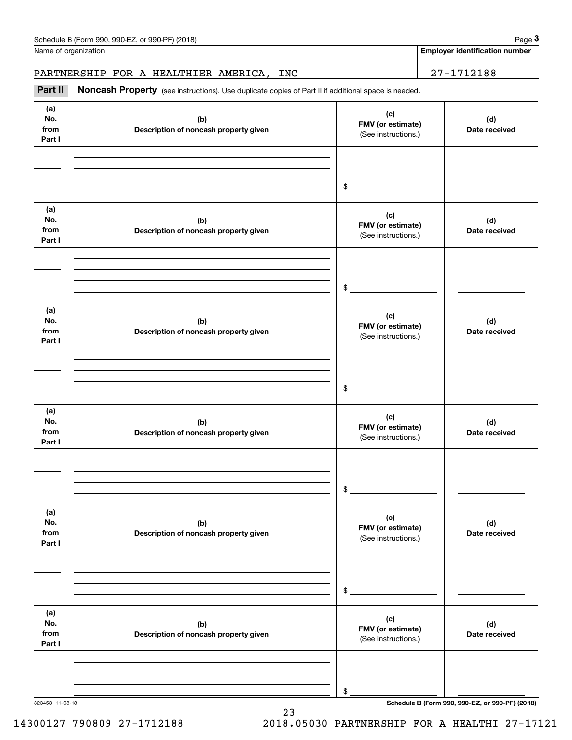Name of organization

# PARTNERSHIP FOR A HEALTHIER AMERICA, INC 27-1712188

Chedule B (Form 990, 990-EZ, or 990-PF) (2018)<br> **2Part II is additional space of Part II** if additional space is needed.<br> **1998 PARTINERSHIP FOR A HEALTHIER AMERICA, INC**<br> **27-1712188** 

| (a)<br>No.<br>from<br>Part I | (b)<br>Description of noncash property given | (c)<br>FMV (or estimate)<br>(See instructions.) | (d)<br>Date received                            |
|------------------------------|----------------------------------------------|-------------------------------------------------|-------------------------------------------------|
|                              |                                              |                                                 |                                                 |
|                              |                                              |                                                 |                                                 |
|                              |                                              | $\frac{1}{2}$                                   |                                                 |
| (a)<br>No.<br>from           | (b)<br>Description of noncash property given | (c)<br>FMV (or estimate)<br>(See instructions.) | (d)<br>Date received                            |
| Part I                       |                                              |                                                 |                                                 |
|                              |                                              |                                                 |                                                 |
|                              |                                              |                                                 |                                                 |
|                              |                                              | $\frac{1}{2}$                                   |                                                 |
| (a)<br>No.<br>from           | (b)<br>Description of noncash property given | (c)<br>FMV (or estimate)<br>(See instructions.) | (d)<br>Date received                            |
| Part I                       |                                              |                                                 |                                                 |
|                              |                                              |                                                 |                                                 |
|                              |                                              | $\mathcal{L}$                                   |                                                 |
|                              |                                              |                                                 |                                                 |
| (a)<br>No.<br>from<br>Part I | (b)<br>Description of noncash property given | (c)<br>FMV (or estimate)<br>(See instructions.) | (d)<br>Date received                            |
|                              |                                              |                                                 |                                                 |
|                              |                                              |                                                 |                                                 |
|                              |                                              | \$                                              |                                                 |
|                              |                                              |                                                 |                                                 |
| (a)<br>No.<br>from<br>Part I | (b)<br>Description of noncash property given | (c)<br>FMV (or estimate)<br>(See instructions.) | (d)<br>Date received                            |
|                              |                                              |                                                 |                                                 |
|                              |                                              |                                                 |                                                 |
|                              |                                              | $$\mathbb{S}$$                                  |                                                 |
|                              |                                              |                                                 |                                                 |
| (a)<br>No.                   | (b)                                          | (c)                                             | (d)                                             |
| from                         | Description of noncash property given        | FMV (or estimate)<br>(See instructions.)        | Date received                                   |
| Part I                       |                                              |                                                 |                                                 |
|                              |                                              |                                                 |                                                 |
|                              |                                              |                                                 |                                                 |
| 823453 11-08-18              |                                              | \$                                              | Schedule B (Form 990, 990-EZ, or 990-PF) (2018) |

23

# 14300127 790809 27-1712188 2018.05030 PARTNERSHIP FOR A HEALTHI 27-17121

**Employer identification number**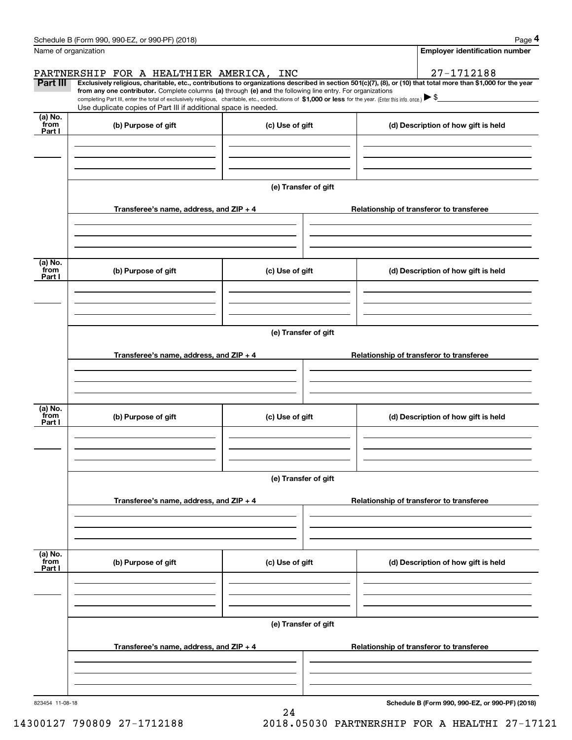|                           | Schedule B (Form 990, 990-EZ, or 990-PF) (2018)                                                                                                                                                                                                                              |                      | Page 4                                          |
|---------------------------|------------------------------------------------------------------------------------------------------------------------------------------------------------------------------------------------------------------------------------------------------------------------------|----------------------|-------------------------------------------------|
| Name of organization      |                                                                                                                                                                                                                                                                              |                      | <b>Employer identification number</b>           |
|                           | PARTNERSHIP FOR A HEALTHIER AMERICA, INC                                                                                                                                                                                                                                     |                      | 27-1712188                                      |
| Part III                  | Exclusively religious, charitable, etc., contributions to organizations described in section 501(c)(7), (8), or (10) that total more than \$1,000 for the year<br>from any one contributor. Complete columns (a) through (e) and the following line entry. For organizations |                      |                                                 |
|                           | completing Part III, enter the total of exclusively religious, charitable, etc., contributions of \$1,000 or less for the year. (Enter this info. once.) $\blacktriangleright$ \$<br>Use duplicate copies of Part III if additional space is needed.                         |                      |                                                 |
| (a) No.                   |                                                                                                                                                                                                                                                                              |                      |                                                 |
| from<br>Part I            | (b) Purpose of gift                                                                                                                                                                                                                                                          | (c) Use of gift      | (d) Description of how gift is held             |
|                           |                                                                                                                                                                                                                                                                              |                      |                                                 |
|                           |                                                                                                                                                                                                                                                                              |                      |                                                 |
|                           |                                                                                                                                                                                                                                                                              |                      |                                                 |
|                           |                                                                                                                                                                                                                                                                              | (e) Transfer of gift |                                                 |
|                           | Transferee's name, address, and ZIP + 4                                                                                                                                                                                                                                      |                      | Relationship of transferor to transferee        |
|                           |                                                                                                                                                                                                                                                                              |                      |                                                 |
|                           |                                                                                                                                                                                                                                                                              |                      |                                                 |
|                           |                                                                                                                                                                                                                                                                              |                      |                                                 |
| (a) No.                   |                                                                                                                                                                                                                                                                              |                      |                                                 |
| from<br>Part I            | (b) Purpose of gift                                                                                                                                                                                                                                                          | (c) Use of gift      | (d) Description of how gift is held             |
|                           |                                                                                                                                                                                                                                                                              |                      |                                                 |
|                           |                                                                                                                                                                                                                                                                              |                      |                                                 |
|                           |                                                                                                                                                                                                                                                                              |                      |                                                 |
|                           |                                                                                                                                                                                                                                                                              | (e) Transfer of gift |                                                 |
|                           | Transferee's name, address, and ZIP + 4                                                                                                                                                                                                                                      |                      | Relationship of transferor to transferee        |
|                           |                                                                                                                                                                                                                                                                              |                      |                                                 |
|                           |                                                                                                                                                                                                                                                                              |                      |                                                 |
|                           |                                                                                                                                                                                                                                                                              |                      |                                                 |
| (a) No.<br>from           | (b) Purpose of gift                                                                                                                                                                                                                                                          | (c) Use of gift      | (d) Description of how gift is held             |
| Part I                    |                                                                                                                                                                                                                                                                              |                      |                                                 |
|                           |                                                                                                                                                                                                                                                                              |                      |                                                 |
|                           |                                                                                                                                                                                                                                                                              |                      |                                                 |
|                           |                                                                                                                                                                                                                                                                              | (e) Transfer of gift |                                                 |
|                           |                                                                                                                                                                                                                                                                              |                      |                                                 |
|                           | Transferee's name, address, and ZIP + 4                                                                                                                                                                                                                                      |                      | Relationship of transferor to transferee        |
|                           |                                                                                                                                                                                                                                                                              |                      |                                                 |
|                           |                                                                                                                                                                                                                                                                              |                      |                                                 |
|                           |                                                                                                                                                                                                                                                                              |                      |                                                 |
| (a) No.<br>from<br>Part I | (b) Purpose of gift                                                                                                                                                                                                                                                          | (c) Use of gift      | (d) Description of how gift is held             |
|                           |                                                                                                                                                                                                                                                                              |                      |                                                 |
|                           |                                                                                                                                                                                                                                                                              |                      |                                                 |
|                           |                                                                                                                                                                                                                                                                              |                      |                                                 |
|                           |                                                                                                                                                                                                                                                                              | (e) Transfer of gift |                                                 |
|                           |                                                                                                                                                                                                                                                                              |                      |                                                 |
|                           | Transferee's name, address, and ZIP + 4                                                                                                                                                                                                                                      |                      | Relationship of transferor to transferee        |
|                           |                                                                                                                                                                                                                                                                              |                      |                                                 |
|                           |                                                                                                                                                                                                                                                                              |                      |                                                 |
| 823454 11-08-18           |                                                                                                                                                                                                                                                                              |                      | Schedule B (Form 990, 990-EZ, or 990-PF) (2018) |

24

**Schedule B (Form 990, 990-EZ, or 990-PF) (2018)**

14300127 790809 27-1712188 2018.05030 PARTNERSHIP FOR A HEALTHI 27-17121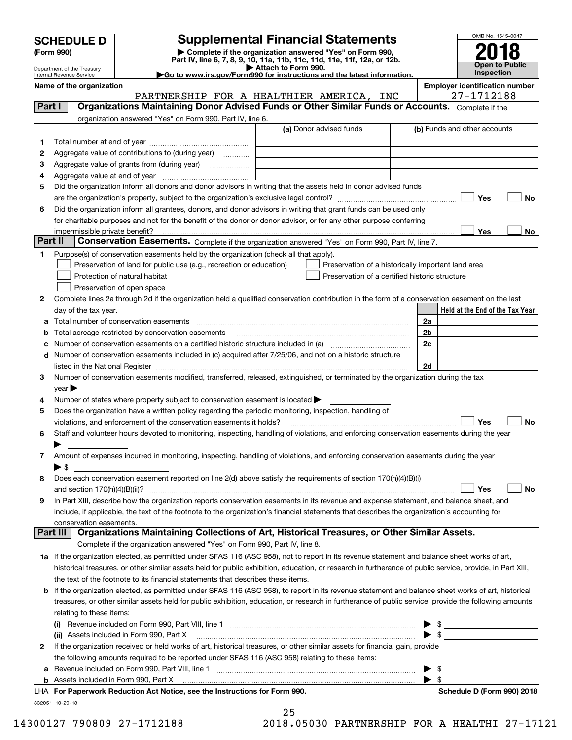Department of the Treasury Internal Revenue Service

# **SCHEDULE D Supplemental Financial Statements**

(Form 990)<br>
Pepartment of the Treasury<br>
Department of the Treasury<br>
Department of the Treasury<br>
Department of the Treasury<br> **Co to www.irs.gov/Form990 for instructions and the latest information.**<br> **Co to www.irs.gov/Form9** 

|  |  |  | $\blacktriangleright$ Go to www.irs.gov/Form990 for instructions and the latest information |  |  |  |
|--|--|--|---------------------------------------------------------------------------------------------|--|--|--|
|  |  |  |                                                                                             |  |  |  |



|                | Name of the organization<br>PARTNERSHIP FOR A HEALTHIER AMERICA, INC                                                                                       |                          |  | <b>Employer identification number</b><br>27-1712188 |           |  |  |  |  |
|----------------|------------------------------------------------------------------------------------------------------------------------------------------------------------|--------------------------|--|-----------------------------------------------------|-----------|--|--|--|--|
| Part I         | Organizations Maintaining Donor Advised Funds or Other Similar Funds or Accounts. Complete if the                                                          |                          |  |                                                     |           |  |  |  |  |
|                | organization answered "Yes" on Form 990, Part IV, line 6.                                                                                                  |                          |  |                                                     |           |  |  |  |  |
|                | (a) Donor advised funds                                                                                                                                    |                          |  | (b) Funds and other accounts                        |           |  |  |  |  |
| 1              |                                                                                                                                                            |                          |  |                                                     |           |  |  |  |  |
| 2              | Aggregate value of contributions to (during year)                                                                                                          |                          |  |                                                     |           |  |  |  |  |
| 3              |                                                                                                                                                            |                          |  |                                                     |           |  |  |  |  |
| 4              |                                                                                                                                                            |                          |  |                                                     |           |  |  |  |  |
| 5              | Did the organization inform all donors and donor advisors in writing that the assets held in donor advised funds                                           |                          |  |                                                     |           |  |  |  |  |
|                |                                                                                                                                                            |                          |  | Yes                                                 | No        |  |  |  |  |
| 6              | Did the organization inform all grantees, donors, and donor advisors in writing that grant funds can be used only                                          |                          |  |                                                     |           |  |  |  |  |
|                | for charitable purposes and not for the benefit of the donor or donor advisor, or for any other purpose conferring                                         |                          |  |                                                     |           |  |  |  |  |
|                | impermissible private benefit?                                                                                                                             |                          |  | Yes                                                 | No        |  |  |  |  |
| <b>Part II</b> | Conservation Easements. Complete if the organization answered "Yes" on Form 990, Part IV, line 7.                                                          |                          |  |                                                     |           |  |  |  |  |
| 1              | Purpose(s) of conservation easements held by the organization (check all that apply).                                                                      |                          |  |                                                     |           |  |  |  |  |
|                | Preservation of land for public use (e.g., recreation or education)<br>Preservation of a historically important land area                                  |                          |  |                                                     |           |  |  |  |  |
|                | Protection of natural habitat<br>Preservation of a certified historic structure                                                                            |                          |  |                                                     |           |  |  |  |  |
|                | Preservation of open space                                                                                                                                 |                          |  |                                                     |           |  |  |  |  |
| 2              | Complete lines 2a through 2d if the organization held a qualified conservation contribution in the form of a conservation easement on the last             |                          |  |                                                     |           |  |  |  |  |
|                | day of the tax year.                                                                                                                                       |                          |  | Held at the End of the Tax Year                     |           |  |  |  |  |
| a              | Total number of conservation easements                                                                                                                     | 2a                       |  |                                                     |           |  |  |  |  |
|                | <b>b</b> Total acreage restricted by conservation easements                                                                                                | 2 <sub>b</sub>           |  |                                                     |           |  |  |  |  |
|                | c Number of conservation easements on a certified historic structure included in (a) manufacture of conservation                                           | 2c                       |  |                                                     |           |  |  |  |  |
|                | d Number of conservation easements included in (c) acquired after 7/25/06, and not on a historic structure                                                 |                          |  |                                                     |           |  |  |  |  |
|                |                                                                                                                                                            | 2d                       |  |                                                     |           |  |  |  |  |
| 3              | Number of conservation easements modified, transferred, released, extinguished, or terminated by the organization during the tax                           |                          |  |                                                     |           |  |  |  |  |
|                | $year \blacktriangleright$                                                                                                                                 |                          |  |                                                     |           |  |  |  |  |
| 4              | Number of states where property subject to conservation easement is located >                                                                              |                          |  |                                                     |           |  |  |  |  |
| 5              | Does the organization have a written policy regarding the periodic monitoring, inspection, handling of                                                     |                          |  |                                                     |           |  |  |  |  |
|                | violations, and enforcement of the conservation easements it holds?                                                                                        |                          |  | Yes                                                 | <b>No</b> |  |  |  |  |
| 6              | Staff and volunteer hours devoted to monitoring, inspecting, handling of violations, and enforcing conservation easements during the year                  |                          |  |                                                     |           |  |  |  |  |
|                |                                                                                                                                                            |                          |  |                                                     |           |  |  |  |  |
| 7.             | Amount of expenses incurred in monitoring, inspecting, handling of violations, and enforcing conservation easements during the year                        |                          |  |                                                     |           |  |  |  |  |
|                | ▶ \$                                                                                                                                                       |                          |  |                                                     |           |  |  |  |  |
| 8              | Does each conservation easement reported on line 2(d) above satisfy the requirements of section 170(h)(4)(B)(i)                                            |                          |  |                                                     |           |  |  |  |  |
|                |                                                                                                                                                            |                          |  | Yes                                                 | No        |  |  |  |  |
|                | In Part XIII, describe how the organization reports conservation easements in its revenue and expense statement, and balance sheet, and                    |                          |  |                                                     |           |  |  |  |  |
|                | include, if applicable, the text of the footnote to the organization's financial statements that describes the organization's accounting for               |                          |  |                                                     |           |  |  |  |  |
|                | conservation easements.                                                                                                                                    |                          |  |                                                     |           |  |  |  |  |
|                | Part III   Organizations Maintaining Collections of Art, Historical Treasures, or Other Similar Assets.                                                    |                          |  |                                                     |           |  |  |  |  |
|                | Complete if the organization answered "Yes" on Form 990, Part IV, line 8.                                                                                  |                          |  |                                                     |           |  |  |  |  |
|                | 1a If the organization elected, as permitted under SFAS 116 (ASC 958), not to report in its revenue statement and balance sheet works of art,              |                          |  |                                                     |           |  |  |  |  |
|                | historical treasures, or other similar assets held for public exhibition, education, or research in furtherance of public service, provide, in Part XIII,  |                          |  |                                                     |           |  |  |  |  |
|                | the text of the footnote to its financial statements that describes these items.                                                                           |                          |  |                                                     |           |  |  |  |  |
|                | <b>b</b> If the organization elected, as permitted under SFAS 116 (ASC 958), to report in its revenue statement and balance sheet works of art, historical |                          |  |                                                     |           |  |  |  |  |
|                | treasures, or other similar assets held for public exhibition, education, or research in furtherance of public service, provide the following amounts      |                          |  |                                                     |           |  |  |  |  |
|                | relating to these items:                                                                                                                                   |                          |  |                                                     |           |  |  |  |  |
|                |                                                                                                                                                            |                          |  |                                                     |           |  |  |  |  |
|                | (ii) Assets included in Form 990, Part X                                                                                                                   | $\blacktriangleright$ \$ |  |                                                     |           |  |  |  |  |
| 2              | If the organization received or held works of art, historical treasures, or other similar assets for financial gain, provide                               |                          |  |                                                     |           |  |  |  |  |
|                | the following amounts required to be reported under SFAS 116 (ASC 958) relating to these items:                                                            |                          |  |                                                     |           |  |  |  |  |
|                |                                                                                                                                                            | - \$                     |  |                                                     |           |  |  |  |  |
|                |                                                                                                                                                            | $\blacktriangleright$ \$ |  |                                                     |           |  |  |  |  |
|                | LHA For Paperwork Reduction Act Notice, see the Instructions for Form 990.                                                                                 |                          |  | Schedule D (Form 990) 2018                          |           |  |  |  |  |
|                | 832051 10-29-18                                                                                                                                            |                          |  |                                                     |           |  |  |  |  |

25

14300127 790809 27-1712188 2018.05030 PARTNERSHIP FOR A HEALTHI 27-17121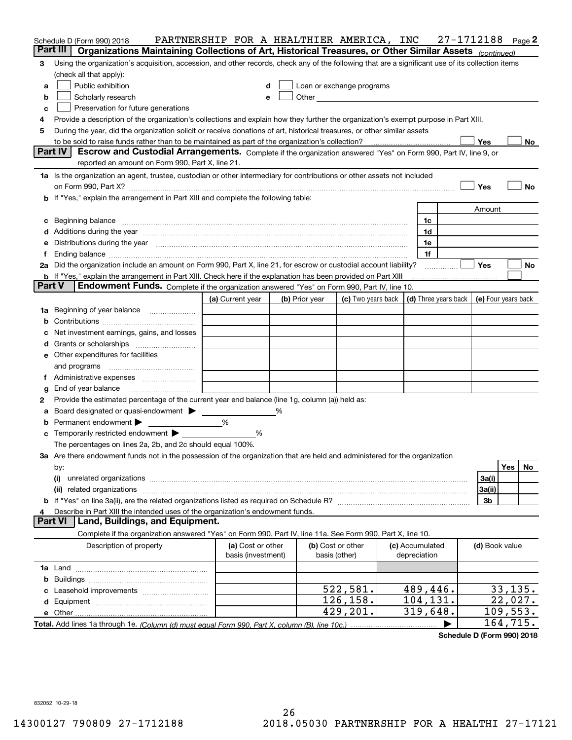|                | Schedule D (Form 990) 2018                                                                                                                                                                                                                        | PARTNERSHIP FOR A HEALTHIER AMERICA, INC |   |                |                                                                                                                                                                                                                               |  |                      | 27-1712188 |                | Page 2             |
|----------------|---------------------------------------------------------------------------------------------------------------------------------------------------------------------------------------------------------------------------------------------------|------------------------------------------|---|----------------|-------------------------------------------------------------------------------------------------------------------------------------------------------------------------------------------------------------------------------|--|----------------------|------------|----------------|--------------------|
|                | Part III<br>Organizations Maintaining Collections of Art, Historical Treasures, or Other Similar Assets (continued)                                                                                                                               |                                          |   |                |                                                                                                                                                                                                                               |  |                      |            |                |                    |
| 3              | Using the organization's acquisition, accession, and other records, check any of the following that are a significant use of its collection items                                                                                                 |                                          |   |                |                                                                                                                                                                                                                               |  |                      |            |                |                    |
|                | (check all that apply):                                                                                                                                                                                                                           |                                          |   |                |                                                                                                                                                                                                                               |  |                      |            |                |                    |
| a              | Public exhibition                                                                                                                                                                                                                                 | d                                        |   |                | Loan or exchange programs                                                                                                                                                                                                     |  |                      |            |                |                    |
| b              | Scholarly research                                                                                                                                                                                                                                | e                                        |   |                | Other and the contract of the contract of the contract of the contract of the contract of the contract of the contract of the contract of the contract of the contract of the contract of the contract of the contract of the |  |                      |            |                |                    |
| c              | Preservation for future generations                                                                                                                                                                                                               |                                          |   |                |                                                                                                                                                                                                                               |  |                      |            |                |                    |
| 4              | Provide a description of the organization's collections and explain how they further the organization's exempt purpose in Part XIII.                                                                                                              |                                          |   |                |                                                                                                                                                                                                                               |  |                      |            |                |                    |
| 5              | During the year, did the organization solicit or receive donations of art, historical treasures, or other similar assets                                                                                                                          |                                          |   |                |                                                                                                                                                                                                                               |  |                      |            |                |                    |
|                |                                                                                                                                                                                                                                                   |                                          |   |                |                                                                                                                                                                                                                               |  |                      |            | Yes            | No                 |
|                | <b>Part IV</b><br>Escrow and Custodial Arrangements. Complete if the organization answered "Yes" on Form 990, Part IV, line 9, or                                                                                                                 |                                          |   |                |                                                                                                                                                                                                                               |  |                      |            |                |                    |
|                | reported an amount on Form 990, Part X, line 21.                                                                                                                                                                                                  |                                          |   |                |                                                                                                                                                                                                                               |  |                      |            |                |                    |
|                | 1a Is the organization an agent, trustee, custodian or other intermediary for contributions or other assets not included                                                                                                                          |                                          |   |                |                                                                                                                                                                                                                               |  |                      |            |                |                    |
|                | on Form 990, Part X? [11] matter contracts and contracts and contracts are contracted as a function of the set of the set of the set of the set of the set of the set of the set of the set of the set of the set of the set o                    |                                          |   |                |                                                                                                                                                                                                                               |  |                      |            | Yes            | No                 |
|                | <b>b</b> If "Yes," explain the arrangement in Part XIII and complete the following table:                                                                                                                                                         |                                          |   |                |                                                                                                                                                                                                                               |  |                      |            |                |                    |
|                |                                                                                                                                                                                                                                                   |                                          |   |                |                                                                                                                                                                                                                               |  |                      |            | Amount         |                    |
|                | c Beginning balance measurements and the contract of the contract of the contract of the contract of the contract of the contract of the contract of the contract of the contract of the contract of the contract of the contr                    |                                          |   |                |                                                                                                                                                                                                                               |  | 1c                   |            |                |                    |
|                | d Additions during the year measurements are also contained a state of the year measurement of the year measurement of the state of the state of the state of the state of the state of the state of the state of the state of                    |                                          |   |                |                                                                                                                                                                                                                               |  | 1d<br>1e             |            |                |                    |
| f              | e Distributions during the year manufactured and continuum and contact the year manufactured and contact the year manufactured and contact the year manufactured and contact the year manufactured and contact the year manufa                    |                                          |   |                |                                                                                                                                                                                                                               |  | 1f                   |            |                |                    |
|                |                                                                                                                                                                                                                                                   |                                          |   |                |                                                                                                                                                                                                                               |  |                      |            | <b>Yes</b>     |                    |
|                | 2a Did the organization include an amount on Form 990, Part X, line 21, for escrow or custodial account liability?<br>No<br><b>b</b> If "Yes," explain the arrangement in Part XIII. Check here if the explanation has been provided on Part XIII |                                          |   |                |                                                                                                                                                                                                                               |  |                      |            |                |                    |
|                | <b>Part V</b><br>Endowment Funds. Complete if the organization answered "Yes" on Form 990, Part IV, line 10.                                                                                                                                      |                                          |   |                |                                                                                                                                                                                                                               |  |                      |            |                |                    |
|                |                                                                                                                                                                                                                                                   | (a) Current year                         |   | (b) Prior year | (c) Two years back $\vert$ (d) Three years back $\vert$ (e) Four years back                                                                                                                                                   |  |                      |            |                |                    |
|                | 1a Beginning of year balance                                                                                                                                                                                                                      |                                          |   |                |                                                                                                                                                                                                                               |  |                      |            |                |                    |
|                |                                                                                                                                                                                                                                                   |                                          |   |                |                                                                                                                                                                                                                               |  |                      |            |                |                    |
|                | c Net investment earnings, gains, and losses                                                                                                                                                                                                      |                                          |   |                |                                                                                                                                                                                                                               |  |                      |            |                |                    |
|                |                                                                                                                                                                                                                                                   |                                          |   |                |                                                                                                                                                                                                                               |  |                      |            |                |                    |
|                | <b>e</b> Other expenditures for facilities                                                                                                                                                                                                        |                                          |   |                |                                                                                                                                                                                                                               |  |                      |            |                |                    |
|                |                                                                                                                                                                                                                                                   |                                          |   |                |                                                                                                                                                                                                                               |  |                      |            |                |                    |
|                |                                                                                                                                                                                                                                                   |                                          |   |                |                                                                                                                                                                                                                               |  |                      |            |                |                    |
| g              | End of year balance                                                                                                                                                                                                                               |                                          |   |                |                                                                                                                                                                                                                               |  |                      |            |                |                    |
| 2              | Provide the estimated percentage of the current year end balance (line 1g, column (a)) held as:                                                                                                                                                   |                                          |   |                |                                                                                                                                                                                                                               |  |                      |            |                |                    |
|                | a Board designated or quasi-endowment > _____                                                                                                                                                                                                     |                                          | % |                |                                                                                                                                                                                                                               |  |                      |            |                |                    |
|                | <b>b</b> Permanent endowment $\blacktriangleright$                                                                                                                                                                                                | %                                        |   |                |                                                                                                                                                                                                                               |  |                      |            |                |                    |
|                | <b>c</b> Temporarily restricted endowment $\blacktriangleright$                                                                                                                                                                                   | %                                        |   |                |                                                                                                                                                                                                                               |  |                      |            |                |                    |
|                | The percentages on lines 2a, 2b, and 2c should equal 100%.                                                                                                                                                                                        |                                          |   |                |                                                                                                                                                                                                                               |  |                      |            |                |                    |
|                | 3a Are there endowment funds not in the possession of the organization that are held and administered for the organization                                                                                                                        |                                          |   |                |                                                                                                                                                                                                                               |  |                      |            |                |                    |
|                | by:                                                                                                                                                                                                                                               |                                          |   |                |                                                                                                                                                                                                                               |  |                      |            |                | Yes<br>No          |
|                | (i)                                                                                                                                                                                                                                               |                                          |   |                |                                                                                                                                                                                                                               |  |                      |            | 3a(i)          |                    |
|                |                                                                                                                                                                                                                                                   |                                          |   |                |                                                                                                                                                                                                                               |  |                      |            | 3a(ii)         |                    |
|                |                                                                                                                                                                                                                                                   |                                          |   |                |                                                                                                                                                                                                                               |  |                      |            | 3 <sub>b</sub> |                    |
| 4              | Describe in Part XIII the intended uses of the organization's endowment funds.                                                                                                                                                                    |                                          |   |                |                                                                                                                                                                                                                               |  |                      |            |                |                    |
| <b>Part VI</b> | Land, Buildings, and Equipment.                                                                                                                                                                                                                   |                                          |   |                |                                                                                                                                                                                                                               |  |                      |            |                |                    |
|                | Complete if the organization answered "Yes" on Form 990, Part IV, line 11a. See Form 990, Part X, line 10.                                                                                                                                        |                                          |   |                |                                                                                                                                                                                                                               |  |                      |            |                |                    |
|                | Description of property                                                                                                                                                                                                                           | (a) Cost or other                        |   |                | (b) Cost or other                                                                                                                                                                                                             |  | (c) Accumulated      |            | (d) Book value |                    |
|                |                                                                                                                                                                                                                                                   | basis (investment)                       |   |                | basis (other)                                                                                                                                                                                                                 |  | depreciation         |            |                |                    |
|                |                                                                                                                                                                                                                                                   |                                          |   |                |                                                                                                                                                                                                                               |  |                      |            |                |                    |
|                |                                                                                                                                                                                                                                                   |                                          |   |                |                                                                                                                                                                                                                               |  |                      |            |                |                    |
|                |                                                                                                                                                                                                                                                   |                                          |   |                | 522,581.<br>126,158.                                                                                                                                                                                                          |  | 489,446.<br>104,131. |            |                | 33,135.<br>22,027. |
|                |                                                                                                                                                                                                                                                   |                                          |   |                | 429,201.                                                                                                                                                                                                                      |  | 319,648.             |            |                | 109,553.           |
|                |                                                                                                                                                                                                                                                   |                                          |   |                |                                                                                                                                                                                                                               |  |                      |            |                | 164, 715.          |
|                |                                                                                                                                                                                                                                                   |                                          |   |                |                                                                                                                                                                                                                               |  |                      |            |                |                    |

**Schedule D (Form 990) 2018**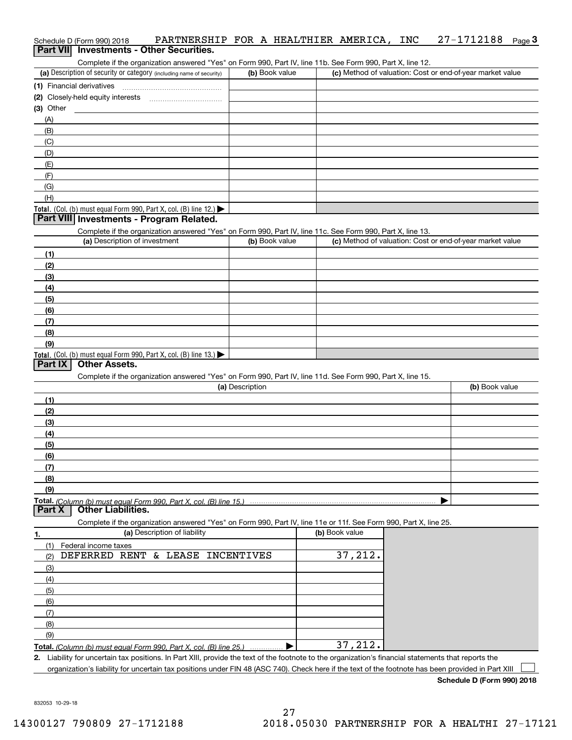| Schedule D (Form 990) 2018 |  | PARTNERSHIP FOR A HEALTHIER AMERICA, INC 27-1712188 Page 3 |  |  |  |  |
|----------------------------|--|------------------------------------------------------------|--|--|--|--|
|                            |  | Part VII Investments - Other Securities.                   |  |  |  |  |

Complete if the organization answered "Yes" on Form 990, Part IV, line 11b. See Form 990, Part X, line 12.

| (a) Description of security or category (including name of security)                   | (b) Book value | (c) Method of valuation: Cost or end-of-year market value |
|----------------------------------------------------------------------------------------|----------------|-----------------------------------------------------------|
| (1) Financial derivatives                                                              |                |                                                           |
| (2) Closely-held equity interests                                                      |                |                                                           |
| $(3)$ Other                                                                            |                |                                                           |
| (A)                                                                                    |                |                                                           |
| (B)                                                                                    |                |                                                           |
| (C)                                                                                    |                |                                                           |
| (D)                                                                                    |                |                                                           |
| (E)                                                                                    |                |                                                           |
| (F)                                                                                    |                |                                                           |
| (G)                                                                                    |                |                                                           |
| (H)                                                                                    |                |                                                           |
| Total. (Col. (b) must equal Form 990, Part X, col. (B) line 12.) $\blacktriangleright$ |                |                                                           |

### **Part VIII Investments - Program Related.**

Complete if the organization answered "Yes" on Form 990, Part IV, line 11c. See Form 990, Part X, line 13.

| (a) Description of investment                                                                 | (b) Book value | (c) Method of valuation: Cost or end-of-year market value |
|-----------------------------------------------------------------------------------------------|----------------|-----------------------------------------------------------|
| (1)                                                                                           |                |                                                           |
| (2)                                                                                           |                |                                                           |
| $\frac{1}{2}$                                                                                 |                |                                                           |
| (4)                                                                                           |                |                                                           |
| $\left(5\right)$                                                                              |                |                                                           |
| (6)                                                                                           |                |                                                           |
| (7)                                                                                           |                |                                                           |
| (8)                                                                                           |                |                                                           |
| (9)                                                                                           |                |                                                           |
| <b>Total.</b> (Col. (b) must equal Form 990, Part X, col. (B) line 13.) $\blacktriangleright$ |                |                                                           |

# **Part IX Other Assets.**

Complete if the organization answered "Yes" on Form 990, Part IV, line 11d. See Form 990, Part X, line 15.

| (a) Description | (b) Book value |
|-----------------|----------------|
| (1)             |                |
| (2)             |                |
| $\frac{1}{2}$   |                |
| (4)             |                |
| $\frac{1}{2}$   |                |
| (6)             |                |
| (7)             |                |
| (8)             |                |
| (9)             |                |
|                 |                |

**Part X Other Liabilities.**

Complete if the organization answered "Yes" on Form 990, Part IV, line 11e or 11f. See Form 990, Part X, line 25.

| 1.  | (a) Description of liability                                            | (b) Book value |
|-----|-------------------------------------------------------------------------|----------------|
|     | Federal income taxes                                                    |                |
| (2) | DEFERRED RENT & LEASE INCENTIVES                                        | 37,212.        |
| (3) |                                                                         |                |
| (4) |                                                                         |                |
| (5) |                                                                         |                |
| (6) |                                                                         |                |
|     |                                                                         |                |
| (8) |                                                                         |                |
| (9) |                                                                         |                |
|     | Total. (Column (b) must equal Form 990, Part X, col. (B) line 25.)<br>. | 37,212.        |

**2.** Liability for uncertain tax positions. In Part XIII, provide the text of the footnote to the organization's financial statements that reports the

organization's liability for uncertain tax positions under FIN 48 (ASC 740). Check here if the text of the footnote has been provided in Part XIII

**Schedule D (Form 990) 2018**

 $\mathcal{L}^{\text{max}}$ 

832053 10-29-18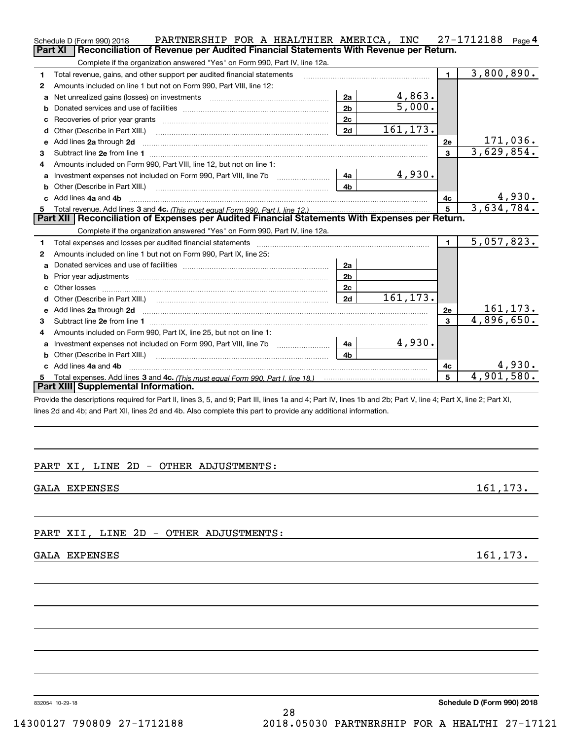|    | PARTNERSHIP FOR A HEALTHIER AMERICA, INC<br>Schedule D (Form 990) 2018                                                                                                                                                              |                |                      |              | $27 - 1712188$ Page 4 |           |
|----|-------------------------------------------------------------------------------------------------------------------------------------------------------------------------------------------------------------------------------------|----------------|----------------------|--------------|-----------------------|-----------|
|    | Reconciliation of Revenue per Audited Financial Statements With Revenue per Return.<br><b>Part XI</b>                                                                                                                               |                |                      |              |                       |           |
|    | Complete if the organization answered "Yes" on Form 990, Part IV, line 12a.                                                                                                                                                         |                |                      |              |                       |           |
| 1  | Total revenue, gains, and other support per audited financial statements                                                                                                                                                            |                |                      | $\mathbf{1}$ | 3,800,890.            |           |
| 2  | Amounts included on line 1 but not on Form 990, Part VIII, line 12:                                                                                                                                                                 |                |                      |              |                       |           |
| a  | Net unrealized gains (losses) on investments [11] matter contracts and the unrealized gains (losses) on investments                                                                                                                 | 2a             | 4,863.               |              |                       |           |
| b  |                                                                                                                                                                                                                                     | 2 <sub>b</sub> | $\overline{5,000}$ . |              |                       |           |
|    |                                                                                                                                                                                                                                     | 2c             |                      |              |                       |           |
| d  |                                                                                                                                                                                                                                     | 2d             | 161, 173.            |              |                       |           |
|    | e Add lines 2a through 2d <b>continuum contract and all and all and all and all and all and all and all and all and a</b>                                                                                                           |                |                      | 2e           |                       | 171,036.  |
| 3  |                                                                                                                                                                                                                                     |                |                      | $\mathbf{3}$ | 3,629,854.            |           |
| 4  | Amounts included on Form 990, Part VIII, line 12, but not on line 1:                                                                                                                                                                |                |                      |              |                       |           |
| a  | Investment expenses not included on Form 990, Part VIII, line 7b                                                                                                                                                                    | 4a             | 4,930.               |              |                       |           |
| b  | Other (Describe in Part XIII.)                                                                                                                                                                                                      | 4b             |                      |              |                       |           |
|    | c Add lines 4a and 4b                                                                                                                                                                                                               |                |                      | 4с           |                       | 4,930.    |
| 5  |                                                                                                                                                                                                                                     |                |                      | 5            | 3,634,784.            |           |
|    | Part XII   Reconciliation of Expenses per Audited Financial Statements With Expenses per Return.                                                                                                                                    |                |                      |              |                       |           |
|    | Complete if the organization answered "Yes" on Form 990, Part IV, line 12a.                                                                                                                                                         |                |                      |              |                       |           |
| 1  | Total expenses and losses per audited financial statements [11] [12] contain an intervention and the statements [13] [13] and the statements [13] and the statements [13] and the statements and the statements and the statem      |                |                      | $\mathbf{1}$ | 5,057,823.            |           |
| 2  | Amounts included on line 1 but not on Form 990, Part IX, line 25:                                                                                                                                                                   |                |                      |              |                       |           |
| a  |                                                                                                                                                                                                                                     | 2a             |                      |              |                       |           |
| b  |                                                                                                                                                                                                                                     | 2 <sub>b</sub> |                      |              |                       |           |
| c  |                                                                                                                                                                                                                                     | 2c             |                      |              |                       |           |
| d  |                                                                                                                                                                                                                                     | 2d             | 161, 173.            |              |                       |           |
|    | e Add lines 2a through 2d <b>contract and a contract and a contract a</b> contract a contract and a contract a contract a contract a contract a contract a contract a contract a contract a contract a contract a contract a contra |                |                      | 2e           |                       | 161, 173. |
| 3  |                                                                                                                                                                                                                                     |                |                      | 3            | 4,896,650.            |           |
| 4  | Amounts included on Form 990, Part IX, line 25, but not on line 1:                                                                                                                                                                  |                |                      |              |                       |           |
| a  |                                                                                                                                                                                                                                     | 4a             | 4,930.               |              |                       |           |
| b  | Other (Describe in Part XIII.) <b>2006</b> 2007 2010 2010 2010 2010 2011 2012 2013 2014 2014 2015 2016 2017 2018 2019 2016 2017 2018 2019 2016 2017 2018 2019 2016 2017 2018 2019 2018 2019 2019 2016 2017 2018 2019 2018 2019 2019 | 4b             |                      |              |                       |           |
|    | c Add lines 4a and 4b                                                                                                                                                                                                               |                |                      | 4c           |                       | 4,930.    |
| 5. |                                                                                                                                                                                                                                     |                |                      | 5            | 4,901,580.            |           |
|    | <b>Part XIII Supplemental Information.</b>                                                                                                                                                                                          |                |                      |              |                       |           |
|    | Provide the descriptions required for Part II, lines 3, 5, and 9; Part III, lines 1a and 4; Part IV, lines 1b and 2b; Part V, line 4; Part X, line 2; Part XI,                                                                      |                |                      |              |                       |           |
|    | lines 2d and 4b; and Part XII, lines 2d and 4b. Also complete this part to provide any additional information.                                                                                                                      |                |                      |              |                       |           |

# PART XI, LINE 2D - OTHER ADJUSTMENTS:

GALA EXPENSES 161,173.

# PART XII, LINE 2D - OTHER ADJUSTMENTS:

# GALA EXPENSES 161,173.

832054 10-29-18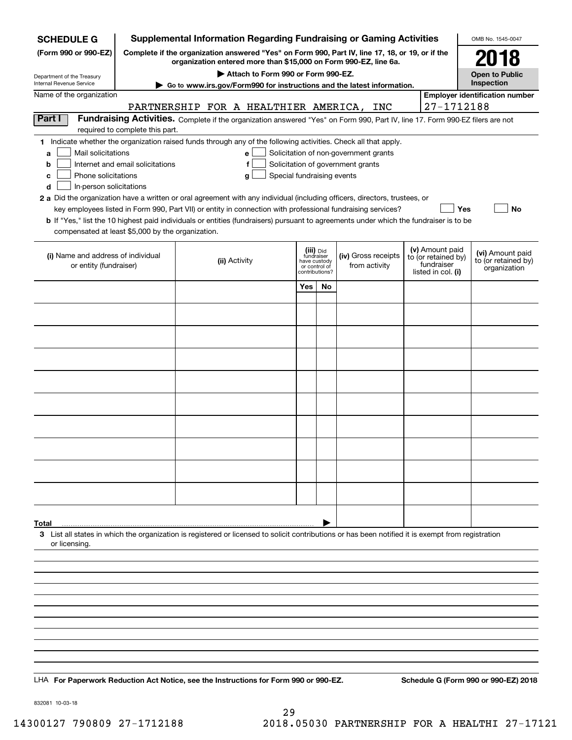| <b>SCHEDULE G</b>                                        |                                                                                                                                                                     | <b>Supplemental Information Regarding Fundraising or Gaming Activities</b>                                                                                                |                                                 |    |                                       |  |                                        | OMB No. 1545-0047                    |  |  |  |  |
|----------------------------------------------------------|---------------------------------------------------------------------------------------------------------------------------------------------------------------------|---------------------------------------------------------------------------------------------------------------------------------------------------------------------------|-------------------------------------------------|----|---------------------------------------|--|----------------------------------------|--------------------------------------|--|--|--|--|
| (Form 990 or 990-EZ)                                     | Complete if the organization answered "Yes" on Form 990, Part IV, line 17, 18, or 19, or if the<br>organization entered more than \$15,000 on Form 990-EZ, line 6a. | 2018                                                                                                                                                                      |                                                 |    |                                       |  |                                        |                                      |  |  |  |  |
| Department of the Treasury                               |                                                                                                                                                                     |                                                                                                                                                                           | <b>Open to Public</b><br>Inspection             |    |                                       |  |                                        |                                      |  |  |  |  |
| Internal Revenue Service<br>Name of the organization     | ► Go to www.irs.gov/Form990 for instructions and the latest information.<br><b>Employer identification number</b>                                                   |                                                                                                                                                                           |                                                 |    |                                       |  |                                        |                                      |  |  |  |  |
|                                                          | 27-1712188                                                                                                                                                          |                                                                                                                                                                           |                                                 |    |                                       |  |                                        |                                      |  |  |  |  |
| Part I                                                   | required to complete this part.                                                                                                                                     | PARTNERSHIP FOR A HEALTHIER AMERICA, INC<br>Fundraising Activities. Complete if the organization answered "Yes" on Form 990, Part IV, line 17. Form 990-EZ filers are not |                                                 |    |                                       |  |                                        |                                      |  |  |  |  |
|                                                          |                                                                                                                                                                     | 1 Indicate whether the organization raised funds through any of the following activities. Check all that apply.                                                           |                                                 |    |                                       |  |                                        |                                      |  |  |  |  |
| Mail solicitations<br>a                                  |                                                                                                                                                                     | e                                                                                                                                                                         |                                                 |    | Solicitation of non-government grants |  |                                        |                                      |  |  |  |  |
| b                                                        | Internet and email solicitations                                                                                                                                    | f                                                                                                                                                                         |                                                 |    | Solicitation of government grants     |  |                                        |                                      |  |  |  |  |
| Phone solicitations<br>c<br>In-person solicitations<br>d |                                                                                                                                                                     | Special fundraising events<br>g                                                                                                                                           |                                                 |    |                                       |  |                                        |                                      |  |  |  |  |
|                                                          |                                                                                                                                                                     | 2 a Did the organization have a written or oral agreement with any individual (including officers, directors, trustees, or                                                |                                                 |    |                                       |  |                                        |                                      |  |  |  |  |
|                                                          |                                                                                                                                                                     | key employees listed in Form 990, Part VII) or entity in connection with professional fundraising services?                                                               |                                                 |    |                                       |  | Yes                                    | No                                   |  |  |  |  |
|                                                          |                                                                                                                                                                     | <b>b</b> If "Yes," list the 10 highest paid individuals or entities (fundraisers) pursuant to agreements under which the fundraiser is to be                              |                                                 |    |                                       |  |                                        |                                      |  |  |  |  |
| compensated at least \$5,000 by the organization.        |                                                                                                                                                                     |                                                                                                                                                                           |                                                 |    |                                       |  |                                        |                                      |  |  |  |  |
| (i) Name and address of individual                       |                                                                                                                                                                     |                                                                                                                                                                           | (iii) Did<br>fundraiser                         |    | (iv) Gross receipts                   |  | (v) Amount paid<br>to (or retained by) | (vi) Amount paid                     |  |  |  |  |
| or entity (fundraiser)                                   |                                                                                                                                                                     | (ii) Activity                                                                                                                                                             | have custody<br>or control of<br>contributions? |    | from activity                         |  | fundraiser<br>listed in col. (i)       | to (or retained by)<br>organization  |  |  |  |  |
|                                                          |                                                                                                                                                                     |                                                                                                                                                                           | Yes                                             | No |                                       |  |                                        |                                      |  |  |  |  |
|                                                          |                                                                                                                                                                     |                                                                                                                                                                           |                                                 |    |                                       |  |                                        |                                      |  |  |  |  |
|                                                          |                                                                                                                                                                     |                                                                                                                                                                           |                                                 |    |                                       |  |                                        |                                      |  |  |  |  |
|                                                          |                                                                                                                                                                     |                                                                                                                                                                           |                                                 |    |                                       |  |                                        |                                      |  |  |  |  |
|                                                          |                                                                                                                                                                     |                                                                                                                                                                           |                                                 |    |                                       |  |                                        |                                      |  |  |  |  |
|                                                          |                                                                                                                                                                     |                                                                                                                                                                           |                                                 |    |                                       |  |                                        |                                      |  |  |  |  |
|                                                          |                                                                                                                                                                     |                                                                                                                                                                           |                                                 |    |                                       |  |                                        |                                      |  |  |  |  |
|                                                          |                                                                                                                                                                     |                                                                                                                                                                           |                                                 |    |                                       |  |                                        |                                      |  |  |  |  |
|                                                          |                                                                                                                                                                     |                                                                                                                                                                           |                                                 |    |                                       |  |                                        |                                      |  |  |  |  |
|                                                          |                                                                                                                                                                     |                                                                                                                                                                           |                                                 |    |                                       |  |                                        |                                      |  |  |  |  |
|                                                          |                                                                                                                                                                     |                                                                                                                                                                           |                                                 |    |                                       |  |                                        |                                      |  |  |  |  |
|                                                          |                                                                                                                                                                     |                                                                                                                                                                           |                                                 |    |                                       |  |                                        |                                      |  |  |  |  |
|                                                          |                                                                                                                                                                     |                                                                                                                                                                           |                                                 |    |                                       |  |                                        |                                      |  |  |  |  |
|                                                          |                                                                                                                                                                     |                                                                                                                                                                           |                                                 |    |                                       |  |                                        |                                      |  |  |  |  |
| Total                                                    |                                                                                                                                                                     |                                                                                                                                                                           |                                                 |    |                                       |  |                                        |                                      |  |  |  |  |
|                                                          |                                                                                                                                                                     | 3 List all states in which the organization is registered or licensed to solicit contributions or has been notified it is exempt from registration                        |                                                 |    |                                       |  |                                        |                                      |  |  |  |  |
| or licensing.                                            |                                                                                                                                                                     |                                                                                                                                                                           |                                                 |    |                                       |  |                                        |                                      |  |  |  |  |
|                                                          |                                                                                                                                                                     |                                                                                                                                                                           |                                                 |    |                                       |  |                                        |                                      |  |  |  |  |
|                                                          |                                                                                                                                                                     |                                                                                                                                                                           |                                                 |    |                                       |  |                                        |                                      |  |  |  |  |
|                                                          |                                                                                                                                                                     |                                                                                                                                                                           |                                                 |    |                                       |  |                                        |                                      |  |  |  |  |
|                                                          |                                                                                                                                                                     |                                                                                                                                                                           |                                                 |    |                                       |  |                                        |                                      |  |  |  |  |
|                                                          |                                                                                                                                                                     |                                                                                                                                                                           |                                                 |    |                                       |  |                                        |                                      |  |  |  |  |
|                                                          |                                                                                                                                                                     |                                                                                                                                                                           |                                                 |    |                                       |  |                                        |                                      |  |  |  |  |
|                                                          |                                                                                                                                                                     |                                                                                                                                                                           |                                                 |    |                                       |  |                                        |                                      |  |  |  |  |
|                                                          |                                                                                                                                                                     |                                                                                                                                                                           |                                                 |    |                                       |  |                                        |                                      |  |  |  |  |
|                                                          |                                                                                                                                                                     | LHA For Paperwork Reduction Act Notice, see the Instructions for Form 990 or 990-EZ.                                                                                      |                                                 |    |                                       |  |                                        | Schedule G (Form 990 or 990-EZ) 2018 |  |  |  |  |

832081 10-03-18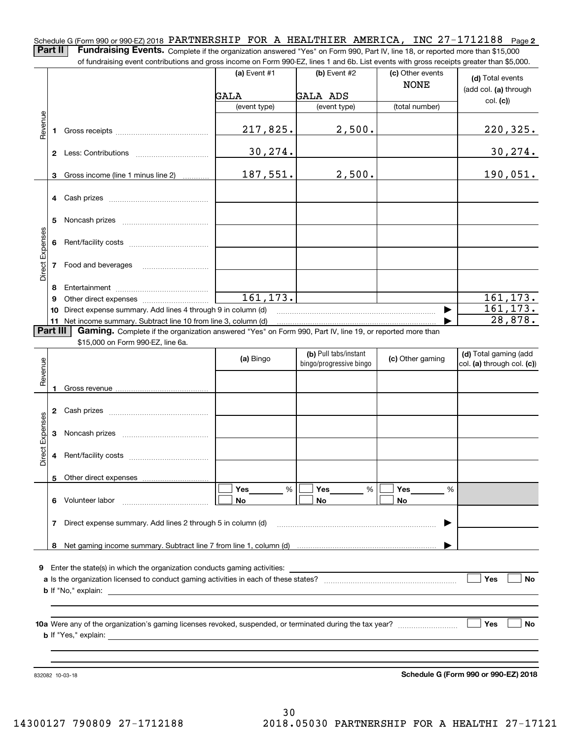Schedule G (Form 990 or 990-EZ) 2018 PARTNERSHIP FOR A HEALTHIER AMERICA, INC 27-1712188 <sub>Page</sub> 2 **Part II** | Fundraising Events. Complete if the organization answered "Yes" on Form 990, Part IV, line 18, or reported more than \$15,000

of fundraising event contributions and gross income on Form 990-EZ, lines 1 and 6b. List events with gross receipts greater than \$5,000.

|                 |    | 01 Turidi aləli iy everit continuutun ə anu yi 033 incurre on r onn 330-LZ, illies T anu 0D. List events with yiO33 receipts yieater than \$0,000. |                |                                                  |                                 |                                                     |
|-----------------|----|----------------------------------------------------------------------------------------------------------------------------------------------------|----------------|--------------------------------------------------|---------------------------------|-----------------------------------------------------|
|                 |    |                                                                                                                                                    | (a) Event $#1$ | $(b)$ Event #2                                   | (c) Other events<br><b>NONE</b> | (d) Total events                                    |
|                 |    |                                                                                                                                                    | GALA           | <b>GALA ADS</b>                                  |                                 | (add col. (a) through                               |
|                 |    |                                                                                                                                                    | (event type)   | (event type)                                     | (total number)                  | col. (c)                                            |
|                 |    |                                                                                                                                                    |                |                                                  |                                 |                                                     |
| Revenue         | 1  |                                                                                                                                                    | 217,825.       | 2,500.                                           |                                 | 220, 325.                                           |
|                 |    |                                                                                                                                                    | 30, 274.       |                                                  |                                 | 30, 274.                                            |
|                 | 3  | Gross income (line 1 minus line 2)                                                                                                                 | 187,551.       | 2,500.                                           |                                 | 190,051.                                            |
|                 | 4  |                                                                                                                                                    |                |                                                  |                                 |                                                     |
|                 | 5  |                                                                                                                                                    |                |                                                  |                                 |                                                     |
|                 | 6  |                                                                                                                                                    |                |                                                  |                                 |                                                     |
| Direct Expenses | 7  | Food and beverages                                                                                                                                 |                |                                                  |                                 |                                                     |
|                 | 8  |                                                                                                                                                    |                |                                                  |                                 |                                                     |
|                 | 9  |                                                                                                                                                    | 161, 173.      |                                                  |                                 | 161, 173.                                           |
|                 | 10 | Direct expense summary. Add lines 4 through 9 in column (d)                                                                                        |                |                                                  |                                 | 161, 173.                                           |
|                 |    | 11 Net income summary. Subtract line 10 from line 3, column (d)                                                                                    |                |                                                  |                                 | 28,878.                                             |
| Part III        |    | Gaming. Complete if the organization answered "Yes" on Form 990, Part IV, line 19, or reported more than                                           |                |                                                  |                                 |                                                     |
|                 |    | \$15,000 on Form 990-EZ, line 6a.                                                                                                                  |                |                                                  |                                 |                                                     |
| Revenue         |    |                                                                                                                                                    | (a) Bingo      | (b) Pull tabs/instant<br>bingo/progressive bingo | (c) Other gaming                | (d) Total gaming (add<br>col. (a) through col. (c)) |
|                 |    |                                                                                                                                                    |                |                                                  |                                 |                                                     |
|                 |    |                                                                                                                                                    |                |                                                  |                                 |                                                     |
|                 | 2  | Cash prizes [11] Cash prizes [11] Cash prizes [11] Cash prizes [11] [11] Casa Divideo [11] [11] 2012                                               |                |                                                  |                                 |                                                     |
|                 | 3  |                                                                                                                                                    |                |                                                  |                                 |                                                     |
| Direct Expenses | 4  |                                                                                                                                                    |                |                                                  |                                 |                                                     |
|                 |    | 5 Other direct expenses                                                                                                                            |                |                                                  |                                 |                                                     |
|                 |    |                                                                                                                                                    | Yes<br>%       | Yes<br>%                                         | Yes<br>%                        |                                                     |
|                 | 6  | Volunteer labor                                                                                                                                    | No             | No                                               | No                              |                                                     |
|                 | 7  | Direct expense summary. Add lines 2 through 5 in column (d)                                                                                        |                |                                                  |                                 |                                                     |
|                 | 8  |                                                                                                                                                    |                |                                                  |                                 |                                                     |
|                 |    |                                                                                                                                                    |                |                                                  |                                 |                                                     |
| 9               |    | Enter the state(s) in which the organization conducts gaming activities:                                                                           |                | <u> 1989 - Andrea Andrew Maria (h. 1989).</u>    |                                 |                                                     |
|                 |    |                                                                                                                                                    |                |                                                  |                                 | Yes<br><b>No</b>                                    |
|                 |    |                                                                                                                                                    |                |                                                  |                                 |                                                     |
|                 |    |                                                                                                                                                    |                |                                                  |                                 |                                                     |
|                 |    |                                                                                                                                                    |                |                                                  |                                 |                                                     |
|                 |    |                                                                                                                                                    |                |                                                  |                                 | <b>Yes</b><br>No                                    |
|                 |    | <b>b</b> If "Yes," explain: <b>b</b> If "Yes," explain:                                                                                            |                |                                                  |                                 |                                                     |
|                 |    |                                                                                                                                                    |                |                                                  |                                 |                                                     |
|                 |    |                                                                                                                                                    |                |                                                  |                                 |                                                     |
|                 |    | 832082 10-03-18                                                                                                                                    |                |                                                  |                                 | Schedule G (Form 990 or 990-EZ) 2018                |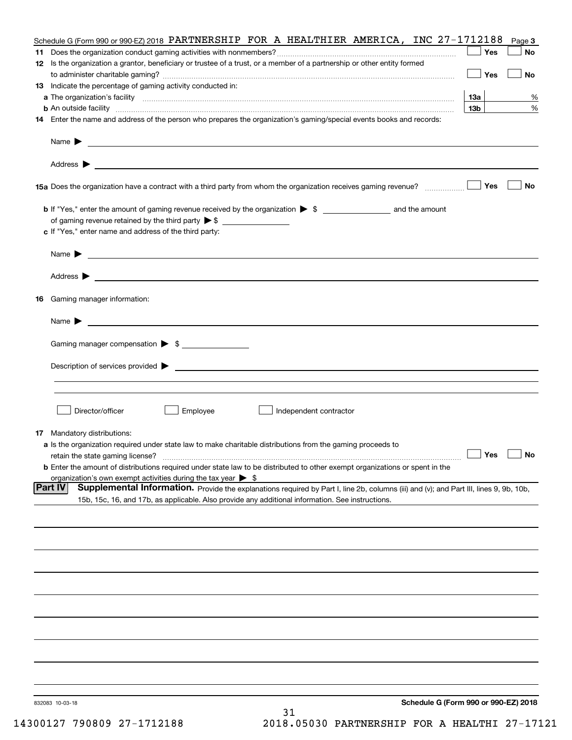|    | Schedule G (Form 990 or 990-EZ) 2018 PARTNERSHIP FOR A HEALTHIER AMERICA, INC 27-1712188                                                                                                                                                   |                 | Page 3 |
|----|--------------------------------------------------------------------------------------------------------------------------------------------------------------------------------------------------------------------------------------------|-----------------|--------|
|    |                                                                                                                                                                                                                                            | Yes             | No     |
|    | 12 Is the organization a grantor, beneficiary or trustee of a trust, or a member of a partnership or other entity formed                                                                                                                   |                 |        |
|    |                                                                                                                                                                                                                                            | Yes             | No     |
|    | 13 Indicate the percentage of gaming activity conducted in:                                                                                                                                                                                |                 |        |
|    |                                                                                                                                                                                                                                            | 13а             | %      |
|    | <b>b</b> An outside facility <b>contract and the contract of the contract of the contract of the contract of the contract of the contract of the contract of the contract of the contract of the contract of the contract of the cont</b>  | 13 <sub>b</sub> | %      |
|    | 14 Enter the name and address of the person who prepares the organization's gaming/special events books and records:                                                                                                                       |                 |        |
|    | Name $\blacktriangleright$                                                                                                                                                                                                                 |                 |        |
|    | <u> 1990 - John Harry Harry Harry Harry Harry Harry Harry Harry Harry Harry Harry Harry Harry Harry Harry Harry H</u>                                                                                                                      |                 |        |
|    |                                                                                                                                                                                                                                            |                 |        |
|    |                                                                                                                                                                                                                                            |                 |        |
|    | 15a Does the organization have a contract with a third party from whom the organization receives gaming revenue?                                                                                                                           | Yes             | No     |
|    |                                                                                                                                                                                                                                            |                 |        |
|    |                                                                                                                                                                                                                                            |                 |        |
|    |                                                                                                                                                                                                                                            |                 |        |
|    | c If "Yes," enter name and address of the third party:                                                                                                                                                                                     |                 |        |
|    |                                                                                                                                                                                                                                            |                 |        |
|    | Name $\blacktriangleright$<br><u> 1989 - Johann Barbara, martin amerikan basar dan berasal dan berasal dalam basar dalam basar dalam basar dala</u>                                                                                        |                 |        |
|    |                                                                                                                                                                                                                                            |                 |        |
|    | Address $\blacktriangleright$<br><u>some started and the started and the started and the started and the started and the started and the started and</u>                                                                                   |                 |        |
| 16 | Gaming manager information:                                                                                                                                                                                                                |                 |        |
|    |                                                                                                                                                                                                                                            |                 |        |
|    | Name $\blacktriangleright$                                                                                                                                                                                                                 |                 |        |
|    |                                                                                                                                                                                                                                            |                 |        |
|    | Gaming manager compensation > \$                                                                                                                                                                                                           |                 |        |
|    |                                                                                                                                                                                                                                            |                 |        |
|    | Description of services provided $\blacktriangleright$<br><u> 1989 - Andrea Aonaichte ann an Comhan ann an Comhan ann an t-</u>                                                                                                            |                 |        |
|    |                                                                                                                                                                                                                                            |                 |        |
|    |                                                                                                                                                                                                                                            |                 |        |
|    | Director/officer<br>Employee<br>Independent contractor                                                                                                                                                                                     |                 |        |
|    |                                                                                                                                                                                                                                            |                 |        |
|    | <b>17</b> Mandatory distributions:                                                                                                                                                                                                         |                 |        |
|    | a Is the organization required under state law to make charitable distributions from the gaming proceeds to                                                                                                                                |                 |        |
|    | retain the state gaming license?                                                                                                                                                                                                           | $\Box$ Yes      |        |
|    | <b>b</b> Enter the amount of distributions required under state law to be distributed to other exempt organizations or spent in the                                                                                                        |                 |        |
|    | organization's own exempt activities during the tax year $\triangleright$ \$<br><b>Part IV</b>                                                                                                                                             |                 |        |
|    | Supplemental Information. Provide the explanations required by Part I, line 2b, columns (iii) and (v); and Part III, lines 9, 9b, 10b,<br>15b, 15c, 16, and 17b, as applicable. Also provide any additional information. See instructions. |                 |        |
|    |                                                                                                                                                                                                                                            |                 |        |
|    |                                                                                                                                                                                                                                            |                 |        |
|    |                                                                                                                                                                                                                                            |                 |        |
|    |                                                                                                                                                                                                                                            |                 |        |
|    |                                                                                                                                                                                                                                            |                 |        |
|    |                                                                                                                                                                                                                                            |                 |        |
|    |                                                                                                                                                                                                                                            |                 |        |
|    |                                                                                                                                                                                                                                            |                 |        |
|    |                                                                                                                                                                                                                                            |                 |        |
|    |                                                                                                                                                                                                                                            |                 |        |
|    |                                                                                                                                                                                                                                            |                 |        |
|    |                                                                                                                                                                                                                                            |                 |        |
|    |                                                                                                                                                                                                                                            |                 |        |
|    |                                                                                                                                                                                                                                            |                 |        |
|    |                                                                                                                                                                                                                                            |                 |        |
|    |                                                                                                                                                                                                                                            |                 |        |
|    | Schedule G (Form 990 or 990-EZ) 2018<br>832083 10-03-18                                                                                                                                                                                    |                 |        |
|    | 31                                                                                                                                                                                                                                         |                 |        |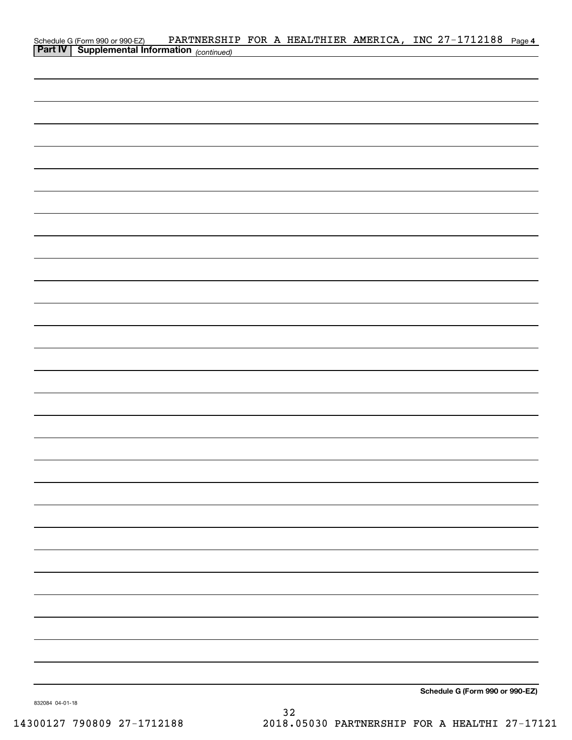| Schedule G (Form 990 or 990-EZ) PARTNERSHI<br>Part IV   Supplemental Information (continued) |  |  | PARTNERSHIP FOR A HEALTHIER AMERICA, INC 27-1712188 Page 4 |  |
|----------------------------------------------------------------------------------------------|--|--|------------------------------------------------------------|--|
|                                                                                              |  |  |                                                            |  |
|                                                                                              |  |  |                                                            |  |
|                                                                                              |  |  |                                                            |  |
|                                                                                              |  |  |                                                            |  |
|                                                                                              |  |  |                                                            |  |
|                                                                                              |  |  |                                                            |  |
|                                                                                              |  |  |                                                            |  |
|                                                                                              |  |  |                                                            |  |
|                                                                                              |  |  |                                                            |  |
|                                                                                              |  |  |                                                            |  |
|                                                                                              |  |  |                                                            |  |
|                                                                                              |  |  |                                                            |  |
|                                                                                              |  |  |                                                            |  |
|                                                                                              |  |  |                                                            |  |
|                                                                                              |  |  |                                                            |  |
|                                                                                              |  |  |                                                            |  |
|                                                                                              |  |  |                                                            |  |
|                                                                                              |  |  |                                                            |  |
|                                                                                              |  |  |                                                            |  |
|                                                                                              |  |  |                                                            |  |
|                                                                                              |  |  |                                                            |  |
|                                                                                              |  |  |                                                            |  |
|                                                                                              |  |  |                                                            |  |
|                                                                                              |  |  |                                                            |  |
|                                                                                              |  |  |                                                            |  |
|                                                                                              |  |  |                                                            |  |
|                                                                                              |  |  |                                                            |  |
|                                                                                              |  |  |                                                            |  |
|                                                                                              |  |  |                                                            |  |
|                                                                                              |  |  |                                                            |  |
|                                                                                              |  |  |                                                            |  |
|                                                                                              |  |  |                                                            |  |
|                                                                                              |  |  |                                                            |  |
|                                                                                              |  |  |                                                            |  |
|                                                                                              |  |  |                                                            |  |
|                                                                                              |  |  |                                                            |  |
|                                                                                              |  |  |                                                            |  |
|                                                                                              |  |  |                                                            |  |
|                                                                                              |  |  |                                                            |  |
|                                                                                              |  |  |                                                            |  |
|                                                                                              |  |  | Schedule G (Form 990 or 990-EZ)                            |  |

832084 04-01-18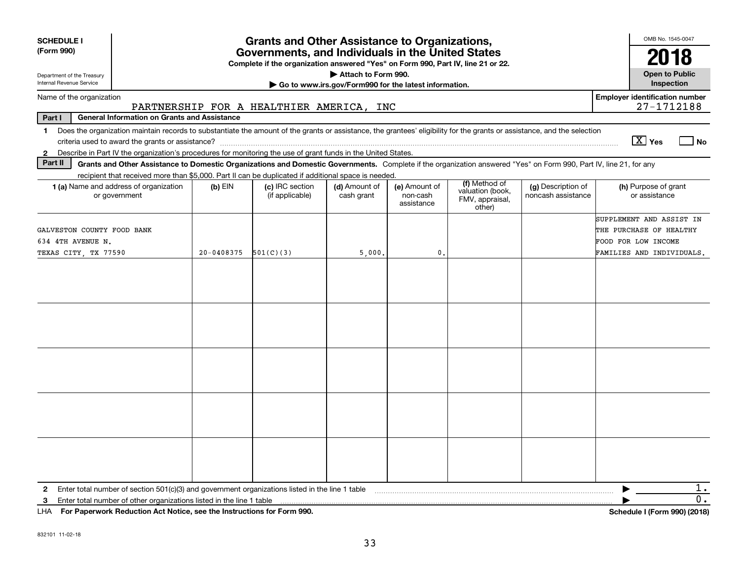| <b>SCHEDULE I</b><br>(Form 990)<br>Department of the Treasury<br>Internal Revenue Service                                                                                                                                                                                                                                | <b>Grants and Other Assistance to Organizations,</b><br>Governments, and Individuals in the United States<br>Complete if the organization answered "Yes" on Form 990, Part IV, line 21 or 22.<br>Attach to Form 990.<br>Go to www.irs.gov/Form990 for the latest information. |                                          |                             |                                         |                                                                |                                          |                                                                                                         |  |  |  |  |
|--------------------------------------------------------------------------------------------------------------------------------------------------------------------------------------------------------------------------------------------------------------------------------------------------------------------------|-------------------------------------------------------------------------------------------------------------------------------------------------------------------------------------------------------------------------------------------------------------------------------|------------------------------------------|-----------------------------|-----------------------------------------|----------------------------------------------------------------|------------------------------------------|---------------------------------------------------------------------------------------------------------|--|--|--|--|
| Name of the organization                                                                                                                                                                                                                                                                                                 |                                                                                                                                                                                                                                                                               |                                          |                             |                                         |                                                                |                                          | <b>Employer identification number</b>                                                                   |  |  |  |  |
| Part I<br><b>General Information on Grants and Assistance</b>                                                                                                                                                                                                                                                            |                                                                                                                                                                                                                                                                               | PARTNERSHIP FOR A HEALTHIER AMERICA, INC |                             |                                         |                                                                |                                          | 27-1712188                                                                                              |  |  |  |  |
| Does the organization maintain records to substantiate the amount of the grants or assistance, the grantees' eligibility for the grants or assistance, and the selection<br>$\mathbf 1$<br>Describe in Part IV the organization's procedures for monitoring the use of grant funds in the United States.<br>$\mathbf{2}$ |                                                                                                                                                                                                                                                                               |                                          |                             |                                         |                                                                |                                          | $\boxed{\text{X}}$ Yes<br>  No                                                                          |  |  |  |  |
| Part II<br>Grants and Other Assistance to Domestic Organizations and Domestic Governments. Complete if the organization answered "Yes" on Form 990, Part IV, line 21, for any                                                                                                                                            |                                                                                                                                                                                                                                                                               |                                          |                             |                                         |                                                                |                                          |                                                                                                         |  |  |  |  |
| recipient that received more than \$5,000. Part II can be duplicated if additional space is needed.<br><b>1 (a)</b> Name and address of organization<br>or government                                                                                                                                                    | $(b)$ EIN                                                                                                                                                                                                                                                                     | (c) IRC section<br>(if applicable)       | (d) Amount of<br>cash grant | (e) Amount of<br>non-cash<br>assistance | (f) Method of<br>valuation (book,<br>FMV, appraisal,<br>other) | (g) Description of<br>noncash assistance | (h) Purpose of grant<br>or assistance                                                                   |  |  |  |  |
| GALVESTON COUNTY FOOD BANK<br>634 4TH AVENUE N.<br>TEXAS CITY, TX 77590                                                                                                                                                                                                                                                  | 20-0408375                                                                                                                                                                                                                                                                    | 501(C)(3)                                | 5,000.                      | $\mathbf{0}$                            |                                                                |                                          | SUPPLEMENT AND ASSIST IN<br>THE PURCHASE OF HEALTHY<br>FOOD FOR LOW INCOME<br>FAMILIES AND INDIVIDUALS. |  |  |  |  |
|                                                                                                                                                                                                                                                                                                                          |                                                                                                                                                                                                                                                                               |                                          |                             |                                         |                                                                |                                          |                                                                                                         |  |  |  |  |
|                                                                                                                                                                                                                                                                                                                          |                                                                                                                                                                                                                                                                               |                                          |                             |                                         |                                                                |                                          |                                                                                                         |  |  |  |  |
| Enter total number of section $501(c)(3)$ and government organizations listed in the line 1 table<br>$\mathbf{2}$                                                                                                                                                                                                        |                                                                                                                                                                                                                                                                               |                                          |                             |                                         |                                                                |                                          | 1.                                                                                                      |  |  |  |  |
| Enter total number of other organizations listed in the line 1 table<br>3<br>LHA For Paperwork Reduction Act Notice, see the Instructions for Form 990.                                                                                                                                                                  |                                                                                                                                                                                                                                                                               |                                          |                             |                                         |                                                                |                                          | 0.<br>Schedule I (Form 990) (2018)                                                                      |  |  |  |  |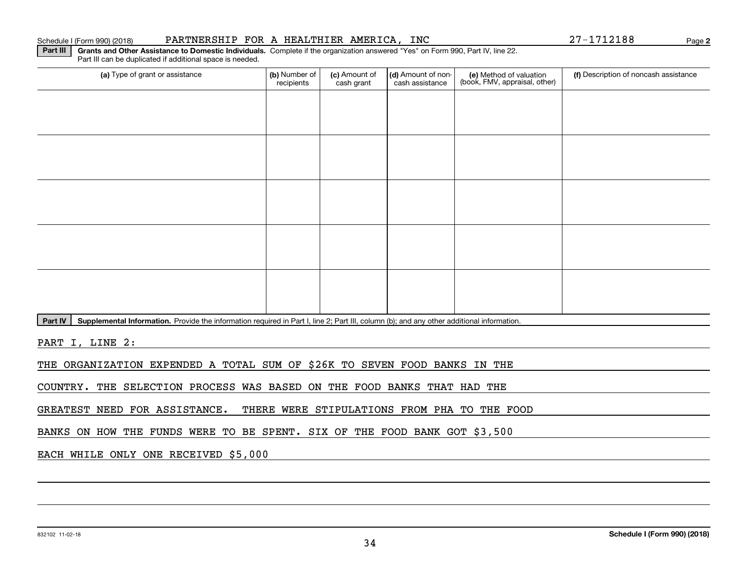### Schedule I (Form 990) (2018) PARTNERSHIP FOR A HEALTHIER AMERICA, INC 27-1712188 Page

**2**

**Part III | Grants and Other Assistance to Domestic Individuals. Complete if the organization answered "Yes" on Form 990, Part IV, line 22.** Part III can be duplicated if additional space is needed.

| (a) Type of grant or assistance | (b) Number of<br>recipients | (c) Amount of<br>cash grant | (d) Amount of non-<br>cash assistance | (e) Method of valuation<br>(book, FMV, appraisal, other) | (f) Description of noncash assistance |
|---------------------------------|-----------------------------|-----------------------------|---------------------------------------|----------------------------------------------------------|---------------------------------------|
|                                 |                             |                             |                                       |                                                          |                                       |
|                                 |                             |                             |                                       |                                                          |                                       |
|                                 |                             |                             |                                       |                                                          |                                       |
|                                 |                             |                             |                                       |                                                          |                                       |
|                                 |                             |                             |                                       |                                                          |                                       |
|                                 |                             |                             |                                       |                                                          |                                       |
|                                 |                             |                             |                                       |                                                          |                                       |
|                                 |                             |                             |                                       |                                                          |                                       |
|                                 |                             |                             |                                       |                                                          |                                       |
|                                 |                             |                             |                                       |                                                          |                                       |

Part IV | Supplemental Information. Provide the information required in Part I, line 2; Part III, column (b); and any other additional information.

PART I, LINE 2:

THE ORGANIZATION EXPENDED A TOTAL SUM OF \$26K TO SEVEN FOOD BANKS IN THE

COUNTRY. THE SELECTION PROCESS WAS BASED ON THE FOOD BANKS THAT HAD THE

GREATEST NEED FOR ASSISTANCE. THERE WERE STIPULATIONS FROM PHA TO THE FOOD

BANKS ON HOW THE FUNDS WERE TO BE SPENT. SIX OF THE FOOD BANK GOT \$3,500

EACH WHILE ONLY ONE RECEIVED \$5,000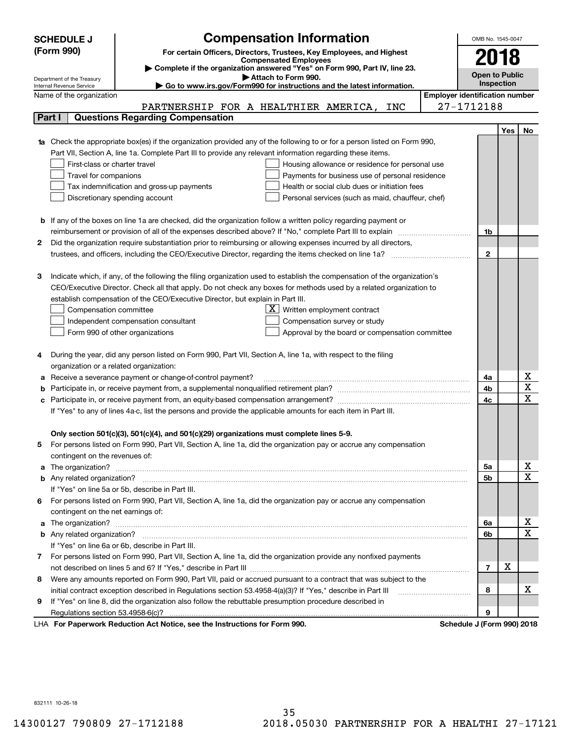|    | <b>Compensation Information</b><br><b>SCHEDULE J</b>                                                                                                                                                          |                                       | OMB No. 1545-0047          |     |                                     |  |
|----|---------------------------------------------------------------------------------------------------------------------------------------------------------------------------------------------------------------|---------------------------------------|----------------------------|-----|-------------------------------------|--|
|    | (Form 990)<br>For certain Officers, Directors, Trustees, Key Employees, and Highest                                                                                                                           |                                       |                            |     |                                     |  |
|    | <b>Compensated Employees</b>                                                                                                                                                                                  |                                       | 2018                       |     |                                     |  |
|    | Complete if the organization answered "Yes" on Form 990, Part IV, line 23.                                                                                                                                    |                                       | <b>Open to Public</b>      |     |                                     |  |
|    | Attach to Form 990.<br>Department of the Treasury<br>Go to www.irs.gov/Form990 for instructions and the latest information.<br>Internal Revenue Service                                                       |                                       | Inspection                 |     |                                     |  |
|    | Name of the organization                                                                                                                                                                                      | <b>Employer identification number</b> |                            |     |                                     |  |
|    | PARTNERSHIP FOR A HEALTHIER AMERICA, INC                                                                                                                                                                      |                                       | 27-1712188                 |     |                                     |  |
|    | <b>Questions Regarding Compensation</b><br>Part I                                                                                                                                                             |                                       |                            |     |                                     |  |
|    |                                                                                                                                                                                                               |                                       |                            | Yes | No                                  |  |
|    | 1a Check the appropriate box(es) if the organization provided any of the following to or for a person listed on Form 990,                                                                                     |                                       |                            |     |                                     |  |
|    | Part VII, Section A, line 1a. Complete Part III to provide any relevant information regarding these items.                                                                                                    |                                       |                            |     |                                     |  |
|    | First-class or charter travel<br>Housing allowance or residence for personal use                                                                                                                              |                                       |                            |     |                                     |  |
|    | Travel for companions<br>Payments for business use of personal residence                                                                                                                                      |                                       |                            |     |                                     |  |
|    | Tax indemnification and gross-up payments<br>Health or social club dues or initiation fees                                                                                                                    |                                       |                            |     |                                     |  |
|    | Discretionary spending account<br>Personal services (such as maid, chauffeur, chef)                                                                                                                           |                                       |                            |     |                                     |  |
|    |                                                                                                                                                                                                               |                                       |                            |     |                                     |  |
|    | <b>b</b> If any of the boxes on line 1a are checked, did the organization follow a written policy regarding payment or                                                                                        |                                       |                            |     |                                     |  |
|    | reimbursement or provision of all of the expenses described above? If "No," complete Part III to explain                                                                                                      |                                       | 1b                         |     |                                     |  |
| 2  | Did the organization require substantiation prior to reimbursing or allowing expenses incurred by all directors,                                                                                              |                                       |                            |     |                                     |  |
|    |                                                                                                                                                                                                               |                                       | $\mathbf{2}$               |     |                                     |  |
|    |                                                                                                                                                                                                               |                                       |                            |     |                                     |  |
| з  | Indicate which, if any, of the following the filing organization used to establish the compensation of the organization's                                                                                     |                                       |                            |     |                                     |  |
|    | CEO/Executive Director. Check all that apply. Do not check any boxes for methods used by a related organization to                                                                                            |                                       |                            |     |                                     |  |
|    | establish compensation of the CEO/Executive Director, but explain in Part III.                                                                                                                                |                                       |                            |     |                                     |  |
|    | Compensation committee<br>Written employment contract                                                                                                                                                         |                                       |                            |     |                                     |  |
|    | Compensation survey or study<br>Independent compensation consultant                                                                                                                                           |                                       |                            |     |                                     |  |
|    | Form 990 of other organizations<br>Approval by the board or compensation committee                                                                                                                            |                                       |                            |     |                                     |  |
|    |                                                                                                                                                                                                               |                                       |                            |     |                                     |  |
|    | During the year, did any person listed on Form 990, Part VII, Section A, line 1a, with respect to the filing                                                                                                  |                                       |                            |     |                                     |  |
|    | organization or a related organization:                                                                                                                                                                       |                                       |                            |     |                                     |  |
|    | Receive a severance payment or change-of-control payment?                                                                                                                                                     |                                       | 4a                         |     | <u>x</u><br>$\overline{\mathtt{x}}$ |  |
|    |                                                                                                                                                                                                               |                                       | 4b                         |     | $\overline{\text{x}}$               |  |
| с  | Participate in, or receive payment from, an equity-based compensation arrangement?                                                                                                                            |                                       | 4c                         |     |                                     |  |
|    | If "Yes" to any of lines 4a-c, list the persons and provide the applicable amounts for each item in Part III.                                                                                                 |                                       |                            |     |                                     |  |
|    |                                                                                                                                                                                                               |                                       |                            |     |                                     |  |
|    | Only section 501(c)(3), 501(c)(4), and 501(c)(29) organizations must complete lines 5-9.<br>For persons listed on Form 990, Part VII, Section A, line 1a, did the organization pay or accrue any compensation |                                       |                            |     |                                     |  |
| 5. |                                                                                                                                                                                                               |                                       |                            |     |                                     |  |
|    | contingent on the revenues of:                                                                                                                                                                                |                                       | 5a                         |     |                                     |  |
|    |                                                                                                                                                                                                               |                                       | 5b                         |     | $\frac{\text{X}}{\text{X}}$         |  |
|    | If "Yes" on line 5a or 5b, describe in Part III.                                                                                                                                                              |                                       |                            |     |                                     |  |
| 6. | For persons listed on Form 990, Part VII, Section A, line 1a, did the organization pay or accrue any compensation                                                                                             |                                       |                            |     |                                     |  |
|    | contingent on the net earnings of:                                                                                                                                                                            |                                       |                            |     |                                     |  |
|    |                                                                                                                                                                                                               |                                       | 6a                         |     | <u>x</u>                            |  |
|    |                                                                                                                                                                                                               |                                       | 6b                         |     | $\overline{\mathtt{x}}$             |  |
|    | If "Yes" on line 6a or 6b, describe in Part III.                                                                                                                                                              |                                       |                            |     |                                     |  |
|    | 7 For persons listed on Form 990, Part VII, Section A, line 1a, did the organization provide any nonfixed payments                                                                                            |                                       |                            |     |                                     |  |
|    |                                                                                                                                                                                                               |                                       | $\overline{7}$             | х   |                                     |  |
| 8  | Were any amounts reported on Form 990, Part VII, paid or accrued pursuant to a contract that was subject to the                                                                                               |                                       |                            |     |                                     |  |
|    | initial contract exception described in Regulations section 53.4958-4(a)(3)? If "Yes," describe in Part III                                                                                                   |                                       | 8                          |     | x                                   |  |
| 9  | If "Yes" on line 8, did the organization also follow the rebuttable presumption procedure described in                                                                                                        |                                       |                            |     |                                     |  |
|    | Regulations section 53.4958-6(c)?                                                                                                                                                                             |                                       | 9                          |     |                                     |  |
|    | LHA For Paperwork Reduction Act Notice, see the Instructions for Form 990.                                                                                                                                    |                                       | Schedule J (Form 990) 2018 |     |                                     |  |

832111 10-26-18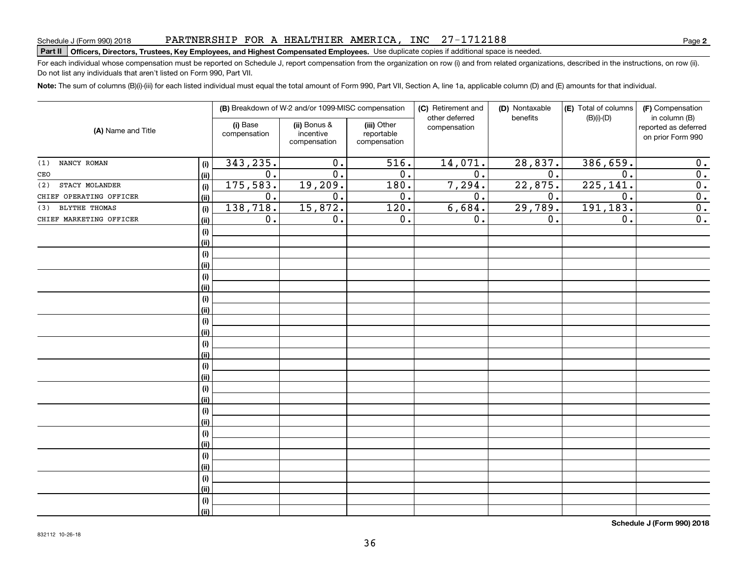## PARTNERSHIP FOR A HEALTHIER AMERICA, INC 27-1712188

# Schedule J (Form 990) 2018 PAR'I'NERSHIP F'OR A HEAL'I'HILER AMERICA , INC 27 = 17 I 2 I 8 8<br>| **Part II | Officers, Directors, Trustees, Key Employees, and Highest Compensated Employee**

For each individual whose compensation must be reported on Schedule J, report compensation from the organization on row (i) and from related organizations, described in the instructions, on row (ii). Do not list any individuals that aren't listed on Form 990, Part VII.

**Note:**  The sum of columns (B)(i)-(iii) for each listed individual must equal the total amount of Form 990, Part VII, Section A, line 1a, applicable column (D) and (E) amounts for that individual.

| (A) Name and Title      |      |                          | (B) Breakdown of W-2 and/or 1099-MISC compensation |                                           | (C) Retirement and<br>other deferred | (D) Nontaxable   | (E) Total of columns | (F) Compensation<br>in column (B)         |
|-------------------------|------|--------------------------|----------------------------------------------------|-------------------------------------------|--------------------------------------|------------------|----------------------|-------------------------------------------|
|                         |      | (i) Base<br>compensation | (ii) Bonus &<br>incentive<br>compensation          | (iii) Other<br>reportable<br>compensation | compensation                         | benefits         | $(B)(i)-(D)$         | reported as deferred<br>on prior Form 990 |
| NANCY ROMAN<br>(1)      | (i)  | 343, 235.                | 0.                                                 | $\overline{516}$ .                        | 14,071.                              | 28,837.          | 386,659.             | 0.                                        |
| CEO                     | (ii) | 0.                       | $\overline{0}$ .                                   | $\overline{0}$ .                          | $\overline{0}$ .                     | $\overline{0}$ . | 0.                   | $\overline{0}$ .                          |
| STACY MOLANDER<br>(2)   | (i)  | 175,583.                 | 19,209.                                            | 180.                                      | 7,294.                               | 22,875.          | 225,141.             | $\overline{0}$ .                          |
| CHIEF OPERATING OFFICER | (ii) | 0.                       | 0.                                                 | 0.                                        | 0.                                   | 0.               | 0.                   | $\overline{0}$ .                          |
| BLYTHE THOMAS<br>(3)    | (i)  | 138,718.                 | 15,872.                                            | 120.                                      | 6,684.                               | 29,789.          | 191, 183.            | $\overline{0}$ .                          |
| CHIEF MARKETING OFFICER | (ii) | 0.                       | 0.                                                 | 0.                                        | 0.                                   | 0.               | 0.                   | $\overline{0}$ .                          |
|                         | (i)  |                          |                                                    |                                           |                                      |                  |                      |                                           |
|                         | (ii) |                          |                                                    |                                           |                                      |                  |                      |                                           |
|                         | (i)  |                          |                                                    |                                           |                                      |                  |                      |                                           |
|                         | (ii) |                          |                                                    |                                           |                                      |                  |                      |                                           |
|                         | (i)  |                          |                                                    |                                           |                                      |                  |                      |                                           |
|                         | (ii) |                          |                                                    |                                           |                                      |                  |                      |                                           |
|                         | (i)  |                          |                                                    |                                           |                                      |                  |                      |                                           |
|                         | (ii) |                          |                                                    |                                           |                                      |                  |                      |                                           |
|                         | (i)  |                          |                                                    |                                           |                                      |                  |                      |                                           |
|                         | (ii) |                          |                                                    |                                           |                                      |                  |                      |                                           |
|                         | (i)  |                          |                                                    |                                           |                                      |                  |                      |                                           |
|                         | (ii) |                          |                                                    |                                           |                                      |                  |                      |                                           |
|                         | (i)  |                          |                                                    |                                           |                                      |                  |                      |                                           |
|                         | (ii) |                          |                                                    |                                           |                                      |                  |                      |                                           |
|                         | (i)  |                          |                                                    |                                           |                                      |                  |                      |                                           |
|                         | (ii) |                          |                                                    |                                           |                                      |                  |                      |                                           |
|                         | (i)  |                          |                                                    |                                           |                                      |                  |                      |                                           |
|                         | (ii) |                          |                                                    |                                           |                                      |                  |                      |                                           |
|                         | (i)  |                          |                                                    |                                           |                                      |                  |                      |                                           |
|                         | (ii) |                          |                                                    |                                           |                                      |                  |                      |                                           |
|                         | (i)  |                          |                                                    |                                           |                                      |                  |                      |                                           |
|                         | (ii) |                          |                                                    |                                           |                                      |                  |                      |                                           |
|                         | (i)  |                          |                                                    |                                           |                                      |                  |                      |                                           |
|                         | (ii) |                          |                                                    |                                           |                                      |                  |                      |                                           |
|                         | (i)  |                          |                                                    |                                           |                                      |                  |                      |                                           |
|                         | (ii) |                          |                                                    |                                           |                                      |                  |                      |                                           |

**Schedule J (Form 990) 2018**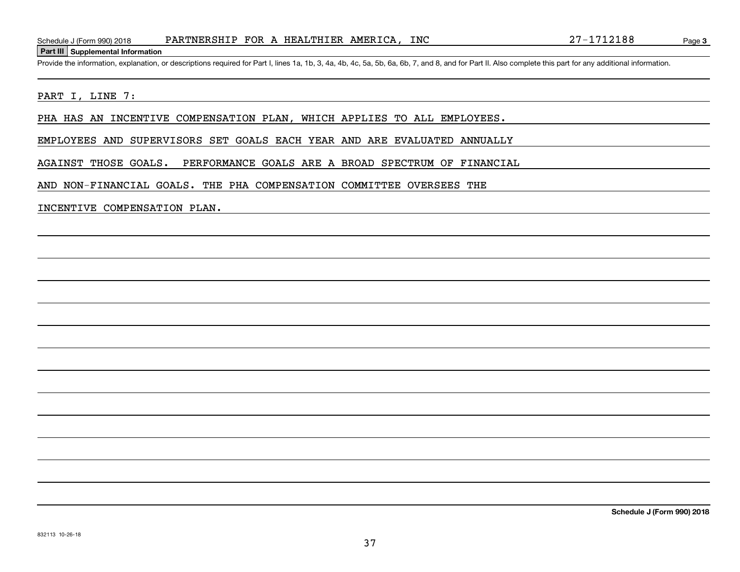#### **Part III Supplemental Information**

Schedule J (Form 990) 2018 PARTNERSHIP FOR A HEALTHIER AMERICA, INC 27-1712188<br>Part III Supplemental Information<br>Provide the information, explanation, or descriptions required for Part I, lines 1a, 1b, 3, 4a, 4b, 4c, 5a, 5

### PART I, LINE 7:

PHA HAS AN INCENTIVE COMPENSATION PLAN, WHICH APPLIES TO ALL EMPLOYEES.

EMPLOYEES AND SUPERVISORS SET GOALS EACH YEAR AND ARE EVALUATED ANNUALLY

AGAINST THOSE GOALS. PERFORMANCE GOALS ARE A BROAD SPECTRUM OF FINANCIAL

AND NON-FINANCIAL GOALS. THE PHA COMPENSATION COMMITTEE OVERSEES THE

#### INCENTIVE COMPENSATION PLAN.

**Schedule J (Form 990) 2018**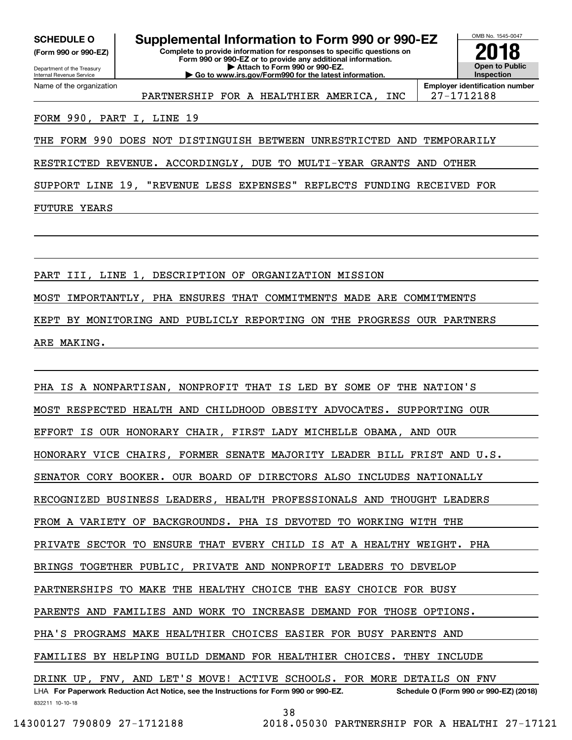**(Form 990 or 990-EZ)**

Department of the Treasury Internal Revenue Service Name of the organization

**Complete to provide information for responses to specific questions on Form 990 or 990-EZ or to provide any additional information. SCHEDULE O Supplemental Information to Form 990 or 990-EZ**

**| Attach to Form 990 or 990-EZ. | Go to www.irs.gov/Form990 for the latest information.** OMB No. 1545-0047 **Open to Public Inspection2018**

PARTNERSHIP FOR A HEALTHIER AMERICA, INC | 27-1712188

**Employer identification number**

# FORM 990, PART I, LINE 19

THE FORM 990 DOES NOT DISTINGUISH BETWEEN UNRESTRICTED AND TEMPORARILY

RESTRICTED REVENUE. ACCORDINGLY, DUE TO MULTI-YEAR GRANTS AND OTHER

SUPPORT LINE 19, "REVENUE LESS EXPENSES" REFLECTS FUNDING RECEIVED FOR

FUTURE YEARS

PART III, LINE 1, DESCRIPTION OF ORGANIZATION MISSION MOST IMPORTANTLY, PHA ENSURES THAT COMMITMENTS MADE ARE COMMITMENTS KEPT BY MONITORING AND PUBLICLY REPORTING ON THE PROGRESS OUR PARTNERS ARE MAKING.

832211 10-10-18 LHA For Paperwork Reduction Act Notice, see the Instructions for Form 990 or 990-EZ. Schedule O (Form 990 or 990-EZ) (2018) PHA IS A NONPARTISAN, NONPROFIT THAT IS LED BY SOME OF THE NATION'S MOST RESPECTED HEALTH AND CHILDHOOD OBESITY ADVOCATES. SUPPORTING OUR EFFORT IS OUR HONORARY CHAIR, FIRST LADY MICHELLE OBAMA, AND OUR HONORARY VICE CHAIRS, FORMER SENATE MAJORITY LEADER BILL FRIST AND U.S. SENATOR CORY BOOKER. OUR BOARD OF DIRECTORS ALSO INCLUDES NATIONALLY RECOGNIZED BUSINESS LEADERS, HEALTH PROFESSIONALS AND THOUGHT LEADERS FROM A VARIETY OF BACKGROUNDS. PHA IS DEVOTED TO WORKING WITH THE PRIVATE SECTOR TO ENSURE THAT EVERY CHILD IS AT A HEALTHY WEIGHT. PHA BRINGS TOGETHER PUBLIC, PRIVATE AND NONPROFIT LEADERS TO DEVELOP PARTNERSHIPS TO MAKE THE HEALTHY CHOICE THE EASY CHOICE FOR BUSY PARENTS AND FAMILIES AND WORK TO INCREASE DEMAND FOR THOSE OPTIONS. PHA'S PROGRAMS MAKE HEALTHIER CHOICES EASIER FOR BUSY PARENTS AND FAMILIES BY HELPING BUILD DEMAND FOR HEALTHIER CHOICES. THEY INCLUDE DRINK UP, FNV, AND LET'S MOVE! ACTIVE SCHOOLS. FOR MORE DETAILS ON FNV

38

 <sup>14300127 790809 27-1712188 2018.05030</sup> PARTNERSHIP FOR A HEALTHI 27-17121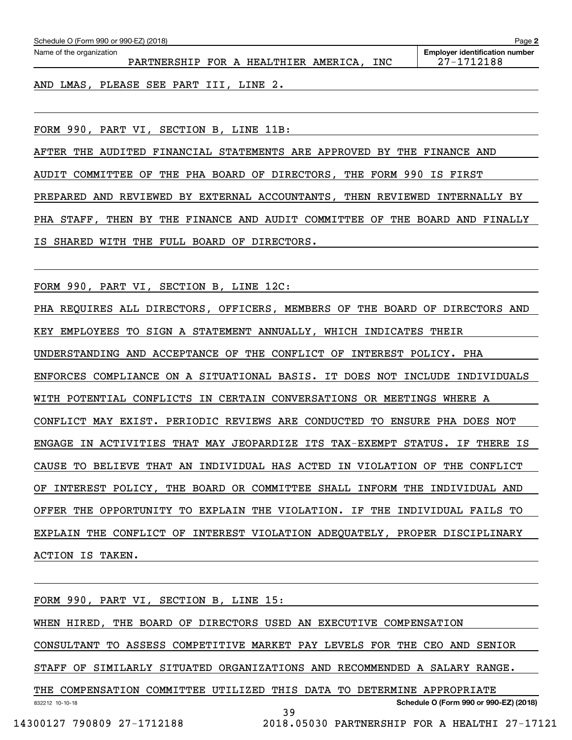| Schedule O (Form 990 or 990-EZ) (2018)<br>Page 2 |                                      |  |  |  |  |     |                                                     |
|--------------------------------------------------|--------------------------------------|--|--|--|--|-----|-----------------------------------------------------|
| Name of the organization                         | PARTNERSHIP FOR A HEALTHIER AMERICA, |  |  |  |  | INC | <b>Employer identification number</b><br>27-1712188 |
|                                                  |                                      |  |  |  |  |     |                                                     |

AND LMAS, PLEASE SEE PART III, LINE 2.

FORM 990, PART VI, SECTION B, LINE 11B:

AFTER THE AUDITED FINANCIAL STATEMENTS ARE APPROVED BY THE FINANCE AND AUDIT COMMITTEE OF THE PHA BOARD OF DIRECTORS, THE FORM 990 IS FIRST PREPARED AND REVIEWED BY EXTERNAL ACCOUNTANTS, THEN REVIEWED INTERNALLY BY PHA STAFF, THEN BY THE FINANCE AND AUDIT COMMITTEE OF THE BOARD AND FINALLY IS SHARED WITH THE FULL BOARD OF DIRECTORS.

FORM 990, PART VI, SECTION B, LINE 12C:

PHA REQUIRES ALL DIRECTORS, OFFICERS, MEMBERS OF THE BOARD OF DIRECTORS AND KEY EMPLOYEES TO SIGN A STATEMENT ANNUALLY, WHICH INDICATES THEIR UNDERSTANDING AND ACCEPTANCE OF THE CONFLICT OF INTEREST POLICY. PHA ENFORCES COMPLIANCE ON A SITUATIONAL BASIS. IT DOES NOT INCLUDE INDIVIDUALS WITH POTENTIAL CONFLICTS IN CERTAIN CONVERSATIONS OR MEETINGS WHERE A CONFLICT MAY EXIST. PERIODIC REVIEWS ARE CONDUCTED TO ENSURE PHA DOES NOT ENGAGE IN ACTIVITIES THAT MAY JEOPARDIZE ITS TAX-EXEMPT STATUS. IF THERE IS CAUSE TO BELIEVE THAT AN INDIVIDUAL HAS ACTED IN VIOLATION OF THE CONFLICT OF INTEREST POLICY, THE BOARD OR COMMITTEE SHALL INFORM THE INDIVIDUAL AND OFFER THE OPPORTUNITY TO EXPLAIN THE VIOLATION. IF THE INDIVIDUAL FAILS TO EXPLAIN THE CONFLICT OF INTEREST VIOLATION ADEQUATELY, PROPER DISCIPLINARY ACTION IS TAKEN.

832212 10-10-18 **Schedule O (Form 990 or 990-EZ) (2018)** FORM 990, PART VI, SECTION B, LINE 15: WHEN HIRED, THE BOARD OF DIRECTORS USED AN EXECUTIVE COMPENSATION CONSULTANT TO ASSESS COMPETITIVE MARKET PAY LEVELS FOR THE CEO AND SENIOR STAFF OF SIMILARLY SITUATED ORGANIZATIONS AND RECOMMENDED A SALARY RANGE. THE COMPENSATION COMMITTEE UTILIZED THIS DATA TO DETERMINE APPROPRIATE 39 14300127 790809 27-1712188 2018.05030 PARTNERSHIP FOR A HEALTHI 27-17121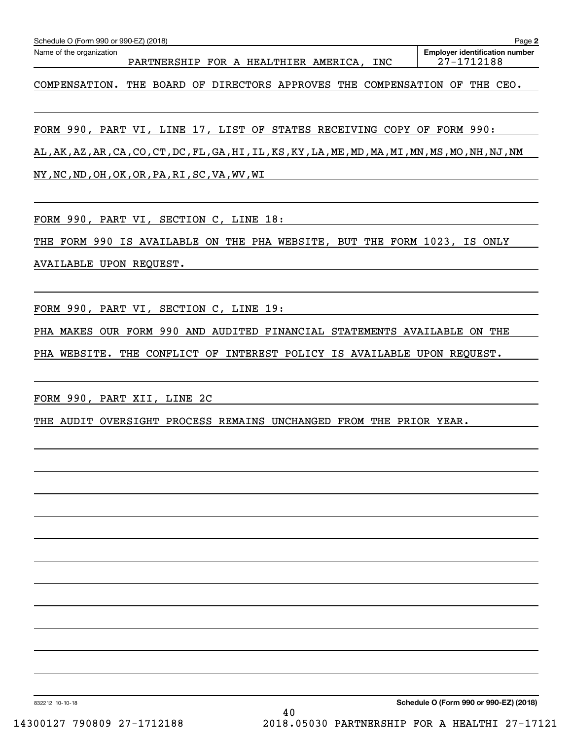| Schedule O (Form 990 or 990-EZ) (2018)                                                             | Page 2                                              |
|----------------------------------------------------------------------------------------------------|-----------------------------------------------------|
| Name of the organization<br>PARTNERSHIP FOR A HEALTHIER AMERICA, INC                               | <b>Employer identification number</b><br>27-1712188 |
| COMPENSATION. THE BOARD OF DIRECTORS APPROVES THE COMPENSATION OF THE CEO.                         |                                                     |
| FORM 990, PART VI, LINE 17, LIST OF STATES RECEIVING COPY OF FORM 990:                             |                                                     |
| AL, AK, AZ, AR, CA, CO, CT, DC, FL, GA, HI, IL, KS, KY, LA, ME, MD, MA, MI, MN, MS, MO, NH, NJ, NM |                                                     |
| NY, NC, ND, OH, OK, OR, PA, RI, SC, VA, WV, WI                                                     |                                                     |
| FORM 990, PART VI, SECTION C, LINE 18:                                                             |                                                     |
| THE FORM 990 IS AVAILABLE ON THE PHA WEBSITE, BUT THE FORM 1023, IS ONLY                           |                                                     |
| AVAILABLE UPON REQUEST.                                                                            |                                                     |
| FORM 990, PART VI, SECTION C, LINE 19:                                                             |                                                     |
| PHA MAKES OUR FORM 990 AND AUDITED FINANCIAL STATEMENTS AVAILABLE ON THE                           |                                                     |
| PHA WEBSITE. THE CONFLICT OF INTEREST POLICY IS AVAILABLE UPON REQUEST.                            |                                                     |
| FORM 990, PART XII, LINE 2C                                                                        |                                                     |
| THE AUDIT OVERSIGHT PROCESS REMAINS UNCHANGED FROM THE PRIOR YEAR.                                 |                                                     |
|                                                                                                    |                                                     |
|                                                                                                    |                                                     |
|                                                                                                    |                                                     |
|                                                                                                    |                                                     |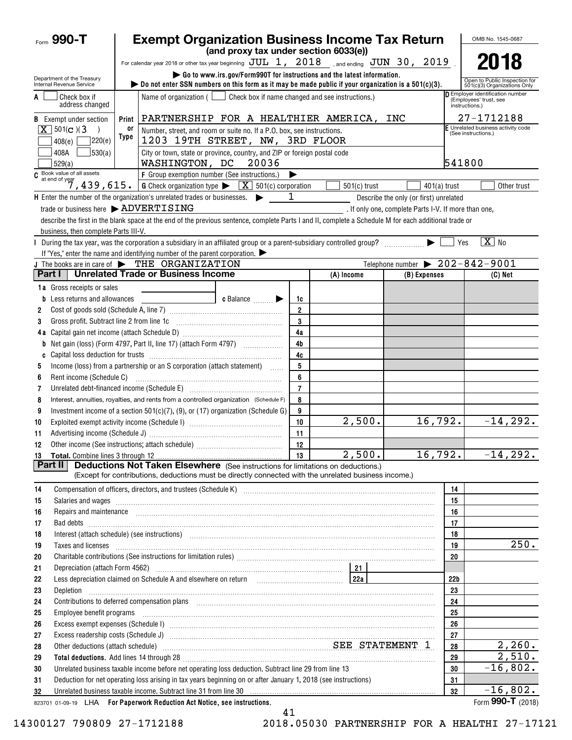| Form $990 - T$                                                                                                                                                                                                                                                                                                                                                                                 |                          | <b>Exempt Organization Business Income Tax Return</b>                                                                                                                                                                               |                                                                                   |                      |                                                  |                                                      |                 | OMB No. 1545-0687                                                                   |
|------------------------------------------------------------------------------------------------------------------------------------------------------------------------------------------------------------------------------------------------------------------------------------------------------------------------------------------------------------------------------------------------|--------------------------|-------------------------------------------------------------------------------------------------------------------------------------------------------------------------------------------------------------------------------------|-----------------------------------------------------------------------------------|----------------------|--------------------------------------------------|------------------------------------------------------|-----------------|-------------------------------------------------------------------------------------|
|                                                                                                                                                                                                                                                                                                                                                                                                |                          |                                                                                                                                                                                                                                     | (and proxy tax under section 6033(e))                                             |                      |                                                  |                                                      |                 |                                                                                     |
|                                                                                                                                                                                                                                                                                                                                                                                                |                          | For calendar year 2018 or other tax year beginning $JUL$ 1, $2018$ , and ending $JUN$ 30, $2019$ .                                                                                                                                  |                                                                                   |                      |                                                  |                                                      |                 | 2018                                                                                |
| Department of the Treasury<br>Internal Revenue Service                                                                                                                                                                                                                                                                                                                                         |                          | Go to www.irs.gov/Form990T for instructions and the latest information.<br>bo not enter SSN numbers on this form as it may be made public if your organization is a $501(c)(3)$ .                                                   |                                                                                   |                      |                                                  |                                                      |                 | Open to Public Inspection for<br>501(c)(3) Organizations Only                       |
| Check box if<br>address changed                                                                                                                                                                                                                                                                                                                                                                |                          | Name of organization $($                                                                                                                                                                                                            |                                                                                   |                      | Check box if name changed and see instructions.) |                                                      |                 | <b>D</b> Employer identification number<br>(Employees' trust, see<br>instructions.) |
| <b>B</b> Exempt under section                                                                                                                                                                                                                                                                                                                                                                  | Print                    |                                                                                                                                                                                                                                     | PARTNERSHIP FOR A HEALTHIER AMERICA, INC                                          |                      |                                                  |                                                      |                 | 27-1712188                                                                          |
| $\overline{X}$ 501(c)(3)                                                                                                                                                                                                                                                                                                                                                                       | or                       |                                                                                                                                                                                                                                     | Number, street, and room or suite no. If a P.O. box, see instructions.            |                      |                                                  |                                                      |                 | F Unrelated business activity code<br>(See instructions.)                           |
| 7220(e)<br>408(e)                                                                                                                                                                                                                                                                                                                                                                              | Type                     |                                                                                                                                                                                                                                     | 1203 19TH STREET, NW, 3RD FLOOR                                                   |                      |                                                  |                                                      |                 |                                                                                     |
| 530(a)<br>408A<br>529(a)                                                                                                                                                                                                                                                                                                                                                                       |                          | WASHINGTON, DC                                                                                                                                                                                                                      | City or town, state or province, country, and ZIP or foreign postal code<br>20036 |                      |                                                  |                                                      | 541800          |                                                                                     |
|                                                                                                                                                                                                                                                                                                                                                                                                |                          |                                                                                                                                                                                                                                     |                                                                                   |                      |                                                  |                                                      |                 |                                                                                     |
| C Book value of all assets<br>$\begin{array}{ l l l }\n\hline\n\text{6} & \text{6} & \text{6} & \text{6} & \text{6} & \text{6} & \text{6} & \text{6} & \text{6} & \text{6} & \text{6} & \text{6} & \text{6} & \text{6} & \text{6} & \text{6} & \text{6} & \text{6} & \text{6} & \text{6} & \text{6} & \text{6} & \text{6} & \text{6} & \text{6} & \text{6} & \text{6} & \text{6} & \text{6} &$ |                          |                                                                                                                                                                                                                                     |                                                                                   |                      | $501(c)$ trust                                   | $401(a)$ trust                                       |                 | Other trust                                                                         |
| H Enter the number of the organization's unrelated trades or businesses.                                                                                                                                                                                                                                                                                                                       |                          |                                                                                                                                                                                                                                     |                                                                                   | 1                    |                                                  | Describe the only (or first) unrelated               |                 |                                                                                     |
| trade or business here > ADVERTISING                                                                                                                                                                                                                                                                                                                                                           |                          |                                                                                                                                                                                                                                     |                                                                                   |                      |                                                  | . If only one, complete Parts I-V. If more than one, |                 |                                                                                     |
|                                                                                                                                                                                                                                                                                                                                                                                                |                          | describe the first in the blank space at the end of the previous sentence, complete Parts I and II, complete a Schedule M for each additional trade or                                                                              |                                                                                   |                      |                                                  |                                                      |                 |                                                                                     |
| business, then complete Parts III-V.                                                                                                                                                                                                                                                                                                                                                           |                          |                                                                                                                                                                                                                                     |                                                                                   |                      |                                                  |                                                      |                 |                                                                                     |
|                                                                                                                                                                                                                                                                                                                                                                                                |                          | During the tax year, was the corporation a subsidiary in an affiliated group or a parent-subsidiary controlled group?                                                                                                               |                                                                                   |                      |                                                  |                                                      | Yes             | $\boxed{\text{X}}$ No                                                               |
|                                                                                                                                                                                                                                                                                                                                                                                                |                          | If "Yes," enter the name and identifying number of the parent corporation. $\blacktriangleright$                                                                                                                                    |                                                                                   |                      |                                                  |                                                      |                 |                                                                                     |
| J The books are in care of $\blacktriangleright$ THE ORGANIZATION<br>Part I                                                                                                                                                                                                                                                                                                                    |                          | <b>Unrelated Trade or Business Income</b>                                                                                                                                                                                           |                                                                                   |                      |                                                  | Telephone number $\triangleright$ 202-842-9001       |                 |                                                                                     |
|                                                                                                                                                                                                                                                                                                                                                                                                |                          |                                                                                                                                                                                                                                     |                                                                                   |                      | (A) Income                                       | (B) Expenses                                         |                 | $(C)$ Net                                                                           |
| 1a Gross receipts or sales                                                                                                                                                                                                                                                                                                                                                                     |                          |                                                                                                                                                                                                                                     |                                                                                   |                      |                                                  |                                                      |                 |                                                                                     |
| <b>b</b> Less returns and allowances                                                                                                                                                                                                                                                                                                                                                           |                          |                                                                                                                                                                                                                                     | c Balance <b>Division</b>                                                         | 1c<br>$\overline{2}$ |                                                  |                                                      |                 |                                                                                     |
| 2<br>3                                                                                                                                                                                                                                                                                                                                                                                         |                          | Gross profit. Subtract line 2 from line 1c [11] [11] [12] [12] [13] [14] [15] [15] [15] [15] [15] [15] [15] [1                                                                                                                      |                                                                                   | 3                    |                                                  |                                                      |                 |                                                                                     |
|                                                                                                                                                                                                                                                                                                                                                                                                |                          |                                                                                                                                                                                                                                     |                                                                                   | 4a                   |                                                  |                                                      |                 |                                                                                     |
| b                                                                                                                                                                                                                                                                                                                                                                                              |                          |                                                                                                                                                                                                                                     |                                                                                   | 4 <sub>b</sub>       |                                                  |                                                      |                 |                                                                                     |
| C                                                                                                                                                                                                                                                                                                                                                                                              |                          |                                                                                                                                                                                                                                     |                                                                                   | 4c                   |                                                  |                                                      |                 |                                                                                     |
| 5                                                                                                                                                                                                                                                                                                                                                                                              |                          | Income (loss) from a partnership or an S corporation (attach statement)                                                                                                                                                             |                                                                                   | 5                    |                                                  |                                                      |                 |                                                                                     |
| 6                                                                                                                                                                                                                                                                                                                                                                                              |                          |                                                                                                                                                                                                                                     |                                                                                   | 6                    |                                                  |                                                      |                 |                                                                                     |
| 7                                                                                                                                                                                                                                                                                                                                                                                              |                          |                                                                                                                                                                                                                                     |                                                                                   | $\overline{7}$       |                                                  |                                                      |                 |                                                                                     |
| 8                                                                                                                                                                                                                                                                                                                                                                                              |                          | Interest, annuities, royalties, and rents from a controlled organization (Schedule F)                                                                                                                                               |                                                                                   | 8                    |                                                  |                                                      |                 |                                                                                     |
| 9                                                                                                                                                                                                                                                                                                                                                                                              |                          | Investment income of a section $501(c)(7)$ , (9), or (17) organization (Schedule G)                                                                                                                                                 |                                                                                   | 9                    |                                                  |                                                      |                 |                                                                                     |
| 10                                                                                                                                                                                                                                                                                                                                                                                             |                          |                                                                                                                                                                                                                                     |                                                                                   | 10                   | 2,500.                                           | 16,792.                                              |                 | $-14, 292.$                                                                         |
| 11                                                                                                                                                                                                                                                                                                                                                                                             |                          |                                                                                                                                                                                                                                     |                                                                                   | 11                   |                                                  |                                                      |                 |                                                                                     |
| 12                                                                                                                                                                                                                                                                                                                                                                                             |                          |                                                                                                                                                                                                                                     |                                                                                   | 12<br>- 11           |                                                  |                                                      |                 |                                                                                     |
|                                                                                                                                                                                                                                                                                                                                                                                                | 16, 792.<br>2,500.<br>13 |                                                                                                                                                                                                                                     |                                                                                   |                      |                                                  |                                                      |                 | $-14,292.$                                                                          |
| Part II                                                                                                                                                                                                                                                                                                                                                                                        |                          | <b>Deductions Not Taken Elsewhere</b> (See instructions for limitations on deductions.)                                                                                                                                             |                                                                                   |                      |                                                  |                                                      |                 |                                                                                     |
|                                                                                                                                                                                                                                                                                                                                                                                                |                          | (Except for contributions, deductions must be directly connected with the unrelated business income.)                                                                                                                               |                                                                                   |                      |                                                  |                                                      |                 |                                                                                     |
| 14                                                                                                                                                                                                                                                                                                                                                                                             |                          |                                                                                                                                                                                                                                     |                                                                                   |                      |                                                  |                                                      | 14              |                                                                                     |
| 15                                                                                                                                                                                                                                                                                                                                                                                             |                          |                                                                                                                                                                                                                                     |                                                                                   |                      |                                                  |                                                      | 15              |                                                                                     |
| 16                                                                                                                                                                                                                                                                                                                                                                                             |                          | Repairs and maintenance <i>maintenance</i> and contained a series and maintenance and maintenance and maintenance and maintenance and maintenance and maintenance and maintenance and maintenance and maintenance and maintenance a |                                                                                   |                      |                                                  |                                                      | 16              |                                                                                     |
| 17                                                                                                                                                                                                                                                                                                                                                                                             |                          | Bad debts <b>www.communication.communication.communication.com</b>                                                                                                                                                                  |                                                                                   |                      |                                                  |                                                      | 17              |                                                                                     |
| 18                                                                                                                                                                                                                                                                                                                                                                                             |                          | Interest (attach schedule) (see instructions) www.communications.communications are interest (attach schedule)                                                                                                                      |                                                                                   |                      |                                                  |                                                      | 18<br>19        | 250.                                                                                |
| 19<br>20                                                                                                                                                                                                                                                                                                                                                                                       |                          | Taxes and licenses <b>construction and construction of the construction</b> and construction of the construction of the                                                                                                             |                                                                                   |                      |                                                  |                                                      | 20              |                                                                                     |
| 21                                                                                                                                                                                                                                                                                                                                                                                             |                          |                                                                                                                                                                                                                                     |                                                                                   |                      |                                                  |                                                      |                 |                                                                                     |
| 22                                                                                                                                                                                                                                                                                                                                                                                             |                          | Less depreciation claimed on Schedule A and elsewhere on return [100] [122] [224]                                                                                                                                                   |                                                                                   |                      |                                                  |                                                      | 22 <sub>b</sub> |                                                                                     |
| 23<br>Depletion                                                                                                                                                                                                                                                                                                                                                                                |                          |                                                                                                                                                                                                                                     |                                                                                   |                      |                                                  |                                                      | 23              |                                                                                     |
| 24                                                                                                                                                                                                                                                                                                                                                                                             |                          |                                                                                                                                                                                                                                     |                                                                                   |                      |                                                  |                                                      | 24              |                                                                                     |
| Employee benefit programs<br>25                                                                                                                                                                                                                                                                                                                                                                |                          |                                                                                                                                                                                                                                     |                                                                                   |                      |                                                  |                                                      | 25              |                                                                                     |
| 26                                                                                                                                                                                                                                                                                                                                                                                             |                          |                                                                                                                                                                                                                                     |                                                                                   |                      |                                                  |                                                      | 26              |                                                                                     |
| 27                                                                                                                                                                                                                                                                                                                                                                                             |                          |                                                                                                                                                                                                                                     |                                                                                   |                      |                                                  |                                                      | 27              |                                                                                     |
| 28                                                                                                                                                                                                                                                                                                                                                                                             |                          | Other deductions (attach schedule) measurements of the SEE STATEMENT 1                                                                                                                                                              |                                                                                   |                      |                                                  |                                                      | 28              | 2,260.                                                                              |
| 29                                                                                                                                                                                                                                                                                                                                                                                             |                          |                                                                                                                                                                                                                                     |                                                                                   |                      |                                                  |                                                      | 29              | 2,510.                                                                              |
| 30                                                                                                                                                                                                                                                                                                                                                                                             |                          | Unrelated business taxable income before net operating loss deduction. Subtract line 29 from line 13                                                                                                                                |                                                                                   |                      |                                                  |                                                      | 30              | $-16,802.$                                                                          |
| 31                                                                                                                                                                                                                                                                                                                                                                                             |                          | Deduction for net operating loss arising in tax years beginning on or after January 1, 2018 (see instructions)                                                                                                                      |                                                                                   |                      |                                                  |                                                      | 31              |                                                                                     |
| 32                                                                                                                                                                                                                                                                                                                                                                                             |                          | Unrelated business taxable income. Subtract line 31 from line 30 manufactured contains and contained business taxable income. Subtract line 31 from line 30 manufactured contains and the United States of the United States a      |                                                                                   |                      |                                                  |                                                      | 32              | $-16,802.$                                                                          |
| 823701 01-09-19 LHA For Paperwork Reduction Act Notice, see instructions.                                                                                                                                                                                                                                                                                                                      |                          |                                                                                                                                                                                                                                     |                                                                                   |                      |                                                  |                                                      |                 | Form 990-T (2018)                                                                   |

41

14300127 790809 27-1712188 2018.05030 PARTNERSHIP FOR A HEALTHI 27-17121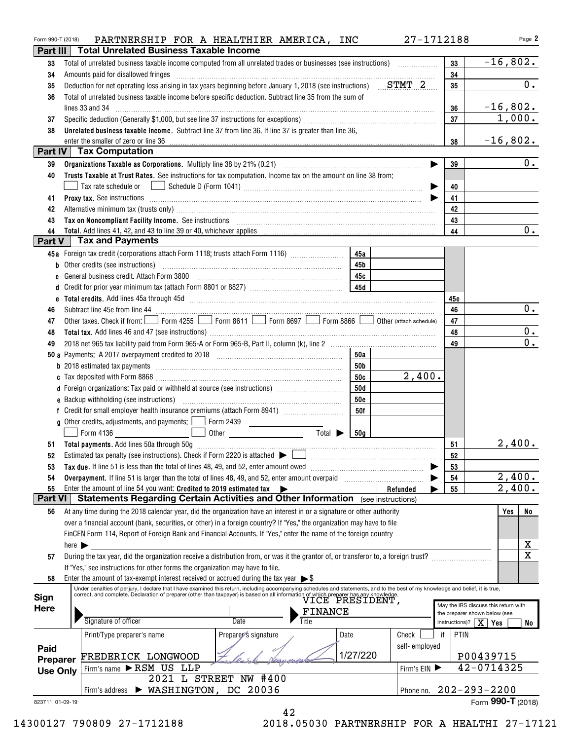| Form 990-T (2018) | PARTNERSHIP FOR A HEALTHIER AMERICA, INC                                                                                                                                                                                                                                                                                  |                                    |               | 27-1712188                    | Page 2                               |
|-------------------|---------------------------------------------------------------------------------------------------------------------------------------------------------------------------------------------------------------------------------------------------------------------------------------------------------------------------|------------------------------------|---------------|-------------------------------|--------------------------------------|
| Part III          | <b>Total Unrelated Business Taxable Income</b>                                                                                                                                                                                                                                                                            |                                    |               |                               |                                      |
| 33                | Total of unrelated business taxable income computed from all unrelated trades or businesses (see instructions)                                                                                                                                                                                                            |                                    |               | 33                            | $-16,802.$                           |
| 34                | Amounts paid for disallowed fringes [11] Amount of the contract of the state of the state of the state of the state of the state of the state of the state of the state of the state of the state of the state of the state of                                                                                            |                                    |               | 34                            |                                      |
| 35                | Deduction for net operating loss arising in tax years beginning before January 1, 2018 (see instructions) $STMT$                                                                                                                                                                                                          |                                    |               | 35                            | $\overline{0}$ .                     |
| 36                | Total of unrelated business taxable income before specific deduction. Subtract line 35 from the sum of                                                                                                                                                                                                                    |                                    |               |                               |                                      |
|                   | lines 33 and 34                                                                                                                                                                                                                                                                                                           |                                    |               | 36                            | $-16,802.$                           |
| 37                |                                                                                                                                                                                                                                                                                                                           |                                    |               | 37                            | 1,000.                               |
| 38                | Unrelated business taxable income. Subtract line 37 from line 36. If line 37 is greater than line 36,                                                                                                                                                                                                                     |                                    |               |                               |                                      |
|                   | enter the smaller of zero or line 36                                                                                                                                                                                                                                                                                      |                                    |               | 38                            | $-16,802.$                           |
|                   | Part IV   Tax Computation                                                                                                                                                                                                                                                                                                 |                                    |               |                               |                                      |
| 39                |                                                                                                                                                                                                                                                                                                                           |                                    |               | 39                            | 0.                                   |
| 40                | Trusts Taxable at Trust Rates. See instructions for tax computation. Income tax on the amount on line 38 from:                                                                                                                                                                                                            |                                    |               |                               |                                      |
|                   | Tax rate schedule or                                                                                                                                                                                                                                                                                                      |                                    |               | 40                            |                                      |
| 41                | Proxy tax. See instructions information and contact the set of the set of the set of the set of the set of the set of the set of the set of the set of the set of the set of the set of the set of the set of the set of the s                                                                                            |                                    |               | 41                            |                                      |
| 42                | Alternative minimum tax (trusts only) [11] matter control and the control of the control of the control of the control of the control of the control of the control of the control of the control of the control of the contro                                                                                            |                                    |               | 42                            |                                      |
| 43                |                                                                                                                                                                                                                                                                                                                           |                                    |               | 43                            |                                      |
| 44                |                                                                                                                                                                                                                                                                                                                           |                                    |               | 44                            | $\overline{0}$ .                     |
| Part V            | Tax and Payments                                                                                                                                                                                                                                                                                                          |                                    |               |                               |                                      |
|                   | 45a Foreign tax credit (corporations attach Form 1118; trusts attach Form 1116) [                                                                                                                                                                                                                                         | 45a                                |               |                               |                                      |
| b                 | Other credits (see instructions)                                                                                                                                                                                                                                                                                          | 45b                                |               |                               |                                      |
|                   |                                                                                                                                                                                                                                                                                                                           | 45с                                |               |                               |                                      |
|                   |                                                                                                                                                                                                                                                                                                                           |                                    |               |                               |                                      |
|                   |                                                                                                                                                                                                                                                                                                                           |                                    |               | 45e                           |                                      |
| 46                | Subtract line 45e from line 44 <b>www.areas.com</b> in the 44 <b>contract of the 45</b> from line 45                                                                                                                                                                                                                      |                                    |               | 46                            | 0.                                   |
| 47                | Other taxes. Check if from: Form 4255 Form 8611 Form 8697 Form 8866 O Other (attach schedule)                                                                                                                                                                                                                             |                                    |               | 47                            |                                      |
| 48                |                                                                                                                                                                                                                                                                                                                           |                                    |               | 48                            | 0.                                   |
| 49                |                                                                                                                                                                                                                                                                                                                           |                                    |               | 49                            | $\overline{0}$ .                     |
|                   |                                                                                                                                                                                                                                                                                                                           | 50a                                |               |                               |                                      |
|                   | <b>b</b> 2018 estimated tax payments <b>constructs</b> and <b>constructs</b> and <b>constructs</b> and <b>constructs</b> and <b>constructs</b> and <b>constructs</b> and <b>constructs</b> and <b>constructs</b> and <b>constructs</b> and <b>constructs</b> and <b>constructs</b> and <b>co</b>                          | 50b                                |               |                               |                                      |
|                   |                                                                                                                                                                                                                                                                                                                           | 50c                                | 2,400.        |                               |                                      |
|                   | d Foreign organizations: Tax paid or withheld at source (see instructions) [100011111111111111111111111111111                                                                                                                                                                                                             | 50d                                |               |                               |                                      |
|                   |                                                                                                                                                                                                                                                                                                                           | <b>50e</b>                         |               |                               |                                      |
|                   |                                                                                                                                                                                                                                                                                                                           | 50f                                |               |                               |                                      |
|                   | <b>g</b> Other credits, adjustments, and payments: $\boxed{\phantom{0}}$ Form 2439                                                                                                                                                                                                                                        |                                    |               |                               |                                      |
|                   | Form 4136<br>Other <b>Communication</b>                                                                                                                                                                                                                                                                                   | Total $\blacktriangleright$<br>50g |               |                               |                                      |
|                   |                                                                                                                                                                                                                                                                                                                           |                                    |               | 51                            | 2,400.                               |
| 52                | Estimated tax penalty (see instructions). Check if Form 2220 is attached $\blacktriangleright$                                                                                                                                                                                                                            |                                    |               | 52                            |                                      |
| 53                | Tax due. If line 51 is less than the total of lines 48, 49, and 52, enter amount owed <i>manumeral infinition</i> contains the set of the total of the total of the total of the total of the total of the total of the total of th                                                                                       |                                    |               | 53                            |                                      |
| 54                | Overpayment. If line 51 is larger than the total of lines 48, 49, and 52, enter amount overpaid                                                                                                                                                                                                                           |                                    |               | 54                            | 2,400.                               |
| 55                | Enter the amount of line 54 you want: Credited to 2019 estimated tax<br>$\rightarrow$                                                                                                                                                                                                                                     |                                    | Refunded      | 55                            | 2,400.                               |
| <b>Part VI</b>    | <b>Statements Regarding Certain Activities and Other Information</b> (see instructions)                                                                                                                                                                                                                                   |                                    |               |                               |                                      |
| 56                | At any time during the 2018 calendar year, did the organization have an interest in or a signature or other authority                                                                                                                                                                                                     |                                    |               |                               | Yes<br>No                            |
|                   | over a financial account (bank, securities, or other) in a foreign country? If "Yes," the organization may have to file                                                                                                                                                                                                   |                                    |               |                               |                                      |
|                   | FinCEN Form 114, Report of Foreign Bank and Financial Accounts. If "Yes," enter the name of the foreign country                                                                                                                                                                                                           |                                    |               |                               |                                      |
|                   | here $\blacktriangleright$                                                                                                                                                                                                                                                                                                |                                    |               |                               | $\overline{\mathbf{x}}$              |
| 57                | During the tax year, did the organization receive a distribution from, or was it the grantor of, or transferor to, a foreign trust?                                                                                                                                                                                       |                                    |               |                               | $\overline{\text{x}}$                |
|                   | If "Yes," see instructions for other forms the organization may have to file.                                                                                                                                                                                                                                             |                                    |               |                               |                                      |
| 58                | Enter the amount of tax-exempt interest received or accrued during the tax year $\triangleright$ \$                                                                                                                                                                                                                       |                                    |               |                               |                                      |
| Sign              | Under penalties of perjury, I declare that I have examined this return, including accompanying schedules and statements, and to the best of my knowledge and belief, it is true,<br>correct, and complete. Declaration of preparer (other than taxpayer) is based on all information of which preparer has any knowledge. |                                    |               |                               |                                      |
| Here              |                                                                                                                                                                                                                                                                                                                           | VICE PRESIDENT,                    |               |                               | May the IRS discuss this return with |
|                   | Signature of officer<br>Date<br>Title                                                                                                                                                                                                                                                                                     | <b>FINANCE</b>                     |               | the preparer shown below (see |                                      |
|                   |                                                                                                                                                                                                                                                                                                                           |                                    |               | instructions)?                | $\overline{X}$   Yes<br>No           |
|                   | Preparer's signature<br>Print/Type preparer's name                                                                                                                                                                                                                                                                        | Date                               | Check         | PTIN<br>if                    |                                      |
| Paid              |                                                                                                                                                                                                                                                                                                                           |                                    | self-employed |                               |                                      |
| Preparer          | FREDERICK LONGWOOD                                                                                                                                                                                                                                                                                                        | 1/27/220                           |               |                               | P00439715                            |
| <b>Use Only</b>   | Firm's name RSM US LLP                                                                                                                                                                                                                                                                                                    |                                    | Firm's $EIN$  |                               | 42-0714325                           |
|                   | 2021 L STREET NW #400                                                                                                                                                                                                                                                                                                     |                                    |               |                               |                                      |
|                   | Firm's address > WASHINGTON, DC 20036                                                                                                                                                                                                                                                                                     |                                    | Phone no.     |                               | $202 - 293 - 2200$                   |
| 823711 01-09-19   | 42                                                                                                                                                                                                                                                                                                                        |                                    |               |                               | Form 990-T (2018)                    |
|                   |                                                                                                                                                                                                                                                                                                                           |                                    |               |                               |                                      |

 <sup>14300127 790809 27-1712188 2018.05030</sup> PARTNERSHIP FOR A HEALTHI 27-17121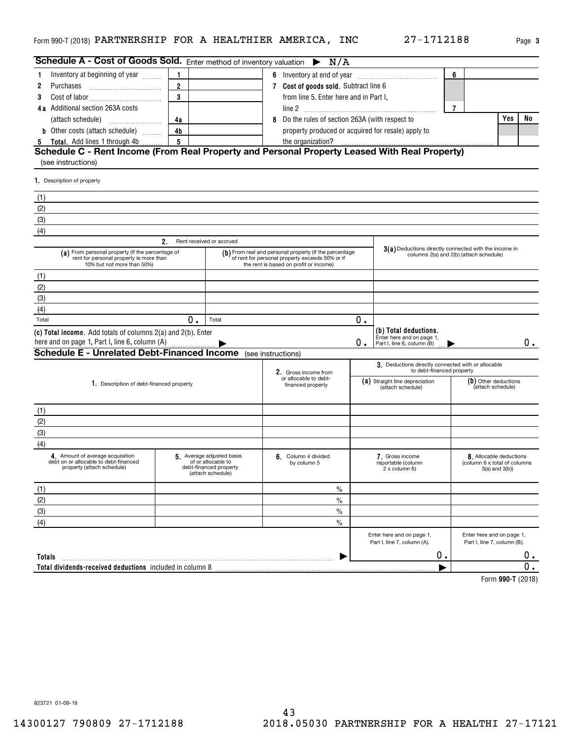| Page |
|------|
|      |

**3**

| 6<br>Inventory at beginning of year<br>6 Inventory at end of year<br>$\overline{2}$<br>7 Cost of goods sold. Subtract line 6<br>Purchases<br>2<br>3<br>from line 5. Enter here and in Part I,<br>3<br>4a Additional section 263A costs<br>7<br>Yes<br>Do the rules of section 263A (with respect to<br>(attach schedule)<br>4a<br><b>b</b> Other costs (attach schedule)<br>4b<br>property produced or acquired for resale) apply to<br>5<br>Total. Add lines 1 through 4b<br>the organization?<br>$\overline{5}$<br>Schedule C - Rent Income (From Real Property and Personal Property Leased With Real Property)<br>(see instructions)<br>1. Description of property<br>(1)<br>(2)<br>(3)<br>(4)<br>$2_{-}$<br>Rent received or accrued<br>3(a) Deductions directly connected with the income in<br>(a) From personal property (if the percentage of<br>(b) From real and personal property (if the percentage<br>columns 2(a) and 2(b) (attach schedule)<br>rent for personal property is more than<br>of rent for personal property exceeds 50% or if<br>10% but not more than 50%)<br>the rent is based on profit or income)<br>(1)<br>(2)<br>(3)<br>(4)<br>Total<br>0.<br>0.<br>Total<br>(b) Total deductions.<br>(c) Total income. Add totals of columns 2(a) and 2(b). Enter<br>Enter here and on page 1,<br>here and on page 1, Part I, line 6, column (A)<br>0.<br>Part I, line 6, column (B)<br><b>Schedule E - Unrelated Debt-Financed Income</b> (see instructions)<br>3. Deductions directly connected with or allocable<br>to debt-financed property<br>2. Gross income from<br>or allocable to debt-<br>(a) Straight line depreciation<br>(b) Other deductions<br>1. Description of debt-financed property<br>financed property<br>(attach schedule)<br>(attach schedule)<br>(1)<br>(2)<br>(3)<br>(4)<br>4. Amount of average acquisition<br>5. Average adjusted basis<br>6. Column 4 divided<br>7. Gross income<br>8. Allocable deductions<br>debt on or allocable to debt-financed<br>of or allocable to<br>(column 6 x total of columns<br>by column 5<br>reportable (column<br>property (attach schedule)<br>debt-financed property<br>2 x column 6)<br>$3(a)$ and $3(b)$<br>(attach schedule) | <b>Schedule A - Cost of Goods Sold.</b> Enter method of inventory valuation $\triangleright N/A$ |  |  |  |      |  |  |    |    |
|--------------------------------------------------------------------------------------------------------------------------------------------------------------------------------------------------------------------------------------------------------------------------------------------------------------------------------------------------------------------------------------------------------------------------------------------------------------------------------------------------------------------------------------------------------------------------------------------------------------------------------------------------------------------------------------------------------------------------------------------------------------------------------------------------------------------------------------------------------------------------------------------------------------------------------------------------------------------------------------------------------------------------------------------------------------------------------------------------------------------------------------------------------------------------------------------------------------------------------------------------------------------------------------------------------------------------------------------------------------------------------------------------------------------------------------------------------------------------------------------------------------------------------------------------------------------------------------------------------------------------------------------------------------------------------------------------------------------------------------------------------------------------------------------------------------------------------------------------------------------------------------------------------------------------------------------------------------------------------------------------------------------------------------------------------------------------------------------------------------------------------------------------------------------------------------------------------------------|--------------------------------------------------------------------------------------------------|--|--|--|------|--|--|----|----|
|                                                                                                                                                                                                                                                                                                                                                                                                                                                                                                                                                                                                                                                                                                                                                                                                                                                                                                                                                                                                                                                                                                                                                                                                                                                                                                                                                                                                                                                                                                                                                                                                                                                                                                                                                                                                                                                                                                                                                                                                                                                                                                                                                                                                                    |                                                                                                  |  |  |  |      |  |  |    |    |
|                                                                                                                                                                                                                                                                                                                                                                                                                                                                                                                                                                                                                                                                                                                                                                                                                                                                                                                                                                                                                                                                                                                                                                                                                                                                                                                                                                                                                                                                                                                                                                                                                                                                                                                                                                                                                                                                                                                                                                                                                                                                                                                                                                                                                    |                                                                                                  |  |  |  |      |  |  |    |    |
|                                                                                                                                                                                                                                                                                                                                                                                                                                                                                                                                                                                                                                                                                                                                                                                                                                                                                                                                                                                                                                                                                                                                                                                                                                                                                                                                                                                                                                                                                                                                                                                                                                                                                                                                                                                                                                                                                                                                                                                                                                                                                                                                                                                                                    |                                                                                                  |  |  |  |      |  |  |    |    |
|                                                                                                                                                                                                                                                                                                                                                                                                                                                                                                                                                                                                                                                                                                                                                                                                                                                                                                                                                                                                                                                                                                                                                                                                                                                                                                                                                                                                                                                                                                                                                                                                                                                                                                                                                                                                                                                                                                                                                                                                                                                                                                                                                                                                                    |                                                                                                  |  |  |  |      |  |  |    |    |
|                                                                                                                                                                                                                                                                                                                                                                                                                                                                                                                                                                                                                                                                                                                                                                                                                                                                                                                                                                                                                                                                                                                                                                                                                                                                                                                                                                                                                                                                                                                                                                                                                                                                                                                                                                                                                                                                                                                                                                                                                                                                                                                                                                                                                    |                                                                                                  |  |  |  |      |  |  | No |    |
|                                                                                                                                                                                                                                                                                                                                                                                                                                                                                                                                                                                                                                                                                                                                                                                                                                                                                                                                                                                                                                                                                                                                                                                                                                                                                                                                                                                                                                                                                                                                                                                                                                                                                                                                                                                                                                                                                                                                                                                                                                                                                                                                                                                                                    |                                                                                                  |  |  |  |      |  |  |    |    |
|                                                                                                                                                                                                                                                                                                                                                                                                                                                                                                                                                                                                                                                                                                                                                                                                                                                                                                                                                                                                                                                                                                                                                                                                                                                                                                                                                                                                                                                                                                                                                                                                                                                                                                                                                                                                                                                                                                                                                                                                                                                                                                                                                                                                                    |                                                                                                  |  |  |  |      |  |  |    |    |
|                                                                                                                                                                                                                                                                                                                                                                                                                                                                                                                                                                                                                                                                                                                                                                                                                                                                                                                                                                                                                                                                                                                                                                                                                                                                                                                                                                                                                                                                                                                                                                                                                                                                                                                                                                                                                                                                                                                                                                                                                                                                                                                                                                                                                    |                                                                                                  |  |  |  |      |  |  |    |    |
|                                                                                                                                                                                                                                                                                                                                                                                                                                                                                                                                                                                                                                                                                                                                                                                                                                                                                                                                                                                                                                                                                                                                                                                                                                                                                                                                                                                                                                                                                                                                                                                                                                                                                                                                                                                                                                                                                                                                                                                                                                                                                                                                                                                                                    |                                                                                                  |  |  |  |      |  |  |    |    |
|                                                                                                                                                                                                                                                                                                                                                                                                                                                                                                                                                                                                                                                                                                                                                                                                                                                                                                                                                                                                                                                                                                                                                                                                                                                                                                                                                                                                                                                                                                                                                                                                                                                                                                                                                                                                                                                                                                                                                                                                                                                                                                                                                                                                                    |                                                                                                  |  |  |  |      |  |  |    |    |
|                                                                                                                                                                                                                                                                                                                                                                                                                                                                                                                                                                                                                                                                                                                                                                                                                                                                                                                                                                                                                                                                                                                                                                                                                                                                                                                                                                                                                                                                                                                                                                                                                                                                                                                                                                                                                                                                                                                                                                                                                                                                                                                                                                                                                    |                                                                                                  |  |  |  |      |  |  |    |    |
|                                                                                                                                                                                                                                                                                                                                                                                                                                                                                                                                                                                                                                                                                                                                                                                                                                                                                                                                                                                                                                                                                                                                                                                                                                                                                                                                                                                                                                                                                                                                                                                                                                                                                                                                                                                                                                                                                                                                                                                                                                                                                                                                                                                                                    |                                                                                                  |  |  |  |      |  |  |    |    |
|                                                                                                                                                                                                                                                                                                                                                                                                                                                                                                                                                                                                                                                                                                                                                                                                                                                                                                                                                                                                                                                                                                                                                                                                                                                                                                                                                                                                                                                                                                                                                                                                                                                                                                                                                                                                                                                                                                                                                                                                                                                                                                                                                                                                                    |                                                                                                  |  |  |  |      |  |  |    |    |
|                                                                                                                                                                                                                                                                                                                                                                                                                                                                                                                                                                                                                                                                                                                                                                                                                                                                                                                                                                                                                                                                                                                                                                                                                                                                                                                                                                                                                                                                                                                                                                                                                                                                                                                                                                                                                                                                                                                                                                                                                                                                                                                                                                                                                    |                                                                                                  |  |  |  |      |  |  |    |    |
|                                                                                                                                                                                                                                                                                                                                                                                                                                                                                                                                                                                                                                                                                                                                                                                                                                                                                                                                                                                                                                                                                                                                                                                                                                                                                                                                                                                                                                                                                                                                                                                                                                                                                                                                                                                                                                                                                                                                                                                                                                                                                                                                                                                                                    |                                                                                                  |  |  |  |      |  |  |    |    |
|                                                                                                                                                                                                                                                                                                                                                                                                                                                                                                                                                                                                                                                                                                                                                                                                                                                                                                                                                                                                                                                                                                                                                                                                                                                                                                                                                                                                                                                                                                                                                                                                                                                                                                                                                                                                                                                                                                                                                                                                                                                                                                                                                                                                                    |                                                                                                  |  |  |  |      |  |  |    |    |
|                                                                                                                                                                                                                                                                                                                                                                                                                                                                                                                                                                                                                                                                                                                                                                                                                                                                                                                                                                                                                                                                                                                                                                                                                                                                                                                                                                                                                                                                                                                                                                                                                                                                                                                                                                                                                                                                                                                                                                                                                                                                                                                                                                                                                    |                                                                                                  |  |  |  |      |  |  |    |    |
|                                                                                                                                                                                                                                                                                                                                                                                                                                                                                                                                                                                                                                                                                                                                                                                                                                                                                                                                                                                                                                                                                                                                                                                                                                                                                                                                                                                                                                                                                                                                                                                                                                                                                                                                                                                                                                                                                                                                                                                                                                                                                                                                                                                                                    |                                                                                                  |  |  |  |      |  |  |    |    |
|                                                                                                                                                                                                                                                                                                                                                                                                                                                                                                                                                                                                                                                                                                                                                                                                                                                                                                                                                                                                                                                                                                                                                                                                                                                                                                                                                                                                                                                                                                                                                                                                                                                                                                                                                                                                                                                                                                                                                                                                                                                                                                                                                                                                                    |                                                                                                  |  |  |  |      |  |  |    |    |
|                                                                                                                                                                                                                                                                                                                                                                                                                                                                                                                                                                                                                                                                                                                                                                                                                                                                                                                                                                                                                                                                                                                                                                                                                                                                                                                                                                                                                                                                                                                                                                                                                                                                                                                                                                                                                                                                                                                                                                                                                                                                                                                                                                                                                    |                                                                                                  |  |  |  |      |  |  |    |    |
|                                                                                                                                                                                                                                                                                                                                                                                                                                                                                                                                                                                                                                                                                                                                                                                                                                                                                                                                                                                                                                                                                                                                                                                                                                                                                                                                                                                                                                                                                                                                                                                                                                                                                                                                                                                                                                                                                                                                                                                                                                                                                                                                                                                                                    |                                                                                                  |  |  |  |      |  |  |    | 0. |
|                                                                                                                                                                                                                                                                                                                                                                                                                                                                                                                                                                                                                                                                                                                                                                                                                                                                                                                                                                                                                                                                                                                                                                                                                                                                                                                                                                                                                                                                                                                                                                                                                                                                                                                                                                                                                                                                                                                                                                                                                                                                                                                                                                                                                    |                                                                                                  |  |  |  |      |  |  |    |    |
|                                                                                                                                                                                                                                                                                                                                                                                                                                                                                                                                                                                                                                                                                                                                                                                                                                                                                                                                                                                                                                                                                                                                                                                                                                                                                                                                                                                                                                                                                                                                                                                                                                                                                                                                                                                                                                                                                                                                                                                                                                                                                                                                                                                                                    |                                                                                                  |  |  |  |      |  |  |    |    |
|                                                                                                                                                                                                                                                                                                                                                                                                                                                                                                                                                                                                                                                                                                                                                                                                                                                                                                                                                                                                                                                                                                                                                                                                                                                                                                                                                                                                                                                                                                                                                                                                                                                                                                                                                                                                                                                                                                                                                                                                                                                                                                                                                                                                                    |                                                                                                  |  |  |  |      |  |  |    |    |
|                                                                                                                                                                                                                                                                                                                                                                                                                                                                                                                                                                                                                                                                                                                                                                                                                                                                                                                                                                                                                                                                                                                                                                                                                                                                                                                                                                                                                                                                                                                                                                                                                                                                                                                                                                                                                                                                                                                                                                                                                                                                                                                                                                                                                    |                                                                                                  |  |  |  |      |  |  |    |    |
|                                                                                                                                                                                                                                                                                                                                                                                                                                                                                                                                                                                                                                                                                                                                                                                                                                                                                                                                                                                                                                                                                                                                                                                                                                                                                                                                                                                                                                                                                                                                                                                                                                                                                                                                                                                                                                                                                                                                                                                                                                                                                                                                                                                                                    |                                                                                                  |  |  |  |      |  |  |    |    |
|                                                                                                                                                                                                                                                                                                                                                                                                                                                                                                                                                                                                                                                                                                                                                                                                                                                                                                                                                                                                                                                                                                                                                                                                                                                                                                                                                                                                                                                                                                                                                                                                                                                                                                                                                                                                                                                                                                                                                                                                                                                                                                                                                                                                                    |                                                                                                  |  |  |  |      |  |  |    |    |
|                                                                                                                                                                                                                                                                                                                                                                                                                                                                                                                                                                                                                                                                                                                                                                                                                                                                                                                                                                                                                                                                                                                                                                                                                                                                                                                                                                                                                                                                                                                                                                                                                                                                                                                                                                                                                                                                                                                                                                                                                                                                                                                                                                                                                    |                                                                                                  |  |  |  |      |  |  |    |    |
|                                                                                                                                                                                                                                                                                                                                                                                                                                                                                                                                                                                                                                                                                                                                                                                                                                                                                                                                                                                                                                                                                                                                                                                                                                                                                                                                                                                                                                                                                                                                                                                                                                                                                                                                                                                                                                                                                                                                                                                                                                                                                                                                                                                                                    |                                                                                                  |  |  |  |      |  |  |    |    |
|                                                                                                                                                                                                                                                                                                                                                                                                                                                                                                                                                                                                                                                                                                                                                                                                                                                                                                                                                                                                                                                                                                                                                                                                                                                                                                                                                                                                                                                                                                                                                                                                                                                                                                                                                                                                                                                                                                                                                                                                                                                                                                                                                                                                                    | (1)                                                                                              |  |  |  | $\%$ |  |  |    |    |
| (2)<br>$\frac{0}{0}$                                                                                                                                                                                                                                                                                                                                                                                                                                                                                                                                                                                                                                                                                                                                                                                                                                                                                                                                                                                                                                                                                                                                                                                                                                                                                                                                                                                                                                                                                                                                                                                                                                                                                                                                                                                                                                                                                                                                                                                                                                                                                                                                                                                               |                                                                                                  |  |  |  |      |  |  |    |    |
| (3)<br>$\frac{0}{0}$                                                                                                                                                                                                                                                                                                                                                                                                                                                                                                                                                                                                                                                                                                                                                                                                                                                                                                                                                                                                                                                                                                                                                                                                                                                                                                                                                                                                                                                                                                                                                                                                                                                                                                                                                                                                                                                                                                                                                                                                                                                                                                                                                                                               |                                                                                                  |  |  |  |      |  |  |    |    |
| (4)<br>$\frac{0}{0}$                                                                                                                                                                                                                                                                                                                                                                                                                                                                                                                                                                                                                                                                                                                                                                                                                                                                                                                                                                                                                                                                                                                                                                                                                                                                                                                                                                                                                                                                                                                                                                                                                                                                                                                                                                                                                                                                                                                                                                                                                                                                                                                                                                                               |                                                                                                  |  |  |  |      |  |  |    |    |
| Enter here and on page 1,<br>Enter here and on page 1,<br>Part I, line 7, column (A).<br>Part I, line 7, column (B).                                                                                                                                                                                                                                                                                                                                                                                                                                                                                                                                                                                                                                                                                                                                                                                                                                                                                                                                                                                                                                                                                                                                                                                                                                                                                                                                                                                                                                                                                                                                                                                                                                                                                                                                                                                                                                                                                                                                                                                                                                                                                               |                                                                                                  |  |  |  |      |  |  |    |    |
| 0.<br>Totals                                                                                                                                                                                                                                                                                                                                                                                                                                                                                                                                                                                                                                                                                                                                                                                                                                                                                                                                                                                                                                                                                                                                                                                                                                                                                                                                                                                                                                                                                                                                                                                                                                                                                                                                                                                                                                                                                                                                                                                                                                                                                                                                                                                                       |                                                                                                  |  |  |  |      |  |  |    | 0. |
| Total dividends-received deductions included in column 8                                                                                                                                                                                                                                                                                                                                                                                                                                                                                                                                                                                                                                                                                                                                                                                                                                                                                                                                                                                                                                                                                                                                                                                                                                                                                                                                                                                                                                                                                                                                                                                                                                                                                                                                                                                                                                                                                                                                                                                                                                                                                                                                                           |                                                                                                  |  |  |  |      |  |  |    | 0. |

**990-T**  Form (2018)

823721 01-09-19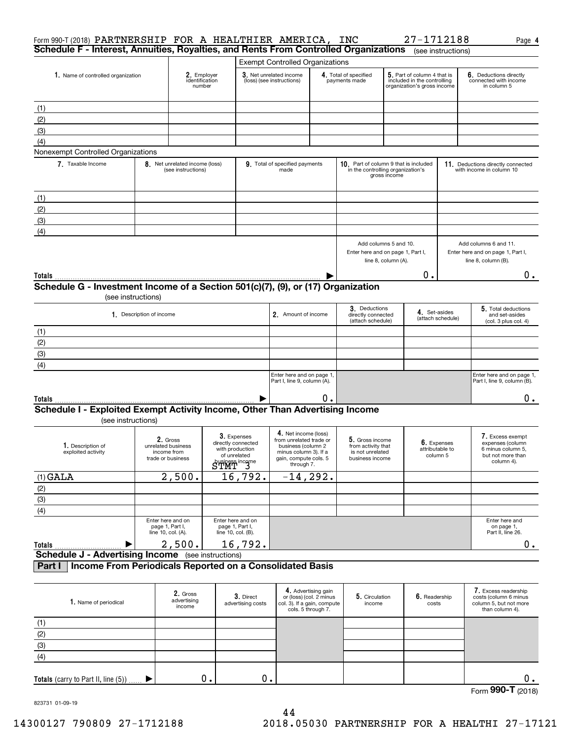| Form 990-T (2018) PARTNERSHIP FOR A HEALTHIER AMERICA, INC<br>Schedule F - Interest, Annuities, Royalties, and Rents From Controlled Organizations |                                                                               |                                                            |                             |                                                            |                                                                                                |                                                                      |  |                                                                                                                                     |                     | 27-1712188                            |                   | Page 4                                                                                     |
|----------------------------------------------------------------------------------------------------------------------------------------------------|-------------------------------------------------------------------------------|------------------------------------------------------------|-----------------------------|------------------------------------------------------------|------------------------------------------------------------------------------------------------|----------------------------------------------------------------------|--|-------------------------------------------------------------------------------------------------------------------------------------|---------------------|---------------------------------------|-------------------|--------------------------------------------------------------------------------------------|
|                                                                                                                                                    |                                                                               |                                                            |                             |                                                            |                                                                                                |                                                                      |  |                                                                                                                                     |                     | (see instructions)                    |                   |                                                                                            |
|                                                                                                                                                    | 1. Name of controlled organization<br>2. Employer<br>identification<br>number |                                                            |                             |                                                            | <b>Exempt Controlled Organizations</b><br>3. Net unrelated income<br>(loss) (see instructions) |                                                                      |  | 5. Part of column 4 that is<br>4. Total of specified<br>included in the controlling<br>payments made<br>organization's gross income |                     |                                       |                   | 6. Deductions directly<br>connected with income<br>in column 5                             |
|                                                                                                                                                    |                                                                               |                                                            |                             |                                                            |                                                                                                |                                                                      |  |                                                                                                                                     |                     |                                       |                   |                                                                                            |
| (1)<br>(2)                                                                                                                                         |                                                                               |                                                            |                             |                                                            |                                                                                                |                                                                      |  |                                                                                                                                     |                     |                                       |                   |                                                                                            |
| (3)                                                                                                                                                |                                                                               |                                                            |                             |                                                            |                                                                                                |                                                                      |  |                                                                                                                                     |                     |                                       |                   |                                                                                            |
| (4)                                                                                                                                                |                                                                               |                                                            |                             |                                                            |                                                                                                |                                                                      |  |                                                                                                                                     |                     |                                       |                   |                                                                                            |
| Nonexempt Controlled Organizations                                                                                                                 |                                                                               |                                                            |                             |                                                            |                                                                                                |                                                                      |  |                                                                                                                                     |                     |                                       |                   |                                                                                            |
| 7. Taxable Income                                                                                                                                  |                                                                               | 8. Net unrelated income (loss)<br>(see instructions)       |                             |                                                            | 9. Total of specified payments<br>made                                                         |                                                                      |  | in the controlling organization's                                                                                                   | gross income        | 10. Part of column 9 that is included |                   | 11. Deductions directly connected<br>with income in column 10                              |
| (1)                                                                                                                                                |                                                                               |                                                            |                             |                                                            |                                                                                                |                                                                      |  |                                                                                                                                     |                     |                                       |                   |                                                                                            |
| (2)                                                                                                                                                |                                                                               |                                                            |                             |                                                            |                                                                                                |                                                                      |  |                                                                                                                                     |                     |                                       |                   |                                                                                            |
| (3)                                                                                                                                                |                                                                               |                                                            |                             |                                                            |                                                                                                |                                                                      |  |                                                                                                                                     |                     |                                       |                   |                                                                                            |
| (4)                                                                                                                                                |                                                                               |                                                            |                             |                                                            |                                                                                                |                                                                      |  |                                                                                                                                     |                     |                                       |                   |                                                                                            |
|                                                                                                                                                    |                                                                               |                                                            |                             |                                                            |                                                                                                |                                                                      |  | Add columns 5 and 10.<br>Enter here and on page 1, Part I,                                                                          | line 8, column (A). |                                       |                   | Add columns 6 and 11.<br>Enter here and on page 1, Part I,<br>line 8, column (B).          |
| Totals                                                                                                                                             |                                                                               |                                                            |                             |                                                            |                                                                                                |                                                                      |  |                                                                                                                                     |                     | О.                                    |                   | $0$ .                                                                                      |
| Schedule G - Investment Income of a Section 501(c)(7), (9), or (17) Organization                                                                   |                                                                               |                                                            |                             |                                                            |                                                                                                |                                                                      |  |                                                                                                                                     |                     |                                       |                   |                                                                                            |
| (see instructions)                                                                                                                                 |                                                                               |                                                            |                             |                                                            |                                                                                                |                                                                      |  |                                                                                                                                     |                     |                                       |                   |                                                                                            |
|                                                                                                                                                    | 1. Description of income                                                      |                                                            |                             |                                                            | 2. Amount of income                                                                            |                                                                      |  | 3. Deductions<br>directly connected<br>(attach schedule)                                                                            |                     | 4. Set-asides                         | (attach schedule) | 5. Total deductions<br>and set-asides<br>(col. 3 plus col. 4)                              |
| (1)                                                                                                                                                |                                                                               |                                                            |                             |                                                            |                                                                                                |                                                                      |  |                                                                                                                                     |                     |                                       |                   |                                                                                            |
| (2)                                                                                                                                                |                                                                               |                                                            |                             |                                                            |                                                                                                |                                                                      |  |                                                                                                                                     |                     |                                       |                   |                                                                                            |
| (3)                                                                                                                                                |                                                                               |                                                            |                             |                                                            |                                                                                                |                                                                      |  |                                                                                                                                     |                     |                                       |                   |                                                                                            |
| (4)                                                                                                                                                |                                                                               |                                                            |                             |                                                            |                                                                                                |                                                                      |  |                                                                                                                                     |                     |                                       |                   |                                                                                            |
|                                                                                                                                                    |                                                                               |                                                            |                             |                                                            | Enter here and on page 1,<br>Part I, line 9, column (A).                                       |                                                                      |  |                                                                                                                                     |                     |                                       |                   | Enter here and on page 1,<br>Part I, line 9, column (B).                                   |
| Totals                                                                                                                                             |                                                                               |                                                            |                             |                                                            |                                                                                                | ο.                                                                   |  |                                                                                                                                     |                     |                                       |                   | 0.                                                                                         |
| Schedule I - Exploited Exempt Activity Income, Other Than Advertising Income<br>(see instructions)                                                 |                                                                               |                                                            |                             |                                                            |                                                                                                |                                                                      |  |                                                                                                                                     |                     |                                       |                   |                                                                                            |
| 1. Description of                                                                                                                                  |                                                                               | 2. Gross<br>unrelated business                             |                             | 3. Expenses<br>directly connected                          | 4. Net income (loss)<br>from unrelated trade or<br>business (column 2                          |                                                                      |  | 5. Gross income<br>from activity that                                                                                               |                     | 6. Expenses                           |                   | 7. Excess exempt<br>expenses (column                                                       |
| exploited activity                                                                                                                                 |                                                                               | income from<br>trade or business                           | STMT <sup>ness income</sup> | with production<br>of unrelated                            | minus column 3). If a<br>gain, compute cols. 5<br>through 7.                                   |                                                                      |  | is not unrelated<br>business income                                                                                                 |                     | attributable to<br>column 5           |                   | 6 minus column 5,<br>but not more than<br>column 4).                                       |
| $(1)$ GALA                                                                                                                                         |                                                                               | 2,500.                                                     |                             | 16, 792.                                                   | $-14, 292.$                                                                                    |                                                                      |  |                                                                                                                                     |                     |                                       |                   |                                                                                            |
| $\frac{(2)}{(3)}$                                                                                                                                  |                                                                               |                                                            |                             |                                                            |                                                                                                |                                                                      |  |                                                                                                                                     |                     |                                       |                   |                                                                                            |
|                                                                                                                                                    |                                                                               |                                                            |                             |                                                            |                                                                                                |                                                                      |  |                                                                                                                                     |                     |                                       |                   |                                                                                            |
| $\overline{(4)}$                                                                                                                                   |                                                                               |                                                            |                             |                                                            |                                                                                                |                                                                      |  |                                                                                                                                     |                     |                                       |                   |                                                                                            |
|                                                                                                                                                    |                                                                               | Enter here and on<br>page 1, Part I,<br>line 10, col. (A). |                             | Enter here and on<br>page 1, Part I,<br>line 10, col. (B). |                                                                                                |                                                                      |  |                                                                                                                                     |                     |                                       |                   | Enter here and<br>on page 1,<br>Part II, line 26.                                          |
| Totals                                                                                                                                             |                                                                               | 2,500.                                                     |                             | 16,792.                                                    |                                                                                                |                                                                      |  |                                                                                                                                     |                     |                                       |                   | 0.                                                                                         |
| <b>Schedule J - Advertising Income</b> (see instructions)<br>Income From Periodicals Reported on a Consolidated Basis<br>Part I                    |                                                                               |                                                            |                             |                                                            |                                                                                                |                                                                      |  |                                                                                                                                     |                     |                                       |                   |                                                                                            |
|                                                                                                                                                    |                                                                               |                                                            |                             |                                                            |                                                                                                |                                                                      |  |                                                                                                                                     |                     |                                       |                   |                                                                                            |
| 1. Name of periodical                                                                                                                              |                                                                               | 2. Gross<br>advertising<br>income                          |                             | 3. Direct<br>advertising costs                             | col. 3). If a gain, compute                                                                    | 4. Advertising gain<br>or (loss) (col. 2 minus<br>cols. 5 through 7. |  | 5. Circulation<br>income                                                                                                            |                     | 6. Readership<br>costs                |                   | 7. Excess readership<br>costs (column 6 minus<br>column 5, but not more<br>than column 4). |
| (1)                                                                                                                                                |                                                                               |                                                            |                             |                                                            |                                                                                                |                                                                      |  |                                                                                                                                     |                     |                                       |                   |                                                                                            |
| (2)                                                                                                                                                |                                                                               |                                                            |                             |                                                            |                                                                                                |                                                                      |  |                                                                                                                                     |                     |                                       |                   |                                                                                            |

 $\blacktriangleright$ 

823731 01-09-19

(3) (4)

**Totals** (carry to Part II, line (5))

0. 0. 0.

Form (2018) **990-T**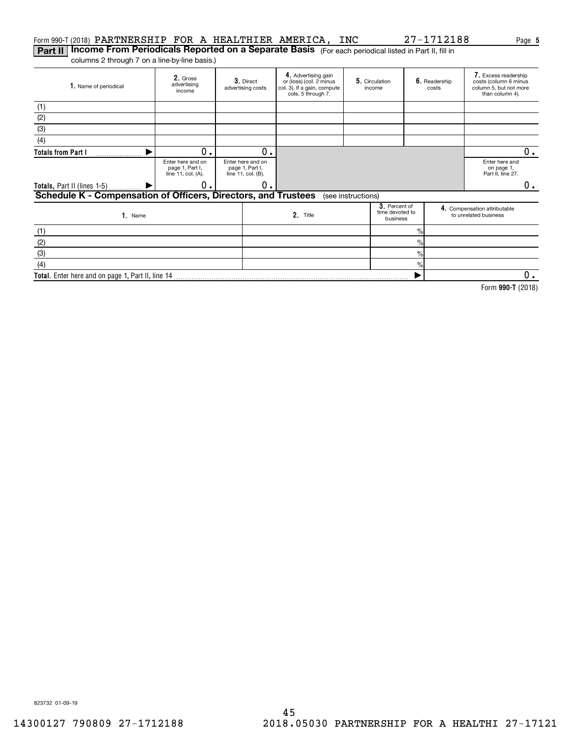## Form 990-T(2018)  $\verb|PARTNERSHIP FOR A HEALTHIER AMERICA, INC 27-1712188 \textcolor{red}{Page}$

**Part II | Income From Periodicals Reported on a Separate Basis** (For each periodical listed in Part II, fill in columns 2 through 7 on a line-by-line basis.)

Gross**2.**  advertising income **3.** Direct advertising costs **4.** Advertising gain<br>or (loss) (col. 2 minus col. 3). If a gain, compute cols. 5 through 7. **5.** Circulation | **6.** income Readership costs Excess readership **7.**  costs (column 6 minus column 5, but not more than column 4). **1.** Name of periodical Enter here and on page 1, Part I, line 11, col. (A). Enter here and on page 1, Part I, line 11, col. (B). Enter here and on page 1, Part II, line 27. **3**. Percent of<br>time devoted to<br>business e and the compensation attributable<br>
2. Title to unrelated business<br>
to unrelated business<br>
to unrelated business Name**1. 2. Totals from Part I Totals,** Part II (lines 1-5) **Schedule K - Compensation of Officers, Directors, and Trustees 3. 4.**  $\frac{1}{2}$ (1) (2) (3) (4) (see instructions) (1)  $\blacktriangleright$  $\blacktriangleright$  $0.1$  0 0. 0. 0.

**Total.**  Enter here and on page 1, Part II, line 14  $\frac{1}{2}$ % $\frac{1}{2}$ (2) (3)(4)  $\blacktriangleright$  $\overline{0}$ .

**990-T**  Form (2018)

823732 01-09-19

 $0_{.}$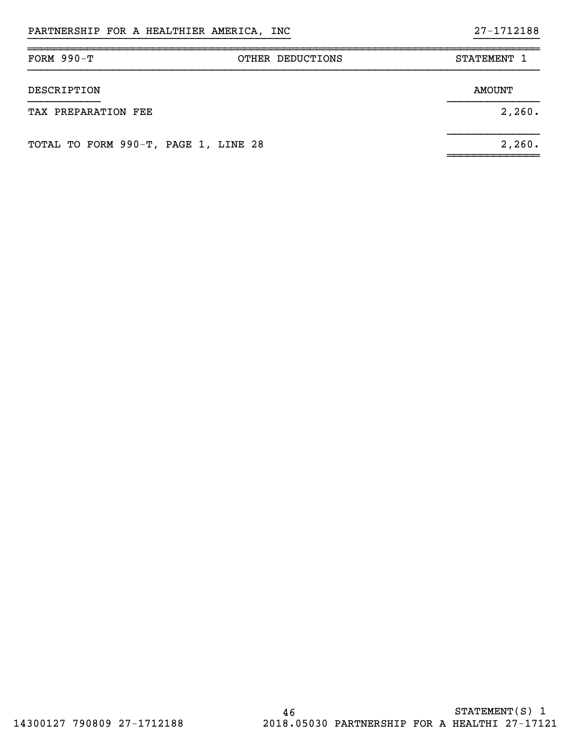| FORM $990-T$                         | OTHER DEDUCTIONS | STATEMENT 1   |
|--------------------------------------|------------------|---------------|
| DESCRIPTION                          |                  | <b>AMOUNT</b> |
| TAX PREPARATION FEE                  |                  | 2,260.        |
| TOTAL TO FORM 990-T, PAGE 1, LINE 28 |                  | 2,260.        |

}}}}}}}}}}}}}}}}}}}}}}}}}}}}}}}}}}}}}}}} }}}}}}}}}}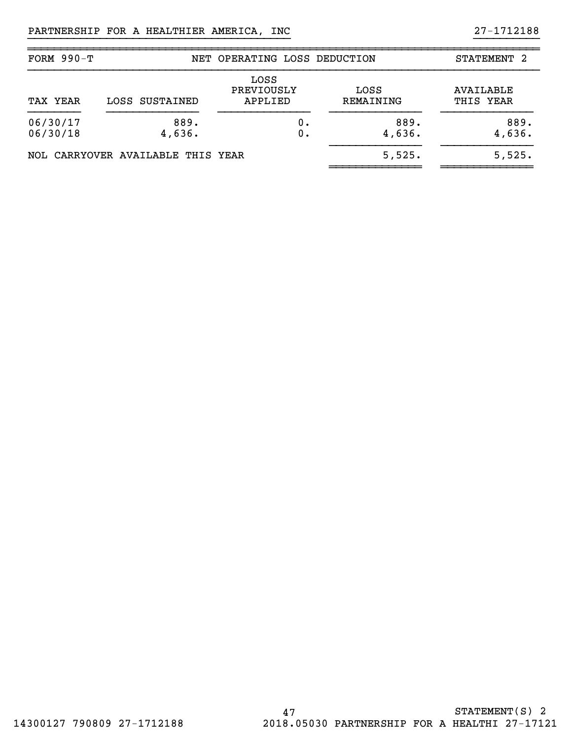| FORM $990-T$         |                                   | NET OPERATING LOSS DEDUCTION  |                   | STATEMENT 2            |
|----------------------|-----------------------------------|-------------------------------|-------------------|------------------------|
| TAX YEAR             | LOSS SUSTAINED                    | LOSS<br>PREVIOUSLY<br>APPLIED | LOSS<br>REMAINING | AVAILABLE<br>THIS YEAR |
| 06/30/17<br>06/30/18 | 889.<br>4,636.                    | 0.<br>О.                      | 889.<br>4,636.    | 889.<br>4,636.         |
|                      | NOL CARRYOVER AVAILABLE THIS YEAR |                               | 5,525.            | 5,525.                 |

~~~~~~~~~~~~~~~~~~~~~~~~~~~~~~~~~~~~~~~~~~~~~~~~~~~~~~~~~~~~~~~~~~~~~~~~~~~~~~

}}}}}}}}}}}}}}}}}}}}}}}}}}}}}}}}}}}}}}}} }}}}}}}}}}